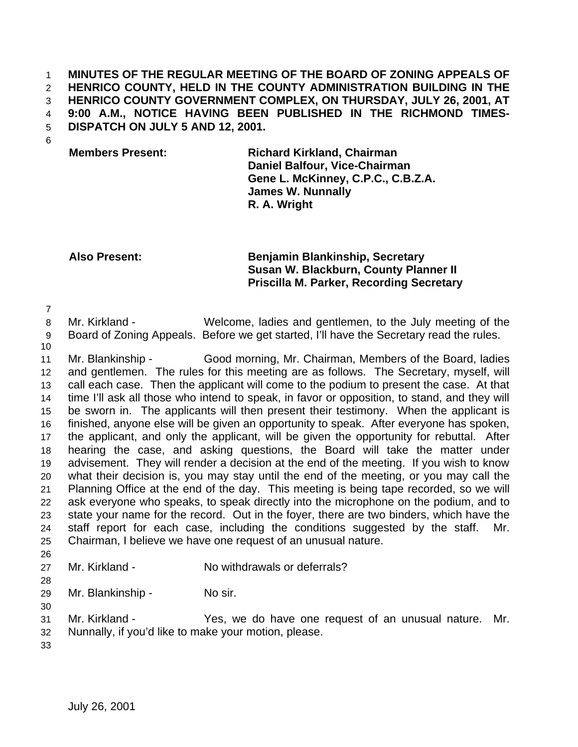### **MINUTES OF THE REGULAR MEETING OF THE BOARD OF ZONING APPEALS OF HENRICO COUNTY, HELD IN THE COUNTY ADMINISTRATION BUILDING IN THE HENRICO COUNTY GOVERNMENT COMPLEX, ON THURSDAY, JULY 26, 2001, AT 9:00 A.M., NOTICE HAVING BEEN PUBLISHED IN THE RICHMOND TIMES-DISPATCH ON JULY 5 AND 12, 2001.**

# **Members Present: Richard Kirkland, Chairman Daniel Balfour, Vice-Chairman Gene L. McKinney, C.P.C., C.B.Z.A. James W. Nunnally R. A. Wright**

# **Also Present: Benjamin Blankinship, Secretary Susan W. Blackburn, County Planner II Priscilla M. Parker, Recording Secretary**

 Mr. Kirkland - Welcome, ladies and gentlemen, to the July meeting of the Board of Zoning Appeals. Before we get started, I'll have the Secretary read the rules.

 Mr. Blankinship - Good morning, Mr. Chairman, Members of the Board, ladies and gentlemen. The rules for this meeting are as follows. The Secretary, myself, will call each case. Then the applicant will come to the podium to present the case. At that time I'll ask all those who intend to speak, in favor or opposition, to stand, and they will be sworn in. The applicants will then present their testimony. When the applicant is finished, anyone else will be given an opportunity to speak. After everyone has spoken, the applicant, and only the applicant, will be given the opportunity for rebuttal. After hearing the case, and asking questions, the Board will take the matter under advisement. They will render a decision at the end of the meeting. If you wish to know what their decision is, you may stay until the end of the meeting, or you may call the Planning Office at the end of the day. This meeting is being tape recorded, so we will ask everyone who speaks, to speak directly into the microphone on the podium, and to state your name for the record. Out in the foyer, there are two binders, which have the staff report for each case, including the conditions suggested by the staff. Mr. Chairman, I believe we have one request of an unusual nature.

Mr. Kirkland - No withdrawals or deferrals?

29 Mr. Blankinship - No sir.

 Mr. Kirkland - Yes, we do have one request of an unusual nature. Mr. Nunnally, if you'd like to make your motion, please.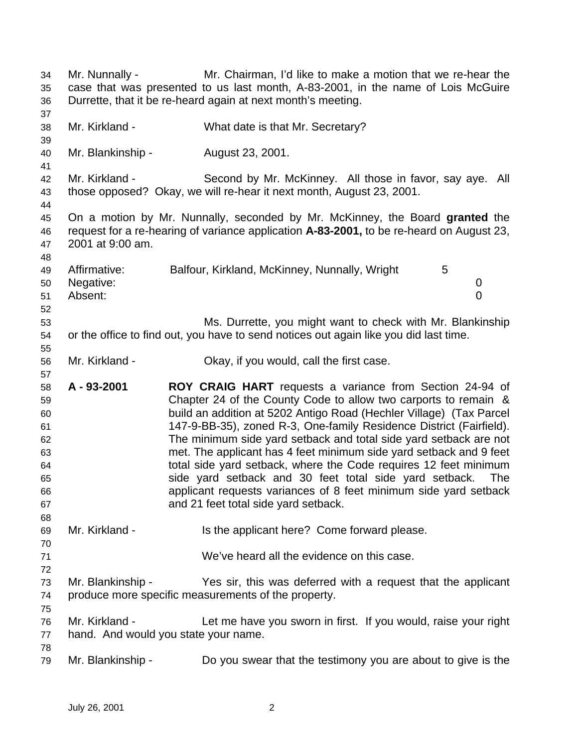Mr. Nunnally - Mr. Chairman, I'd like to make a motion that we re-hear the case that was presented to us last month, A-83-2001, in the name of Lois McGuire Durrette, that it be re-heard again at next month's meeting. Mr. Kirkland - What date is that Mr. Secretary? Mr. Blankinship - August 23, 2001. Mr. Kirkland - Second by Mr. McKinney. All those in favor, say aye. All those opposed? Okay, we will re-hear it next month, August 23, 2001. On a motion by Mr. Nunnally, seconded by Mr. McKinney, the Board **granted** the request for a re-hearing of variance application **A-83-2001,** to be re-heard on August 23, 2001 at 9:00 am. 49 Affirmative: Balfour, Kirkland, McKinney, Nunnally, Wright 5 Negative: 0 Absent: 0 Ms. Durrette, you might want to check with Mr. Blankinship or the office to find out, you have to send notices out again like you did last time. Mr. Kirkland - Okay, if you would, call the first case. **A - 93-2001 ROY CRAIG HART** requests a variance from Section 24-94 of Chapter 24 of the County Code to allow two carports to remain & build an addition at 5202 Antigo Road (Hechler Village) (Tax Parcel 147-9-BB-35), zoned R-3, One-family Residence District (Fairfield). The minimum side yard setback and total side yard setback are not met. The applicant has 4 feet minimum side yard setback and 9 feet total side yard setback, where the Code requires 12 feet minimum side yard setback and 30 feet total side yard setback. The applicant requests variances of 8 feet minimum side yard setback and 21 feet total side yard setback. Mr. Kirkland - Is the applicant here? Come forward please. We've heard all the evidence on this case. Mr. Blankinship - Yes sir, this was deferred with a request that the applicant produce more specific measurements of the property. Mr. Kirkland - Let me have you sworn in first. If you would, raise your right hand. And would you state your name. Mr. Blankinship - Do you swear that the testimony you are about to give is the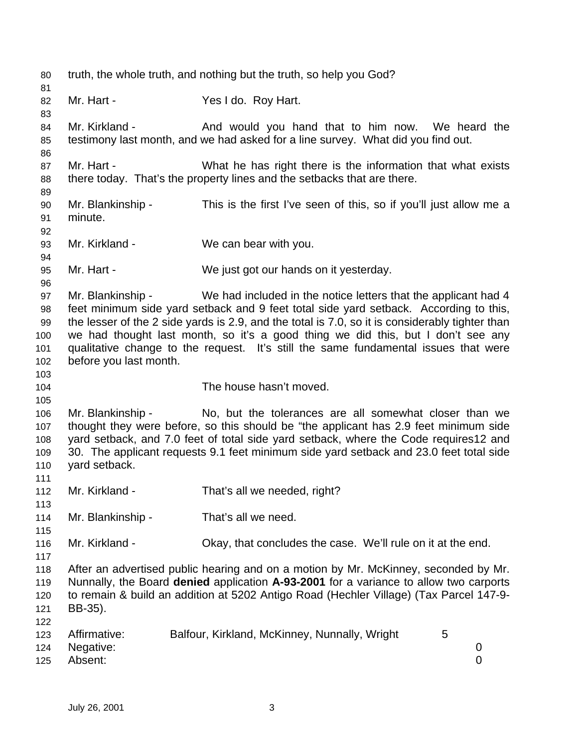truth, the whole truth, and nothing but the truth, so help you God? 82 Mr. Hart - Yes I do. Roy Hart. 84 Mr. Kirkland - And would you hand that to him now. We heard the testimony last month, and we had asked for a line survey. What did you find out. 87 Mr. Hart - What he has right there is the information that what exists there today. That's the property lines and the setbacks that are there. Mr. Blankinship - This is the first I've seen of this, so if you'll just allow me a minute. Mr. Kirkland - We can bear with you. Mr. Hart - We just got our hands on it yesterday. Mr. Blankinship - We had included in the notice letters that the applicant had 4 feet minimum side yard setback and 9 feet total side yard setback. According to this, the lesser of the 2 side yards is 2.9, and the total is 7.0, so it is considerably tighter than we had thought last month, so it's a good thing we did this, but I don't see any qualitative change to the request. It's still the same fundamental issues that were before you last month. The house hasn't moved. Mr. Blankinship - No, but the tolerances are all somewhat closer than we thought they were before, so this should be "the applicant has 2.9 feet minimum side yard setback, and 7.0 feet of total side yard setback, where the Code requires12 and 30. The applicant requests 9.1 feet minimum side yard setback and 23.0 feet total side yard setback. Mr. Kirkland - That's all we needed, right? Mr. Blankinship - That's all we need. Mr. Kirkland - Okay, that concludes the case. We'll rule on it at the end. After an advertised public hearing and on a motion by Mr. McKinney, seconded by Mr. Nunnally, the Board **denied** application **A-93-2001** for a variance to allow two carports to remain & build an addition at 5202 Antigo Road (Hechler Village) (Tax Parcel 147-9- BB-35). Affirmative: Balfour, Kirkland, McKinney, Nunnally, Wright 5 Negative: 0 Absent: 0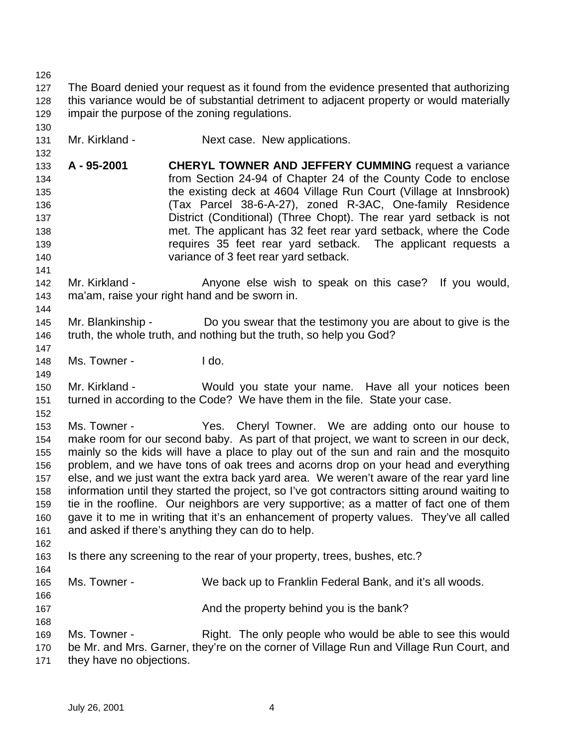The Board denied your request as it found from the evidence presented that authorizing this variance would be of substantial detriment to adjacent property or would materially impair the purpose of the zoning regulations. 131 Mr. Kirkland - Next case. New applications. **A - 95-2001 CHERYL TOWNER AND JEFFERY CUMMING** request a variance from Section 24-94 of Chapter 24 of the County Code to enclose the existing deck at 4604 Village Run Court (Village at Innsbrook) (Tax Parcel 38-6-A-27), zoned R-3AC, One-family Residence District (Conditional) (Three Chopt). The rear yard setback is not met. The applicant has 32 feet rear yard setback, where the Code requires 35 feet rear yard setback. The applicant requests a variance of 3 feet rear yard setback. 142 Mr. Kirkland - Anyone else wish to speak on this case? If you would, ma'am, raise your right hand and be sworn in. Mr. Blankinship - Do you swear that the testimony you are about to give is the truth, the whole truth, and nothing but the truth, so help you God? Ms. Towner - I do. Mr. Kirkland - Would you state your name. Have all your notices been turned in according to the Code? We have them in the file. State your case. Ms. Towner - Yes. Cheryl Towner. We are adding onto our house to make room for our second baby. As part of that project, we want to screen in our deck, mainly so the kids will have a place to play out of the sun and rain and the mosquito problem, and we have tons of oak trees and acorns drop on your head and everything else, and we just want the extra back yard area. We weren't aware of the rear yard line information until they started the project, so I've got contractors sitting around waiting to tie in the roofline. Our neighbors are very supportive; as a matter of fact one of them gave it to me in writing that it's an enhancement of property values. They've all called and asked if there's anything they can do to help. Is there any screening to the rear of your property, trees, bushes, etc.? Ms. Towner - We back up to Franklin Federal Bank, and it's all woods. And the property behind you is the bank? Ms. Towner - Right. The only people who would be able to see this would be Mr. and Mrs. Garner, they're on the corner of Village Run and Village Run Court, and they have no objections.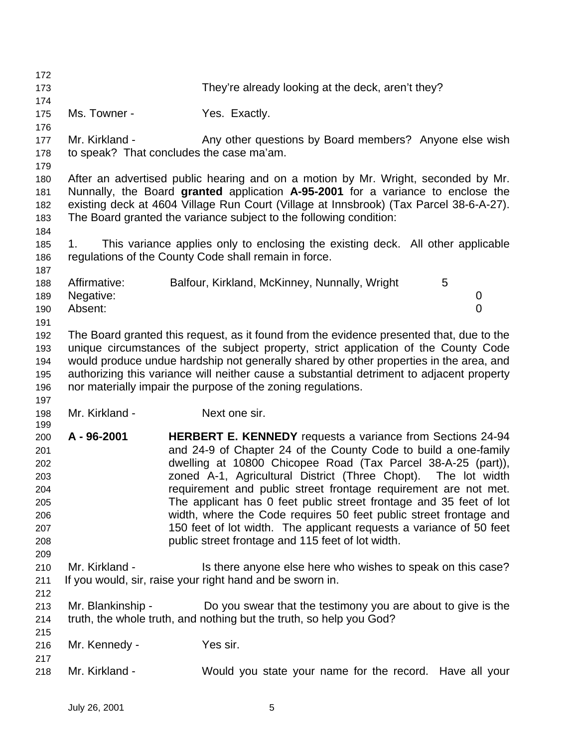They're already looking at the deck, aren't they? 175 Ms. Towner - The Yes. Exactly. 177 Mr. Kirkland - Any other questions by Board members? Anyone else wish to speak? That concludes the case ma'am. After an advertised public hearing and on a motion by Mr. Wright, seconded by Mr. Nunnally, the Board **granted** application **A-95-2001** for a variance to enclose the existing deck at 4604 Village Run Court (Village at Innsbrook) (Tax Parcel 38-6-A-27). The Board granted the variance subject to the following condition: 1. This variance applies only to enclosing the existing deck. All other applicable regulations of the County Code shall remain in force. Affirmative: Balfour, Kirkland, McKinney, Nunnally, Wright 5 Negative: 0 Absent: 0 The Board granted this request, as it found from the evidence presented that, due to the unique circumstances of the subject property, strict application of the County Code would produce undue hardship not generally shared by other properties in the area, and authorizing this variance will neither cause a substantial detriment to adjacent property nor materially impair the purpose of the zoning regulations. 198 Mr. Kirkland - Next one sir. **A - 96-2001 HERBERT E. KENNEDY** requests a variance from Sections 24-94 and 24-9 of Chapter 24 of the County Code to build a one-family dwelling at 10800 Chicopee Road (Tax Parcel 38-A-25 (part)), zoned A-1, Agricultural District (Three Chopt). The lot width requirement and public street frontage requirement are not met. The applicant has 0 feet public street frontage and 35 feet of lot width, where the Code requires 50 feet public street frontage and 150 feet of lot width. The applicant requests a variance of 50 feet public street frontage and 115 feet of lot width. 210 Mr. Kirkland - Is there anyone else here who wishes to speak on this case? If you would, sir, raise your right hand and be sworn in. Mr. Blankinship - Do you swear that the testimony you are about to give is the truth, the whole truth, and nothing but the truth, so help you God? Mr. Kennedy - Yes sir. Mr. Kirkland - Would you state your name for the record. Have all your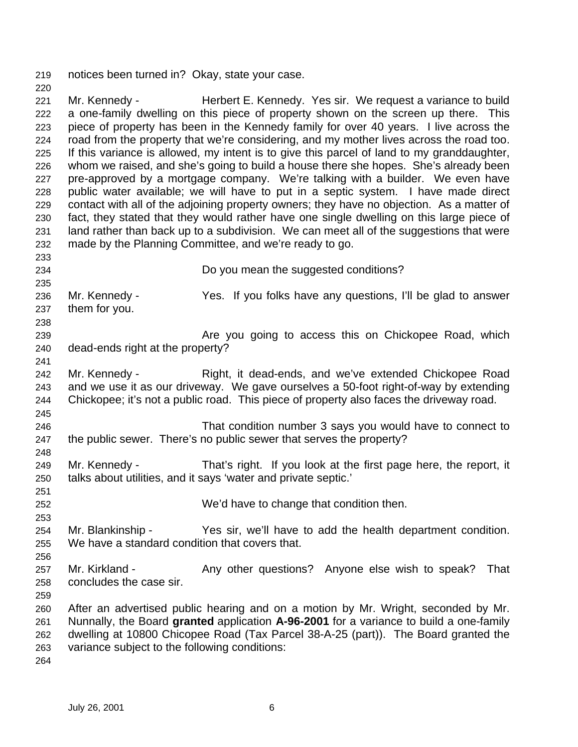notices been turned in? Okay, state your case.

 Mr. Kennedy - Herbert E. Kennedy. Yes sir. We request a variance to build a one-family dwelling on this piece of property shown on the screen up there. This piece of property has been in the Kennedy family for over 40 years. I live across the road from the property that we're considering, and my mother lives across the road too. If this variance is allowed, my intent is to give this parcel of land to my granddaughter, whom we raised, and she's going to build a house there she hopes. She's already been pre-approved by a mortgage company. We're talking with a builder. We even have public water available; we will have to put in a septic system. I have made direct contact with all of the adjoining property owners; they have no objection. As a matter of fact, they stated that they would rather have one single dwelling on this large piece of land rather than back up to a subdivision. We can meet all of the suggestions that were made by the Planning Committee, and we're ready to go. 

 Do you mean the suggested conditions? Mr. Kennedy - Yes. If you folks have any questions, I'll be glad to answer them for you. **Are you going to access this on Chickopee Road, which**  dead-ends right at the property? 242 Mr. Kennedy - Right, it dead-ends, and we've extended Chickopee Road and we use it as our driveway. We gave ourselves a 50-foot right-of-way by extending Chickopee; it's not a public road. This piece of property also faces the driveway road. That condition number 3 says you would have to connect to the public sewer. There's no public sewer that serves the property? Mr. Kennedy - That's right. If you look at the first page here, the report, it talks about utilities, and it says 'water and private septic.' We'd have to change that condition then. Mr. Blankinship - Yes sir, we'll have to add the health department condition. We have a standard condition that covers that. 257 Mr. Kirkland - Any other questions? Anyone else wish to speak? That concludes the case sir. After an advertised public hearing and on a motion by Mr. Wright, seconded by Mr. Nunnally, the Board **granted** application **A-96-2001** for a variance to build a one-family dwelling at 10800 Chicopee Road (Tax Parcel 38-A-25 (part)). The Board granted the variance subject to the following conditions: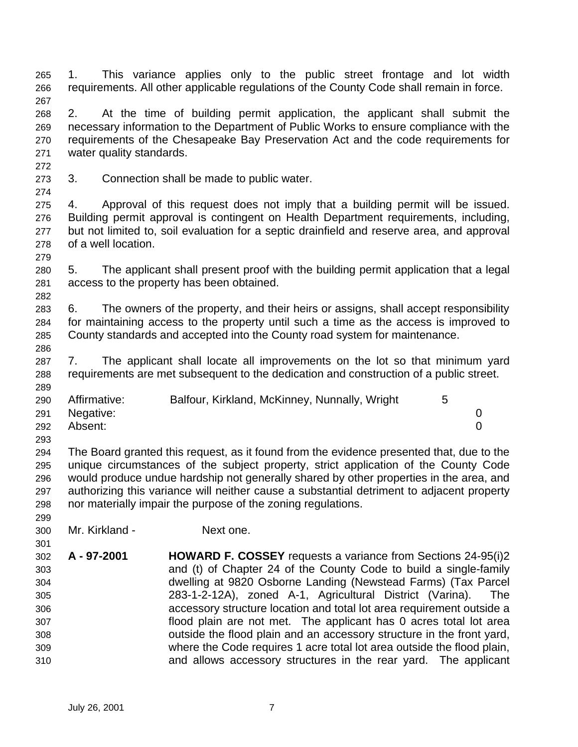1. This variance applies only to the public street frontage and lot width requirements. All other applicable regulations of the County Code shall remain in force. 

 2. At the time of building permit application, the applicant shall submit the necessary information to the Department of Public Works to ensure compliance with the requirements of the Chesapeake Bay Preservation Act and the code requirements for water quality standards.

3. Connection shall be made to public water.

 4. Approval of this request does not imply that a building permit will be issued. Building permit approval is contingent on Health Department requirements, including, but not limited to, soil evaluation for a septic drainfield and reserve area, and approval of a well location.

 5. The applicant shall present proof with the building permit application that a legal access to the property has been obtained.

 6. The owners of the property, and their heirs or assigns, shall accept responsibility for maintaining access to the property until such a time as the access is improved to County standards and accepted into the County road system for maintenance.

 7. The applicant shall locate all improvements on the lot so that minimum yard requirements are met subsequent to the dedication and construction of a public street.

| 290 | Affirmative: | Balfour, Kirkland, McKinney, Nunnally, Wright |  |
|-----|--------------|-----------------------------------------------|--|
| 291 | Negative:    |                                               |  |
| 292 | Absent:      |                                               |  |

 The Board granted this request, as it found from the evidence presented that, due to the unique circumstances of the subject property, strict application of the County Code would produce undue hardship not generally shared by other properties in the area, and authorizing this variance will neither cause a substantial detriment to adjacent property nor materially impair the purpose of the zoning regulations.

Mr. Kirkland - Next one.

 **A - 97-2001 HOWARD F. COSSEY** requests a variance from Sections 24-95(i)2 and (t) of Chapter 24 of the County Code to build a single-family dwelling at 9820 Osborne Landing (Newstead Farms) (Tax Parcel 283-1-2-12A), zoned A-1, Agricultural District (Varina). The accessory structure location and total lot area requirement outside a flood plain are not met. The applicant has 0 acres total lot area outside the flood plain and an accessory structure in the front yard, where the Code requires 1 acre total lot area outside the flood plain, and allows accessory structures in the rear yard. The applicant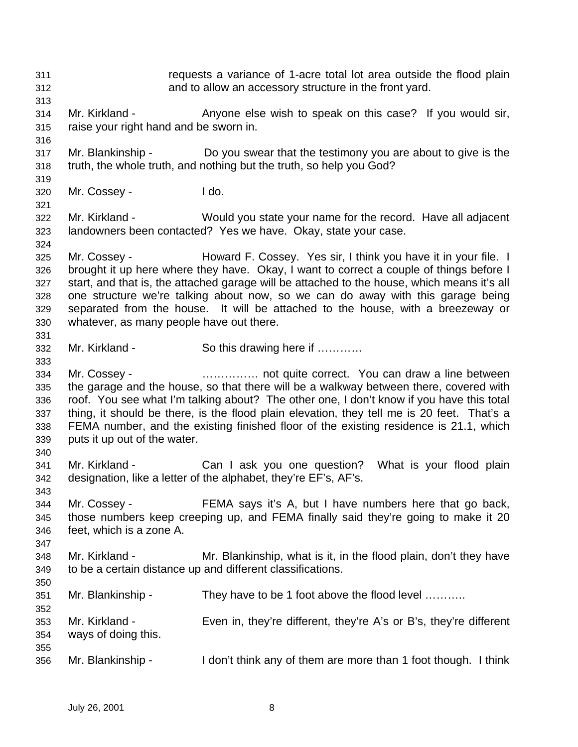requests a variance of 1-acre total lot area outside the flood plain and to allow an accessory structure in the front yard. Mr. Kirkland - Anyone else wish to speak on this case? If you would sir, raise your right hand and be sworn in. Mr. Blankinship - Do you swear that the testimony you are about to give is the truth, the whole truth, and nothing but the truth, so help you God? Mr. Cossey - I do. Mr. Kirkland - Would you state your name for the record. Have all adjacent landowners been contacted? Yes we have. Okay, state your case. Mr. Cossey - Howard F. Cossey. Yes sir, I think you have it in your file. I brought it up here where they have. Okay, I want to correct a couple of things before I start, and that is, the attached garage will be attached to the house, which means it's all one structure we're talking about now, so we can do away with this garage being separated from the house. It will be attached to the house, with a breezeway or whatever, as many people have out there. Mr. Kirkland - So this drawing here if ………… Mr. Cossey - …………… not quite correct. You can draw a line between the garage and the house, so that there will be a walkway between there, covered with roof. You see what I'm talking about? The other one, I don't know if you have this total thing, it should be there, is the flood plain elevation, they tell me is 20 feet. That's a FEMA number, and the existing finished floor of the existing residence is 21.1, which puts it up out of the water. Mr. Kirkland - Can I ask you one question? What is your flood plain designation, like a letter of the alphabet, they're EF's, AF's. Mr. Cossey - FEMA says it's A, but I have numbers here that go back, those numbers keep creeping up, and FEMA finally said they're going to make it 20 feet, which is a zone A. Mr. Kirkland - Mr. Blankinship, what is it, in the flood plain, don't they have to be a certain distance up and different classifications. Mr. Blankinship - They have to be 1 foot above the flood level ……….. Mr. Kirkland - Even in, they're different, they're A's or B's, they're different ways of doing this. Mr. Blankinship - I don't think any of them are more than 1 foot though. I think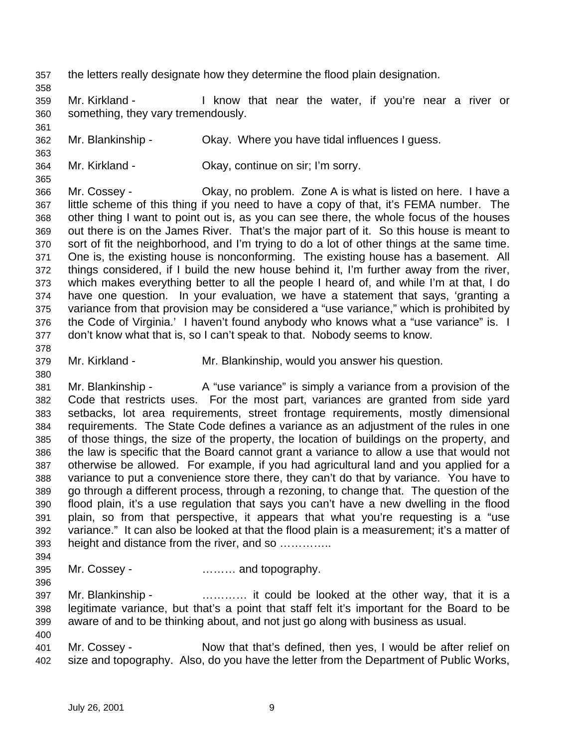- the letters really designate how they determine the flood plain designation.
- Mr. Kirkland I know that near the water, if you're near a river or something, they vary tremendously.
- Mr. Blankinship Okay. Where you have tidal influences I guess.
- Mr. Kirkland Okay, continue on sir; I'm sorry.

- Mr. Cossey Okay, no problem. Zone A is what is listed on here. I have a little scheme of this thing if you need to have a copy of that, it's FEMA number. The other thing I want to point out is, as you can see there, the whole focus of the houses out there is on the James River. That's the major part of it. So this house is meant to sort of fit the neighborhood, and I'm trying to do a lot of other things at the same time. One is, the existing house is nonconforming. The existing house has a basement. All things considered, if I build the new house behind it, I'm further away from the river, which makes everything better to all the people I heard of, and while I'm at that, I do have one question. In your evaluation, we have a statement that says, 'granting a variance from that provision may be considered a "use variance," which is prohibited by the Code of Virginia.' I haven't found anybody who knows what a "use variance" is. I don't know what that is, so I can't speak to that. Nobody seems to know.
- Mr. Kirkland Mr. Blankinship, would you answer his question.
- 381 Mr. Blankinship A "use variance" is simply a variance from a provision of the Code that restricts uses. For the most part, variances are granted from side yard setbacks, lot area requirements, street frontage requirements, mostly dimensional requirements. The State Code defines a variance as an adjustment of the rules in one of those things, the size of the property, the location of buildings on the property, and the law is specific that the Board cannot grant a variance to allow a use that would not otherwise be allowed. For example, if you had agricultural land and you applied for a variance to put a convenience store there, they can't do that by variance. You have to go through a different process, through a rezoning, to change that. The question of the flood plain, it's a use regulation that says you can't have a new dwelling in the flood plain, so from that perspective, it appears that what you're requesting is a "use variance." It can also be looked at that the flood plain is a measurement; it's a matter of height and distance from the river, and so …………..
- 

- Mr. Cossey ……… and topography.
- Mr. Blankinship ………… it could be looked at the other way, that it is a legitimate variance, but that's a point that staff felt it's important for the Board to be aware of and to be thinking about, and not just go along with business as usual.
- Mr. Cossey Now that that's defined, then yes, I would be after relief on size and topography. Also, do you have the letter from the Department of Public Works,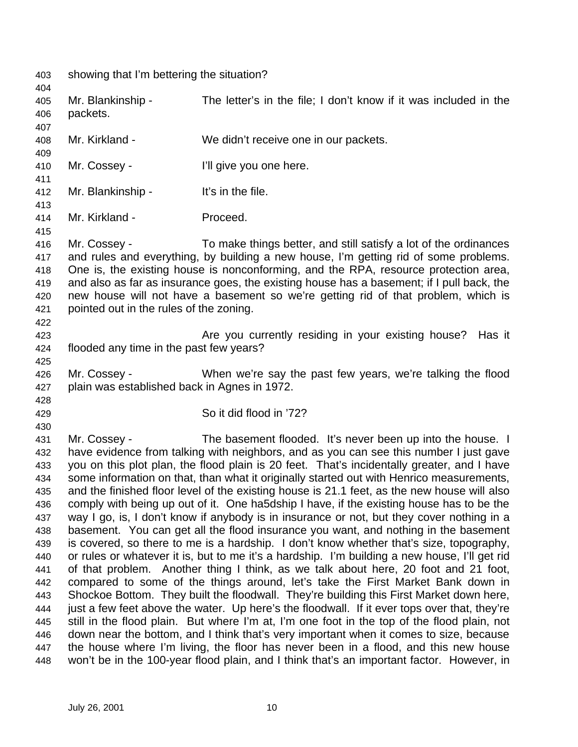showing that I'm bettering the situation? Mr. Blankinship - The letter's in the file; I don't know if it was included in the packets. 

Mr. Kirkland - We didn't receive one in our packets.

- 410 Mr. Cossey **I'll give you one here.**
- 412 Mr. Blankinship It's in the file.
- Mr. Kirkland Proceed.
- Mr. Cossey To make things better, and still satisfy a lot of the ordinances and rules and everything, by building a new house, I'm getting rid of some problems. One is, the existing house is nonconforming, and the RPA, resource protection area, and also as far as insurance goes, the existing house has a basement; if I pull back, the new house will not have a basement so we're getting rid of that problem, which is pointed out in the rules of the zoning.
- Are you currently residing in your existing house? Has it flooded any time in the past few years?
- Mr. Cossey - When we're say the past few years, we're talking the flood plain was established back in Agnes in 1972.
- 

So it did flood in '72?

 Mr. Cossey - The basement flooded. It's never been up into the house. I have evidence from talking with neighbors, and as you can see this number I just gave you on this plot plan, the flood plain is 20 feet. That's incidentally greater, and I have some information on that, than what it originally started out with Henrico measurements, and the finished floor level of the existing house is 21.1 feet, as the new house will also comply with being up out of it. One ha5dship I have, if the existing house has to be the way I go, is, I don't know if anybody is in insurance or not, but they cover nothing in a basement. You can get all the flood insurance you want, and nothing in the basement is covered, so there to me is a hardship. I don't know whether that's size, topography, or rules or whatever it is, but to me it's a hardship. I'm building a new house, I'll get rid of that problem. Another thing I think, as we talk about here, 20 foot and 21 foot, compared to some of the things around, let's take the First Market Bank down in Shockoe Bottom. They built the floodwall. They're building this First Market down here, just a few feet above the water. Up here's the floodwall. If it ever tops over that, they're still in the flood plain. But where I'm at, I'm one foot in the top of the flood plain, not down near the bottom, and I think that's very important when it comes to size, because the house where I'm living, the floor has never been in a flood, and this new house won't be in the 100-year flood plain, and I think that's an important factor. However, in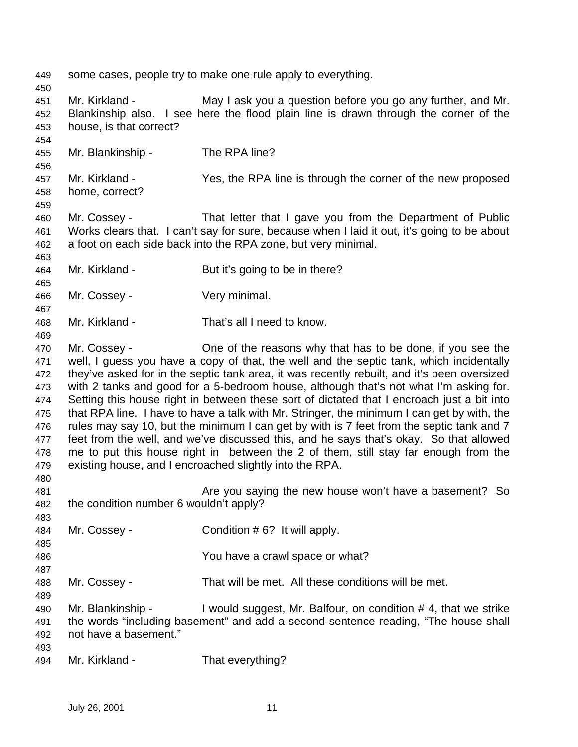| 449<br>450                                                                                                   |                                                                        | some cases, people try to make one rule apply to everything.                                                                                                                                                                                                                                                                                                                                                                                                                                                                                                                                                                                                                                                                                                                                                                                                                                                                                                                |
|--------------------------------------------------------------------------------------------------------------|------------------------------------------------------------------------|-----------------------------------------------------------------------------------------------------------------------------------------------------------------------------------------------------------------------------------------------------------------------------------------------------------------------------------------------------------------------------------------------------------------------------------------------------------------------------------------------------------------------------------------------------------------------------------------------------------------------------------------------------------------------------------------------------------------------------------------------------------------------------------------------------------------------------------------------------------------------------------------------------------------------------------------------------------------------------|
| 451<br>452<br>453<br>454                                                                                     | Mr. Kirkland -<br>house, is that correct?                              | May I ask you a question before you go any further, and Mr.<br>Blankinship also. I see here the flood plain line is drawn through the corner of the                                                                                                                                                                                                                                                                                                                                                                                                                                                                                                                                                                                                                                                                                                                                                                                                                         |
| 455<br>456                                                                                                   | Mr. Blankinship -                                                      | The RPA line?                                                                                                                                                                                                                                                                                                                                                                                                                                                                                                                                                                                                                                                                                                                                                                                                                                                                                                                                                               |
| 457<br>458<br>459                                                                                            | Mr. Kirkland -<br>home, correct?                                       | Yes, the RPA line is through the corner of the new proposed                                                                                                                                                                                                                                                                                                                                                                                                                                                                                                                                                                                                                                                                                                                                                                                                                                                                                                                 |
| 460<br>461<br>462<br>463                                                                                     | Mr. Cossey -                                                           | That letter that I gave you from the Department of Public<br>Works clears that. I can't say for sure, because when I laid it out, it's going to be about<br>a foot on each side back into the RPA zone, but very minimal.                                                                                                                                                                                                                                                                                                                                                                                                                                                                                                                                                                                                                                                                                                                                                   |
| 464<br>465                                                                                                   | Mr. Kirkland -                                                         | But it's going to be in there?                                                                                                                                                                                                                                                                                                                                                                                                                                                                                                                                                                                                                                                                                                                                                                                                                                                                                                                                              |
| 466<br>467                                                                                                   | Mr. Cossey -                                                           | Very minimal.                                                                                                                                                                                                                                                                                                                                                                                                                                                                                                                                                                                                                                                                                                                                                                                                                                                                                                                                                               |
| 468<br>469                                                                                                   | Mr. Kirkland -                                                         | That's all I need to know.                                                                                                                                                                                                                                                                                                                                                                                                                                                                                                                                                                                                                                                                                                                                                                                                                                                                                                                                                  |
| 470<br>471<br>472<br>473<br>474<br>475<br>476<br>477<br>478<br>479<br>480<br>481<br>482<br>483<br>484<br>485 | Mr. Cossey -<br>the condition number 6 wouldn't apply?<br>Mr. Cossey - | One of the reasons why that has to be done, if you see the<br>well, I guess you have a copy of that, the well and the septic tank, which incidentally<br>they've asked for in the septic tank area, it was recently rebuilt, and it's been oversized<br>with 2 tanks and good for a 5-bedroom house, although that's not what I'm asking for.<br>Setting this house right in between these sort of dictated that I encroach just a bit into<br>that RPA line. I have to have a talk with Mr. Stringer, the minimum I can get by with, the<br>rules may say 10, but the minimum I can get by with is 7 feet from the septic tank and 7<br>feet from the well, and we've discussed this, and he says that's okay. So that allowed<br>me to put this house right in between the 2 of them, still stay far enough from the<br>existing house, and I encroached slightly into the RPA.<br>Are you saying the new house won't have a basement? So<br>Condition #6? It will apply. |
| 486<br>487                                                                                                   |                                                                        | You have a crawl space or what?                                                                                                                                                                                                                                                                                                                                                                                                                                                                                                                                                                                                                                                                                                                                                                                                                                                                                                                                             |
| 488<br>489                                                                                                   | Mr. Cossey -                                                           | That will be met. All these conditions will be met.                                                                                                                                                                                                                                                                                                                                                                                                                                                                                                                                                                                                                                                                                                                                                                                                                                                                                                                         |
| 490<br>491<br>492                                                                                            | Mr. Blankinship -<br>not have a basement."                             | I would suggest, Mr. Balfour, on condition #4, that we strike<br>the words "including basement" and add a second sentence reading, "The house shall                                                                                                                                                                                                                                                                                                                                                                                                                                                                                                                                                                                                                                                                                                                                                                                                                         |
| 493<br>494                                                                                                   | Mr. Kirkland -                                                         | That everything?                                                                                                                                                                                                                                                                                                                                                                                                                                                                                                                                                                                                                                                                                                                                                                                                                                                                                                                                                            |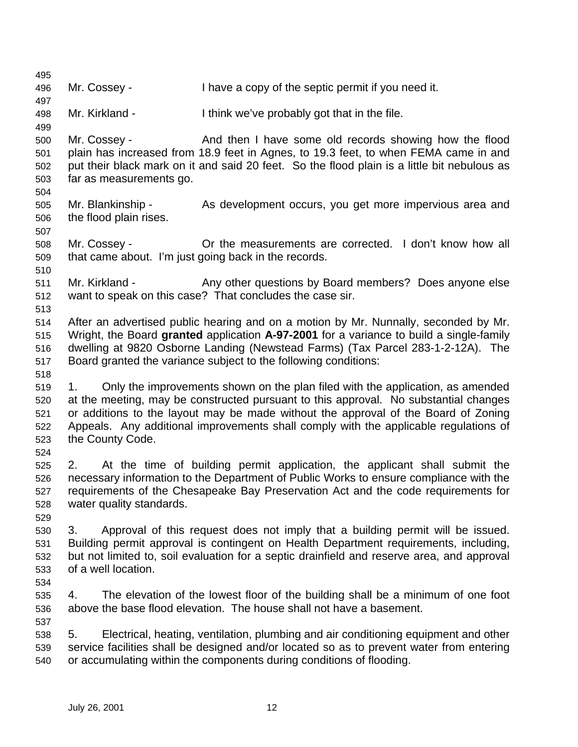Mr. Cossey - I have a copy of the septic permit if you need it. Mr. Kirkland - I think we've probably got that in the file. Mr. Cossey - And then I have some old records showing how the flood plain has increased from 18.9 feet in Agnes, to 19.3 feet, to when FEMA came in and put their black mark on it and said 20 feet. So the flood plain is a little bit nebulous as far as measurements go. Mr. Blankinship - As development occurs, you get more impervious area and the flood plain rises. Mr. Cossey - Or the measurements are corrected. I don't know how all that came about. I'm just going back in the records. Mr. Kirkland - Any other questions by Board members? Does anyone else want to speak on this case? That concludes the case sir. After an advertised public hearing and on a motion by Mr. Nunnally, seconded by Mr. Wright, the Board **granted** application **A-97-2001** for a variance to build a single-family dwelling at 9820 Osborne Landing (Newstead Farms) (Tax Parcel 283-1-2-12A). The Board granted the variance subject to the following conditions: 1. Only the improvements shown on the plan filed with the application, as amended at the meeting, may be constructed pursuant to this approval. No substantial changes or additions to the layout may be made without the approval of the Board of Zoning Appeals. Any additional improvements shall comply with the applicable regulations of the County Code. 2. At the time of building permit application, the applicant shall submit the necessary information to the Department of Public Works to ensure compliance with the requirements of the Chesapeake Bay Preservation Act and the code requirements for water quality standards. 3. Approval of this request does not imply that a building permit will be issued. Building permit approval is contingent on Health Department requirements, including, but not limited to, soil evaluation for a septic drainfield and reserve area, and approval of a well location. 4. The elevation of the lowest floor of the building shall be a minimum of one foot above the base flood elevation. The house shall not have a basement. 5. Electrical, heating, ventilation, plumbing and air conditioning equipment and other service facilities shall be designed and/or located so as to prevent water from entering or accumulating within the components during conditions of flooding.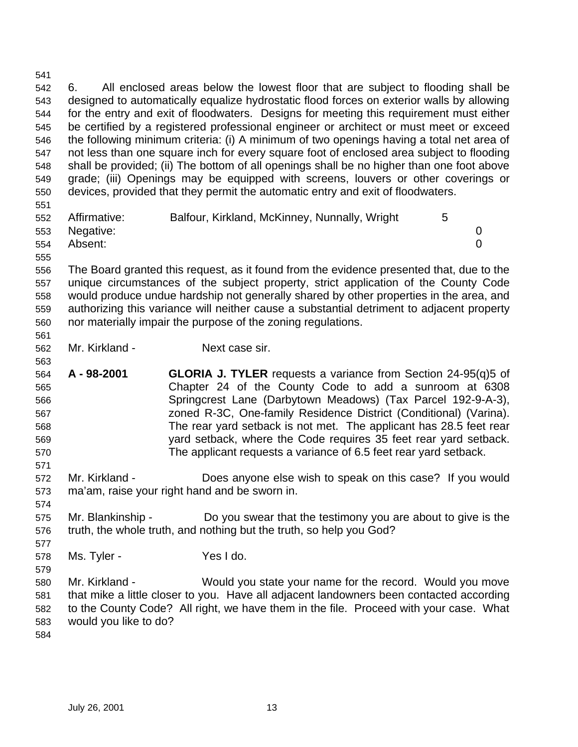designed to automatically equalize hydrostatic flood forces on exterior walls by allowing for the entry and exit of floodwaters. Designs for meeting this requirement must either be certified by a registered professional engineer or architect or must meet or exceed the following minimum criteria: (i) A minimum of two openings having a total net area of not less than one square inch for every square foot of enclosed area subject to flooding shall be provided; (ii) The bottom of all openings shall be no higher than one foot above grade; (iii) Openings may be equipped with screens, louvers or other coverings or devices, provided that they permit the automatic entry and exit of floodwaters. Affirmative: Balfour, Kirkland, McKinney, Nunnally, Wright 5 Negative: 0 Absent: 0 The Board granted this request, as it found from the evidence presented that, due to the unique circumstances of the subject property, strict application of the County Code would produce undue hardship not generally shared by other properties in the area, and authorizing this variance will neither cause a substantial detriment to adjacent property nor materially impair the purpose of the zoning regulations. Mr. Kirkland - Next case sir. **A - 98-2001 GLORIA J. TYLER** requests a variance from Section 24-95(q)5 of Chapter 24 of the County Code to add a sunroom at 6308 Springcrest Lane (Darbytown Meadows) (Tax Parcel 192-9-A-3), zoned R-3C, One-family Residence District (Conditional) (Varina). The rear yard setback is not met. The applicant has 28.5 feet rear yard setback, where the Code requires 35 feet rear yard setback. The applicant requests a variance of 6.5 feet rear yard setback. Mr. Kirkland - Does anyone else wish to speak on this case? If you would ma'am, raise your right hand and be sworn in. Mr. Blankinship - Do you swear that the testimony you are about to give is the truth, the whole truth, and nothing but the truth, so help you God?

6. All enclosed areas below the lowest floor that are subject to flooding shall be

- Ms. Tyler Yes I do.
- Mr. Kirkland - Would you state your name for the record. Would you move that mike a little closer to you. Have all adjacent landowners been contacted according to the County Code? All right, we have them in the file. Proceed with your case. What would you like to do?
-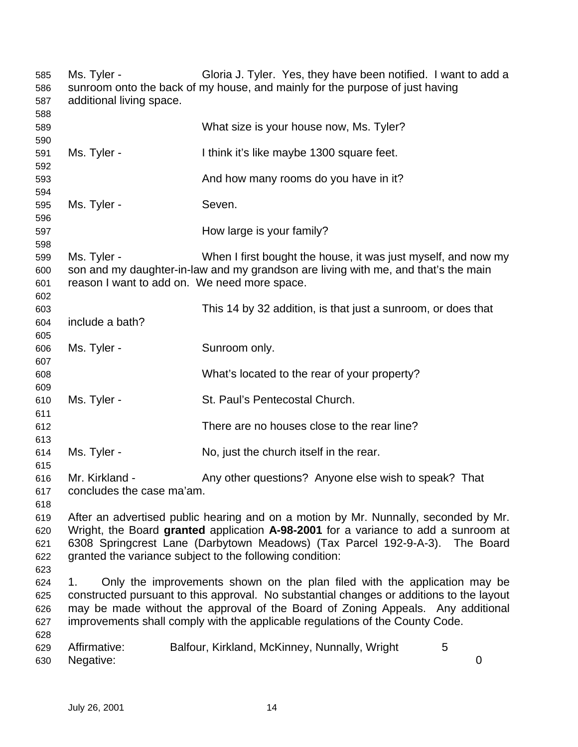Ms. Tyler - Gloria J. Tyler. Yes, they have been notified. I want to add a sunroom onto the back of my house, and mainly for the purpose of just having additional living space. What size is your house now, Ms. Tyler? Ms. Tyler - I think it's like maybe 1300 square feet. And how many rooms do you have in it? Ms. Tyler - Seven. How large is your family? Ms. Tyler - When I first bought the house, it was just myself, and now my son and my daughter-in-law and my grandson are living with me, and that's the main reason I want to add on. We need more space. This 14 by 32 addition, is that just a sunroom, or does that include a bath? Ms. Tyler - Sunroom only. What's located to the rear of your property? Ms. Tyler - St. Paul's Pentecostal Church. There are no houses close to the rear line? Ms. Tyler - No, just the church itself in the rear. Mr. Kirkland - Any other questions? Anyone else wish to speak? That concludes the case ma'am. After an advertised public hearing and on a motion by Mr. Nunnally, seconded by Mr. Wright, the Board **granted** application **A-98-2001** for a variance to add a sunroom at 6308 Springcrest Lane (Darbytown Meadows) (Tax Parcel 192-9-A-3). The Board granted the variance subject to the following condition: 1. Only the improvements shown on the plan filed with the application may be constructed pursuant to this approval. No substantial changes or additions to the layout may be made without the approval of the Board of Zoning Appeals. Any additional improvements shall comply with the applicable regulations of the County Code. Affirmative: Balfour, Kirkland, McKinney, Nunnally, Wright 5 Negative: 0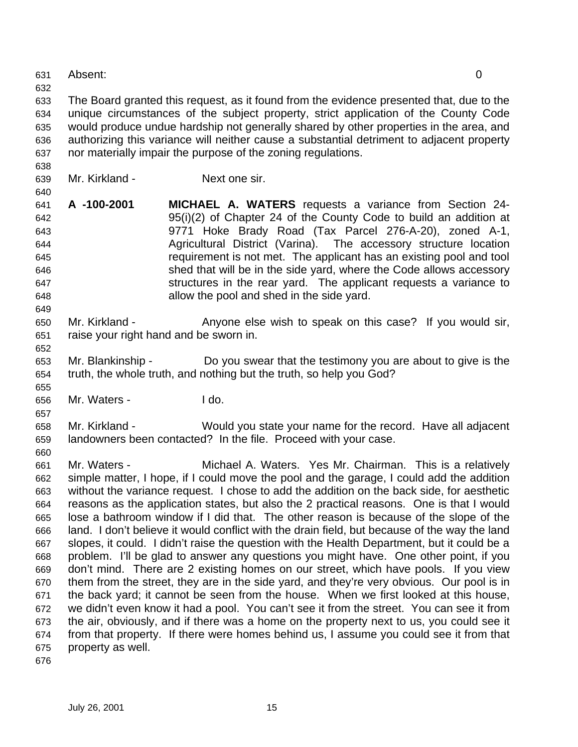Absent: 0

 The Board granted this request, as it found from the evidence presented that, due to the unique circumstances of the subject property, strict application of the County Code would produce undue hardship not generally shared by other properties in the area, and authorizing this variance will neither cause a substantial detriment to adjacent property nor materially impair the purpose of the zoning regulations.

- 
- 

Mr. Kirkland - Next one sir.

- **A -100-2001 MICHAEL A. WATERS** requests a variance from Section 24- 95(i)(2) of Chapter 24 of the County Code to build an addition at 9771 Hoke Brady Road (Tax Parcel 276-A-20), zoned A-1, Agricultural District (Varina). The accessory structure location requirement is not met. The applicant has an existing pool and tool shed that will be in the side yard, where the Code allows accessory structures in the rear yard. The applicant requests a variance to allow the pool and shed in the side yard.
- Mr. Kirkland Anyone else wish to speak on this case? If you would sir, raise your right hand and be sworn in.
- Mr. Blankinship Do you swear that the testimony you are about to give is the truth, the whole truth, and nothing but the truth, so help you God?
- Mr. Waters I do.

 Mr. Kirkland - Would you state your name for the record. Have all adjacent landowners been contacted? In the file. Proceed with your case.

 Mr. Waters - Michael A. Waters. Yes Mr. Chairman. This is a relatively simple matter, I hope, if I could move the pool and the garage, I could add the addition without the variance request. I chose to add the addition on the back side, for aesthetic reasons as the application states, but also the 2 practical reasons. One is that I would lose a bathroom window if I did that. The other reason is because of the slope of the land. I don't believe it would conflict with the drain field, but because of the way the land slopes, it could. I didn't raise the question with the Health Department, but it could be a problem. I'll be glad to answer any questions you might have. One other point, if you don't mind. There are 2 existing homes on our street, which have pools. If you view them from the street, they are in the side yard, and they're very obvious. Our pool is in the back yard; it cannot be seen from the house. When we first looked at this house, we didn't even know it had a pool. You can't see it from the street. You can see it from the air, obviously, and if there was a home on the property next to us, you could see it from that property. If there were homes behind us, I assume you could see it from that property as well.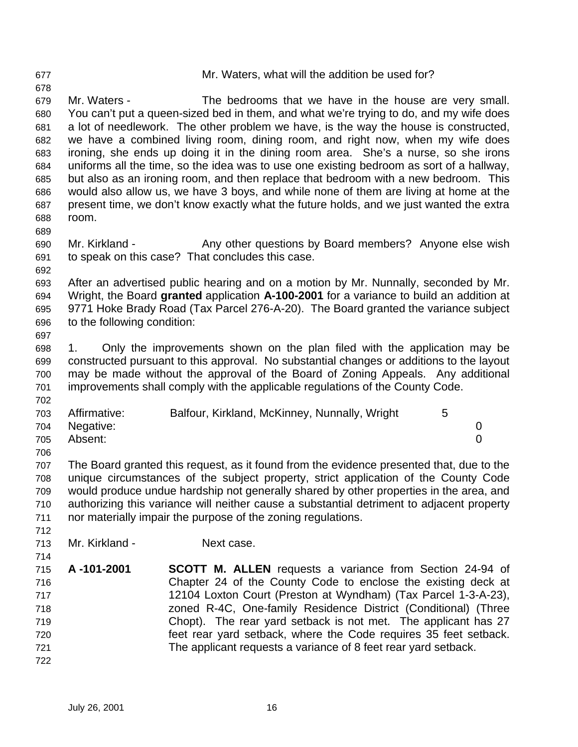| 677 |                             | Mr. Waters, what will the addition be used for?                                           |
|-----|-----------------------------|-------------------------------------------------------------------------------------------|
| 678 |                             |                                                                                           |
| 679 | Mr. Waters -                | The bedrooms that we have in the house are very small.                                    |
| 680 |                             | You can't put a queen-sized bed in them, and what we're trying to do, and my wife does    |
| 681 |                             | a lot of needlework. The other problem we have, is the way the house is constructed,      |
| 682 |                             | we have a combined living room, dining room, and right now, when my wife does             |
| 683 |                             | ironing, she ends up doing it in the dining room area. She's a nurse, so she irons        |
| 684 |                             | uniforms all the time, so the idea was to use one existing bedroom as sort of a hallway,  |
| 685 |                             | but also as an ironing room, and then replace that bedroom with a new bedroom. This       |
| 686 |                             | would also allow us, we have 3 boys, and while none of them are living at home at the     |
| 687 |                             | present time, we don't know exactly what the future holds, and we just wanted the extra   |
| 688 | room.                       |                                                                                           |
| 689 |                             |                                                                                           |
| 690 | Mr. Kirkland -              | Any other questions by Board members? Anyone else wish                                    |
| 691 |                             | to speak on this case? That concludes this case.                                          |
| 692 |                             |                                                                                           |
| 693 |                             | After an advertised public hearing and on a motion by Mr. Nunnally, seconded by Mr.       |
| 694 |                             | Wright, the Board granted application A-100-2001 for a variance to build an addition at   |
| 695 |                             | 9771 Hoke Brady Road (Tax Parcel 276-A-20). The Board granted the variance subject        |
| 696 | to the following condition: |                                                                                           |
| 697 |                             |                                                                                           |
| 698 | 1.                          | Only the improvements shown on the plan filed with the application may be                 |
| 699 |                             | constructed pursuant to this approval. No substantial changes or additions to the layout  |
| 700 |                             | may be made without the approval of the Board of Zoning Appeals. Any additional           |
| 701 |                             | improvements shall comply with the applicable regulations of the County Code.             |
| 702 |                             |                                                                                           |
| 703 | Affirmative:                | Balfour, Kirkland, McKinney, Nunnally, Wright<br>5                                        |
| 704 | Negative:                   | 0                                                                                         |
| 705 | Absent:                     | $\overline{0}$                                                                            |
| 706 |                             |                                                                                           |
| 707 |                             | The Board granted this request, as it found from the evidence presented that, due to the  |
| 708 |                             | unique circumstances of the subject property, strict application of the County Code       |
| 709 |                             | would produce undue hardship not generally shared by other properties in the area, and    |
| 710 |                             | authorizing this variance will neither cause a substantial detriment to adjacent property |
| 711 |                             | nor materially impair the purpose of the zoning regulations.                              |
| 712 |                             |                                                                                           |
| 713 | Mr. Kirkland -              | Next case.                                                                                |
| 714 |                             |                                                                                           |
| 715 | A-101-2001                  | <b>SCOTT M. ALLEN</b> requests a variance from Section 24-94 of                           |
| 716 |                             | Chapter 24 of the County Code to enclose the existing deck at                             |
| 717 |                             | 12104 Loxton Court (Preston at Wyndham) (Tax Parcel 1-3-A-23),                            |
| 718 |                             | zoned R-4C, One-family Residence District (Conditional) (Three                            |
| 719 |                             | Chopt). The rear yard setback is not met. The applicant has 27                            |
| 720 |                             | feet rear yard setback, where the Code requires 35 feet setback.                          |
| 721 |                             | The applicant requests a variance of 8 feet rear yard setback.                            |
|     |                             |                                                                                           |
| 722 |                             |                                                                                           |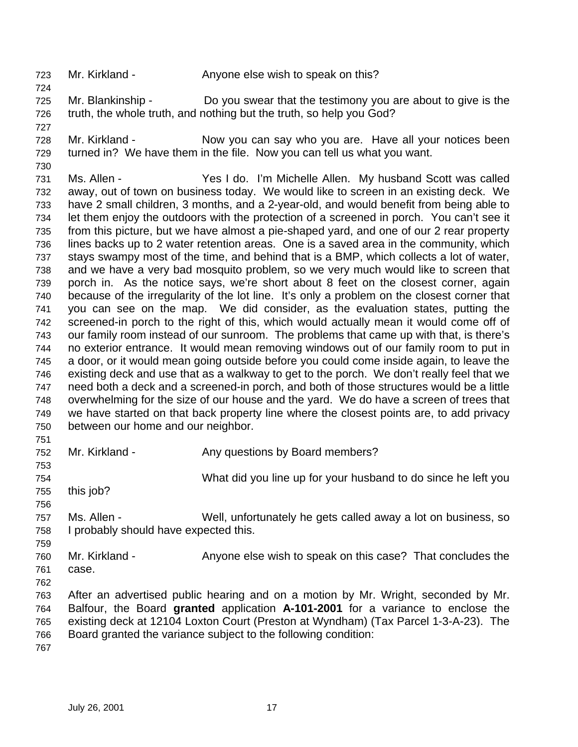723 Mr. Kirkland - Anyone else wish to speak on this?

 Mr. Blankinship - Do you swear that the testimony you are about to give is the truth, the whole truth, and nothing but the truth, so help you God?

 Mr. Kirkland - Now you can say who you are. Have all your notices been turned in? We have them in the file. Now you can tell us what you want.

 Ms. Allen - Yes I do. I'm Michelle Allen. My husband Scott was called away, out of town on business today. We would like to screen in an existing deck. We have 2 small children, 3 months, and a 2-year-old, and would benefit from being able to let them enjoy the outdoors with the protection of a screened in porch. You can't see it from this picture, but we have almost a pie-shaped yard, and one of our 2 rear property lines backs up to 2 water retention areas. One is a saved area in the community, which stays swampy most of the time, and behind that is a BMP, which collects a lot of water, and we have a very bad mosquito problem, so we very much would like to screen that porch in. As the notice says, we're short about 8 feet on the closest corner, again because of the irregularity of the lot line. It's only a problem on the closest corner that you can see on the map. We did consider, as the evaluation states, putting the screened-in porch to the right of this, which would actually mean it would come off of our family room instead of our sunroom. The problems that came up with that, is there's no exterior entrance. It would mean removing windows out of our family room to put in a door, or it would mean going outside before you could come inside again, to leave the existing deck and use that as a walkway to get to the porch. We don't really feel that we need both a deck and a screened-in porch, and both of those structures would be a little overwhelming for the size of our house and the yard. We do have a screen of trees that we have started on that back property line where the closest points are, to add privacy between our home and our neighbor.

752 Mr. Kirkland - Any questions by Board members?

What did you line up for your husband to do since he left you

- this job?
- 

 Ms. Allen - Well, unfortunately he gets called away a lot on business, so I probably should have expected this.

 Mr. Kirkland - Anyone else wish to speak on this case? That concludes the case.

 After an advertised public hearing and on a motion by Mr. Wright, seconded by Mr. Balfour, the Board **granted** application **A-101-2001** for a variance to enclose the existing deck at 12104 Loxton Court (Preston at Wyndham) (Tax Parcel 1-3-A-23). The Board granted the variance subject to the following condition: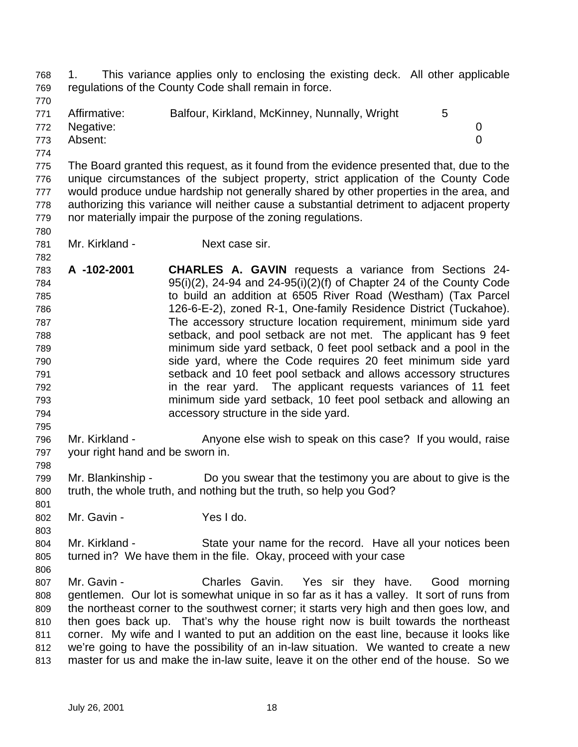1. This variance applies only to enclosing the existing deck. All other applicable regulations of the County Code shall remain in force.

771 Affirmative: Balfour, Kirkland, McKinney, Nunnally, Wright 5

Negative: 0

Absent: 0

 The Board granted this request, as it found from the evidence presented that, due to the unique circumstances of the subject property, strict application of the County Code would produce undue hardship not generally shared by other properties in the area, and authorizing this variance will neither cause a substantial detriment to adjacent property nor materially impair the purpose of the zoning regulations.

- 
- Mr. Kirkland Next case sir.

 **A -102-2001 CHARLES A. GAVIN** requests a variance from Sections 24- 95(i)(2), 24-94 and 24-95(i)(2)(f) of Chapter 24 of the County Code to build an addition at 6505 River Road (Westham) (Tax Parcel 126-6-E-2), zoned R-1, One-family Residence District (Tuckahoe). The accessory structure location requirement, minimum side yard setback, and pool setback are not met. The applicant has 9 feet minimum side yard setback, 0 feet pool setback and a pool in the side yard, where the Code requires 20 feet minimum side yard setback and 10 feet pool setback and allows accessory structures in the rear yard. The applicant requests variances of 11 feet minimum side yard setback, 10 feet pool setback and allowing an accessory structure in the side yard.

 Mr. Kirkland - Anyone else wish to speak on this case? If you would, raise your right hand and be sworn in.

 Mr. Blankinship - Do you swear that the testimony you are about to give is the truth, the whole truth, and nothing but the truth, so help you God?

802 Mr. Gavin - Yes I do.

 Mr. Kirkland - State your name for the record. Have all your notices been turned in? We have them in the file. Okay, proceed with your case

807 Mr. Gavin - Charles Gavin. Yes sir they have. Good morning gentlemen. Our lot is somewhat unique in so far as it has a valley. It sort of runs from the northeast corner to the southwest corner; it starts very high and then goes low, and then goes back up. That's why the house right now is built towards the northeast corner. My wife and I wanted to put an addition on the east line, because it looks like we're going to have the possibility of an in-law situation. We wanted to create a new master for us and make the in-law suite, leave it on the other end of the house. So we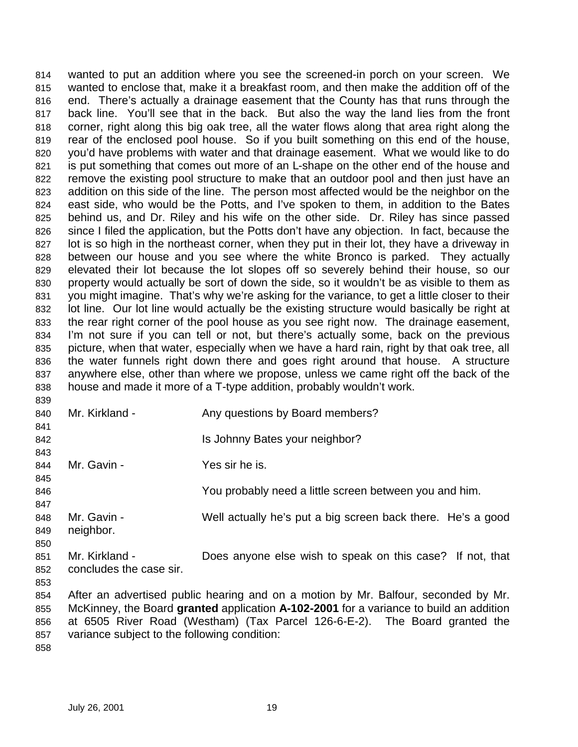wanted to put an addition where you see the screened-in porch on your screen. We wanted to enclose that, make it a breakfast room, and then make the addition off of the end. There's actually a drainage easement that the County has that runs through the back line. You'll see that in the back. But also the way the land lies from the front corner, right along this big oak tree, all the water flows along that area right along the rear of the enclosed pool house. So if you built something on this end of the house, you'd have problems with water and that drainage easement. What we would like to do 821 is put something that comes out more of an L-shape on the other end of the house and remove the existing pool structure to make that an outdoor pool and then just have an addition on this side of the line. The person most affected would be the neighbor on the east side, who would be the Potts, and I've spoken to them, in addition to the Bates behind us, and Dr. Riley and his wife on the other side. Dr. Riley has since passed since I filed the application, but the Potts don't have any objection. In fact, because the 827 lot is so high in the northeast corner, when they put in their lot, they have a driveway in between our house and you see where the white Bronco is parked. They actually elevated their lot because the lot slopes off so severely behind their house, so our property would actually be sort of down the side, so it wouldn't be as visible to them as you might imagine. That's why we're asking for the variance, to get a little closer to their lot line. Our lot line would actually be the existing structure would basically be right at the rear right corner of the pool house as you see right now. The drainage easement, I'm not sure if you can tell or not, but there's actually some, back on the previous picture, when that water, especially when we have a hard rain, right by that oak tree, all the water funnels right down there and goes right around that house. A structure anywhere else, other than where we propose, unless we came right off the back of the house and made it more of a T-type addition, probably wouldn't work. 

| 840        | Mr. Kirkland -                               | Any questions by Board members?                                                        |
|------------|----------------------------------------------|----------------------------------------------------------------------------------------|
| 841<br>842 |                                              | Is Johnny Bates your neighbor?                                                         |
| 843        |                                              |                                                                                        |
| 844        | Mr. Gavin -                                  | Yes sir he is.                                                                         |
| 845        |                                              |                                                                                        |
| 846        |                                              | You probably need a little screen between you and him.                                 |
| 847        |                                              |                                                                                        |
| 848        | Mr. Gavin -                                  | Well actually he's put a big screen back there. He's a good                            |
| 849        | neighbor.                                    |                                                                                        |
| 850        |                                              |                                                                                        |
| 851        | Mr. Kirkland -                               | Does anyone else wish to speak on this case? If not, that                              |
| 852        | concludes the case sir.                      |                                                                                        |
| 853        |                                              |                                                                                        |
| 854        |                                              | After an advertised public hearing and on a motion by Mr. Balfour, seconded by Mr.     |
| 855        |                                              | McKinney, the Board granted application A-102-2001 for a variance to build an addition |
| 856        |                                              | at 6505 River Road (Westham) (Tax Parcel 126-6-E-2). The Board granted the             |
| 857        | variance subject to the following condition: |                                                                                        |
| 858        |                                              |                                                                                        |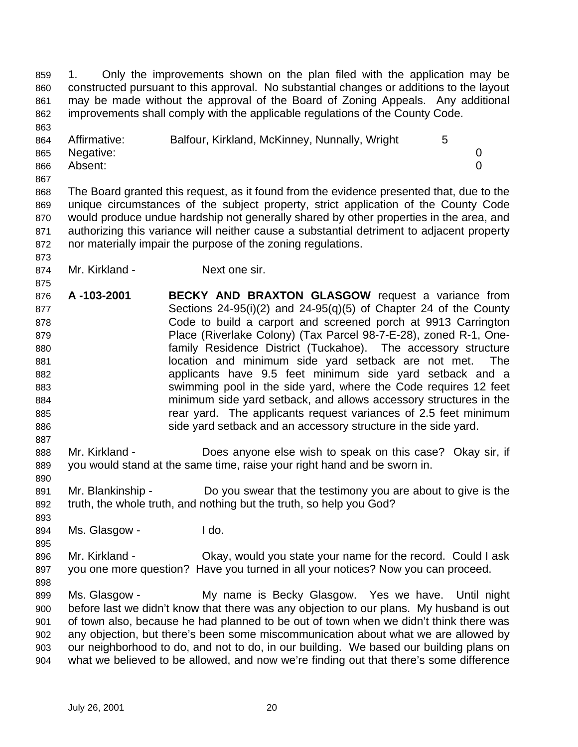1. Only the improvements shown on the plan filed with the application may be constructed pursuant to this approval. No substantial changes or additions to the layout may be made without the approval of the Board of Zoning Appeals. Any additional improvements shall comply with the applicable regulations of the County Code.

| 864 | Affirmative: | Balfour, Kirkland, McKinney, Nunnally, Wright |  |
|-----|--------------|-----------------------------------------------|--|
| 865 | Negative:    |                                               |  |
| 866 | Absent:      |                                               |  |

 The Board granted this request, as it found from the evidence presented that, due to the unique circumstances of the subject property, strict application of the County Code would produce undue hardship not generally shared by other properties in the area, and authorizing this variance will neither cause a substantial detriment to adjacent property nor materially impair the purpose of the zoning regulations.

- 874 Mr. Kirkland Next one sir.
- **A -103-2001 BECKY AND BRAXTON GLASGOW** request a variance from Sections 24-95(i)(2) and 24-95(q)(5) of Chapter 24 of the County Code to build a carport and screened porch at 9913 Carrington Place (Riverlake Colony) (Tax Parcel 98-7-E-28), zoned R-1, One- family Residence District (Tuckahoe). The accessory structure location and minimum side yard setback are not met. The applicants have 9.5 feet minimum side yard setback and a swimming pool in the side yard, where the Code requires 12 feet minimum side yard setback, and allows accessory structures in the **rear yard.** The applicants request variances of 2.5 feet minimum 886 side yard setback and an accessory structure in the side yard.
- Mr. Kirkland Does anyone else wish to speak on this case? Okay sir, if you would stand at the same time, raise your right hand and be sworn in.
- 891 Mr. Blankinship Do you swear that the testimony you are about to give is the truth, the whole truth, and nothing but the truth, so help you God?
- 894 Ms. Glasgow Ido.

 Mr. Kirkland - Okay, would you state your name for the record. Could I ask you one more question? Have you turned in all your notices? Now you can proceed. 

 Ms. Glasgow - My name is Becky Glasgow. Yes we have. Until night before last we didn't know that there was any objection to our plans. My husband is out of town also, because he had planned to be out of town when we didn't think there was any objection, but there's been some miscommunication about what we are allowed by our neighborhood to do, and not to do, in our building. We based our building plans on what we believed to be allowed, and now we're finding out that there's some difference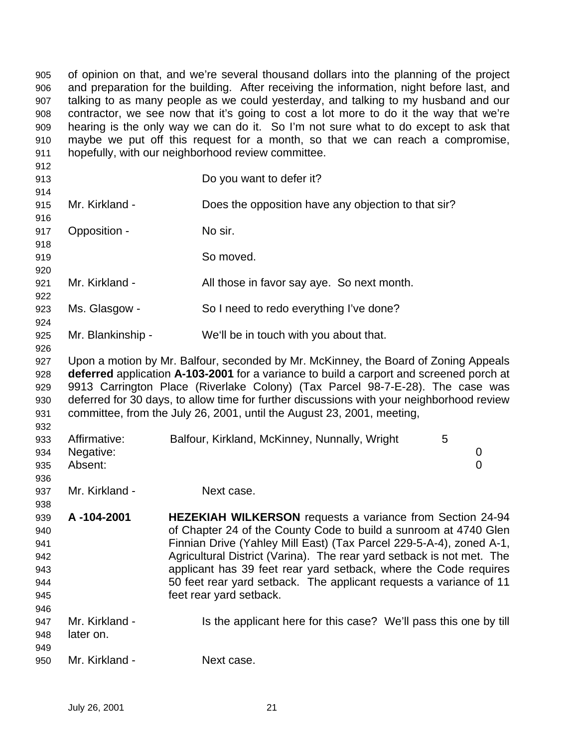of opinion on that, and we're several thousand dollars into the planning of the project and preparation for the building. After receiving the information, night before last, and talking to as many people as we could yesterday, and talking to my husband and our contractor, we see now that it's going to cost a lot more to do it the way that we're hearing is the only way we can do it. So I'm not sure what to do except to ask that maybe we put off this request for a month, so that we can reach a compromise, hopefully, with our neighborhood review committee.

| 912                                                  |                                      |                                                                                                                                                                                                                                                                                                                                                                                                                                                           |                          |
|------------------------------------------------------|--------------------------------------|-----------------------------------------------------------------------------------------------------------------------------------------------------------------------------------------------------------------------------------------------------------------------------------------------------------------------------------------------------------------------------------------------------------------------------------------------------------|--------------------------|
| 913                                                  |                                      | Do you want to defer it?                                                                                                                                                                                                                                                                                                                                                                                                                                  |                          |
| 914<br>915                                           | Mr. Kirkland -                       | Does the opposition have any objection to that sir?                                                                                                                                                                                                                                                                                                                                                                                                       |                          |
| 916<br>917<br>918                                    | Opposition -                         | No sir.                                                                                                                                                                                                                                                                                                                                                                                                                                                   |                          |
| 919<br>920                                           |                                      | So moved.                                                                                                                                                                                                                                                                                                                                                                                                                                                 |                          |
| 921<br>922                                           | Mr. Kirkland -                       | All those in favor say aye. So next month.                                                                                                                                                                                                                                                                                                                                                                                                                |                          |
| 923<br>924                                           | Ms. Glasgow -                        | So I need to redo everything I've done?                                                                                                                                                                                                                                                                                                                                                                                                                   |                          |
| 925<br>926                                           | Mr. Blankinship -                    | We'll be in touch with you about that.                                                                                                                                                                                                                                                                                                                                                                                                                    |                          |
| 927<br>928<br>929<br>930<br>931<br>932               |                                      | Upon a motion by Mr. Balfour, seconded by Mr. McKinney, the Board of Zoning Appeals<br>deferred application A-103-2001 for a variance to build a carport and screened porch at<br>9913 Carrington Place (Riverlake Colony) (Tax Parcel 98-7-E-28). The case was<br>deferred for 30 days, to allow time for further discussions with your neighborhood review<br>committee, from the July 26, 2001, until the August 23, 2001, meeting,                    |                          |
| 933<br>934<br>935<br>936                             | Affirmative:<br>Negative:<br>Absent: | Balfour, Kirkland, McKinney, Nunnally, Wright                                                                                                                                                                                                                                                                                                                                                                                                             | 5<br>0<br>$\overline{0}$ |
| 937<br>938                                           | Mr. Kirkland -                       | Next case.                                                                                                                                                                                                                                                                                                                                                                                                                                                |                          |
| 939<br>940<br>941<br>942<br>943<br>944<br>945<br>946 | A-104-2001                           | <b>HEZEKIAH WILKERSON</b> requests a variance from Section 24-94<br>of Chapter 24 of the County Code to build a sunroom at 4740 Glen<br>Finnian Drive (Yahley Mill East) (Tax Parcel 229-5-A-4), zoned A-1,<br>Agricultural District (Varina). The rear yard setback is not met. The<br>applicant has 39 feet rear yard setback, where the Code requires<br>50 feet rear yard setback. The applicant requests a variance of 11<br>feet rear yard setback. |                          |
| 947<br>948<br>949                                    | Mr. Kirkland -<br>later on.          | Is the applicant here for this case? We'll pass this one by till                                                                                                                                                                                                                                                                                                                                                                                          |                          |
| 950                                                  | Mr. Kirkland -                       | Next case.                                                                                                                                                                                                                                                                                                                                                                                                                                                |                          |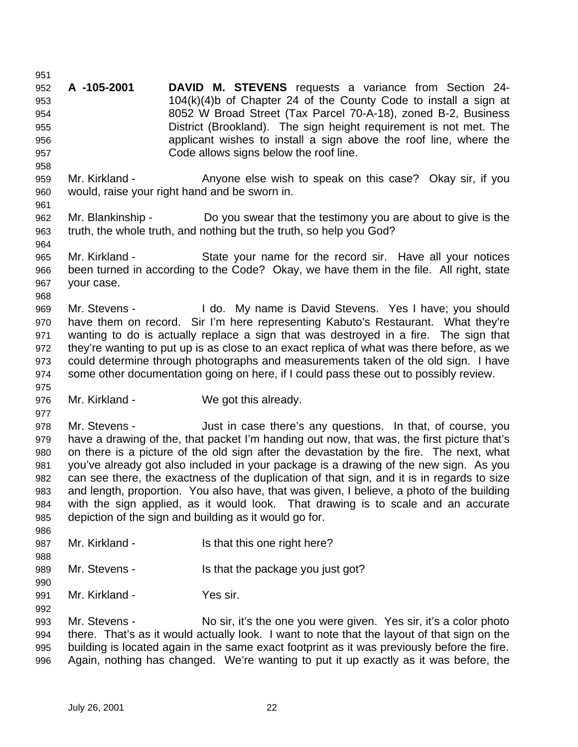**A -105-2001 DAVID M. STEVENS** requests a variance from Section 24- 104(k)(4)b of Chapter 24 of the County Code to install a sign at 8052 W Broad Street (Tax Parcel 70-A-18), zoned B-2, Business District (Brookland). The sign height requirement is not met. The applicant wishes to install a sign above the roof line, where the Code allows signs below the roof line. Mr. Kirkland - Anyone else wish to speak on this case? Okay sir, if you would, raise your right hand and be sworn in. Mr. Blankinship - Do you swear that the testimony you are about to give is the truth, the whole truth, and nothing but the truth, so help you God? Mr. Kirkland - State your name for the record sir. Have all your notices been turned in according to the Code? Okay, we have them in the file. All right, state your case. 969 Mr. Stevens - I do. My name is David Stevens. Yes I have; you should have them on record. Sir I'm here representing Kabuto's Restaurant. What they're wanting to do is actually replace a sign that was destroyed in a fire. The sign that they're wanting to put up is as close to an exact replica of what was there before, as we could determine through photographs and measurements taken of the old sign. I have some other documentation going on here, if I could pass these out to possibly review. Mr. Kirkland - We got this already. Mr. Stevens - Just in case there's any questions. In that, of course, you have a drawing of the, that packet I'm handing out now, that was, the first picture that's on there is a picture of the old sign after the devastation by the fire. The next, what you've already got also included in your package is a drawing of the new sign. As you can see there, the exactness of the duplication of that sign, and it is in regards to size and length, proportion. You also have, that was given, I believe, a photo of the building with the sign applied, as it would look. That drawing is to scale and an accurate depiction of the sign and building as it would go for. 987 Mr. Kirkland - Is that this one right here? 989 Mr. Stevens - Is that the package you just got? Mr. Kirkland - Yes sir. Mr. Stevens - No sir, it's the one you were given. Yes sir, it's a color photo there. That's as it would actually look. I want to note that the layout of that sign on the building is located again in the same exact footprint as it was previously before the fire. Again, nothing has changed. We're wanting to put it up exactly as it was before, the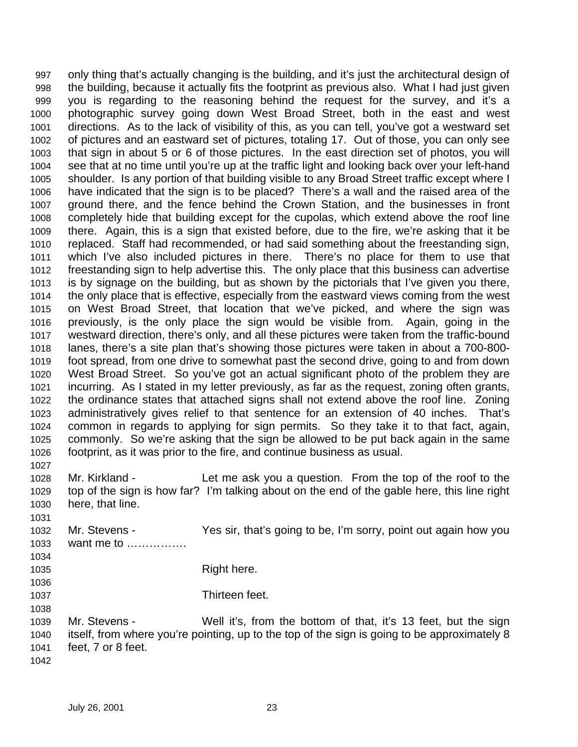only thing that's actually changing is the building, and it's just the architectural design of the building, because it actually fits the footprint as previous also. What I had just given you is regarding to the reasoning behind the request for the survey, and it's a photographic survey going down West Broad Street, both in the east and west directions. As to the lack of visibility of this, as you can tell, you've got a westward set of pictures and an eastward set of pictures, totaling 17. Out of those, you can only see that sign in about 5 or 6 of those pictures. In the east direction set of photos, you will see that at no time until you're up at the traffic light and looking back over your left-hand shoulder. Is any portion of that building visible to any Broad Street traffic except where I have indicated that the sign is to be placed? There's a wall and the raised area of the ground there, and the fence behind the Crown Station, and the businesses in front completely hide that building except for the cupolas, which extend above the roof line there. Again, this is a sign that existed before, due to the fire, we're asking that it be replaced. Staff had recommended, or had said something about the freestanding sign, which I've also included pictures in there. There's no place for them to use that freestanding sign to help advertise this. The only place that this business can advertise is by signage on the building, but as shown by the pictorials that I've given you there, the only place that is effective, especially from the eastward views coming from the west on West Broad Street, that location that we've picked, and where the sign was previously, is the only place the sign would be visible from. Again, going in the westward direction, there's only, and all these pictures were taken from the traffic-bound lanes, there's a site plan that's showing those pictures were taken in about a 700-800- foot spread, from one drive to somewhat past the second drive, going to and from down West Broad Street. So you've got an actual significant photo of the problem they are incurring. As I stated in my letter previously, as far as the request, zoning often grants, the ordinance states that attached signs shall not extend above the roof line. Zoning administratively gives relief to that sentence for an extension of 40 inches. That's common in regards to applying for sign permits. So they take it to that fact, again, commonly. So we're asking that the sign be allowed to be put back again in the same footprint, as it was prior to the fire, and continue business as usual. Mr. Kirkland - Let me ask you a question. From the top of the roof to the top of the sign is how far? I'm talking about on the end of the gable here, this line right here, that line. Mr. Stevens - Yes sir, that's going to be, I'm sorry, point out again how you

want me to …………….

1035 Right here.

Thirteen feet.

 Mr. Stevens - Well it's, from the bottom of that, it's 13 feet, but the sign itself, from where you're pointing, up to the top of the sign is going to be approximately 8 feet, 7 or 8 feet.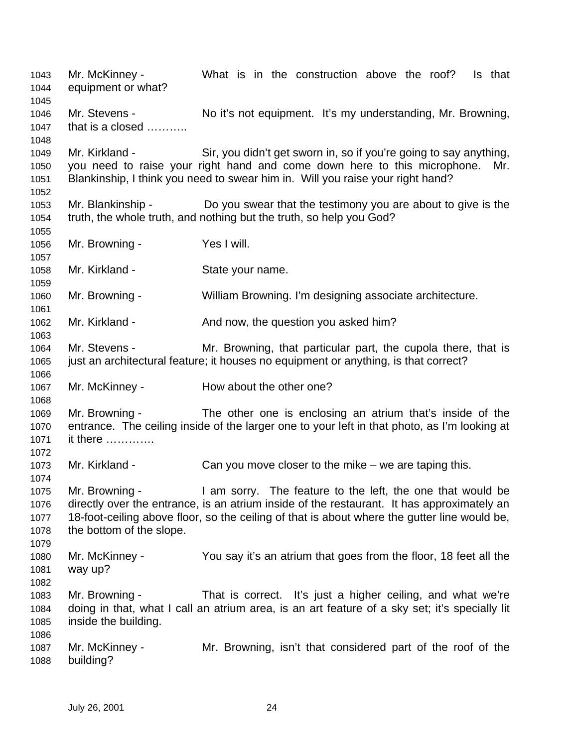Mr. McKinney - What is in the construction above the roof? Is that equipment or what? Mr. Stevens - No it's not equipment. It's my understanding, Mr. Browning, 1047 that is a closed ………… Mr. Kirkland - Sir, you didn't get sworn in, so if you're going to say anything, you need to raise your right hand and come down here to this microphone. Mr. Blankinship, I think you need to swear him in. Will you raise your right hand? Mr. Blankinship - Do you swear that the testimony you are about to give is the truth, the whole truth, and nothing but the truth, so help you God? Mr. Browning - Yes I will. Mr. Kirkland - State your name. Mr. Browning - William Browning. I'm designing associate architecture. 1062 Mr. Kirkland - And now, the question you asked him? Mr. Stevens - Mr. Browning, that particular part, the cupola there, that is just an architectural feature; it houses no equipment or anything, is that correct? 1067 Mr. McKinney - How about the other one? Mr. Browning - The other one is enclosing an atrium that's inside of the entrance. The ceiling inside of the larger one to your left in that photo, as I'm looking at it there …………. 1073 Mr. Kirkland - Can you move closer to the mike – we are taping this. Mr. Browning - I am sorry. The feature to the left, the one that would be directly over the entrance, is an atrium inside of the restaurant. It has approximately an 18-foot-ceiling above floor, so the ceiling of that is about where the gutter line would be, the bottom of the slope. Mr. McKinney - You say it's an atrium that goes from the floor, 18 feet all the way up? Mr. Browning - That is correct. It's just a higher ceiling, and what we're doing in that, what I call an atrium area, is an art feature of a sky set; it's specially lit inside the building. Mr. McKinney - Mr. Browning, isn't that considered part of the roof of the building?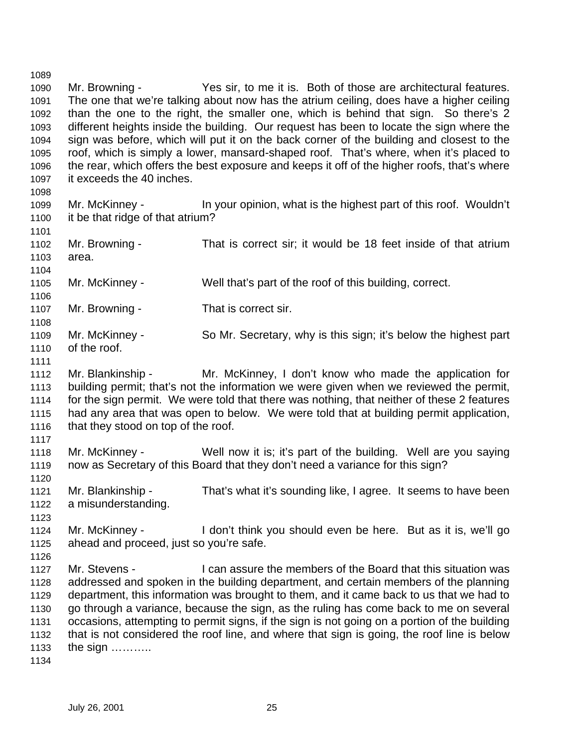Mr. Browning - Yes sir, to me it is. Both of those are architectural features. The one that we're talking about now has the atrium ceiling, does have a higher ceiling than the one to the right, the smaller one, which is behind that sign. So there's 2 different heights inside the building. Our request has been to locate the sign where the sign was before, which will put it on the back corner of the building and closest to the roof, which is simply a lower, mansard-shaped roof. That's where, when it's placed to the rear, which offers the best exposure and keeps it off of the higher roofs, that's where it exceeds the 40 inches. Mr. McKinney - In your opinion, what is the highest part of this roof. Wouldn't it be that ridge of that atrium? Mr. Browning - That is correct sir; it would be 18 feet inside of that atrium area. Mr. McKinney - Well that's part of the roof of this building, correct. Mr. Browning - That is correct sir. Mr. McKinney - So Mr. Secretary, why is this sign; it's below the highest part of the roof. Mr. Blankinship - Mr. McKinney, I don't know who made the application for building permit; that's not the information we were given when we reviewed the permit, for the sign permit. We were told that there was nothing, that neither of these 2 features had any area that was open to below. We were told that at building permit application, 1116 that they stood on top of the roof. Mr. McKinney - Well now it is; it's part of the building. Well are you saying now as Secretary of this Board that they don't need a variance for this sign? Mr. Blankinship - That's what it's sounding like, I agree. It seems to have been a misunderstanding. Mr. McKinney - I don't think you should even be here. But as it is, we'll go ahead and proceed, just so you're safe. Mr. Stevens - I can assure the members of the Board that this situation was addressed and spoken in the building department, and certain members of the planning department, this information was brought to them, and it came back to us that we had to go through a variance, because the sign, as the ruling has come back to me on several occasions, attempting to permit signs, if the sign is not going on a portion of the building that is not considered the roof line, and where that sign is going, the roof line is below the sign ………..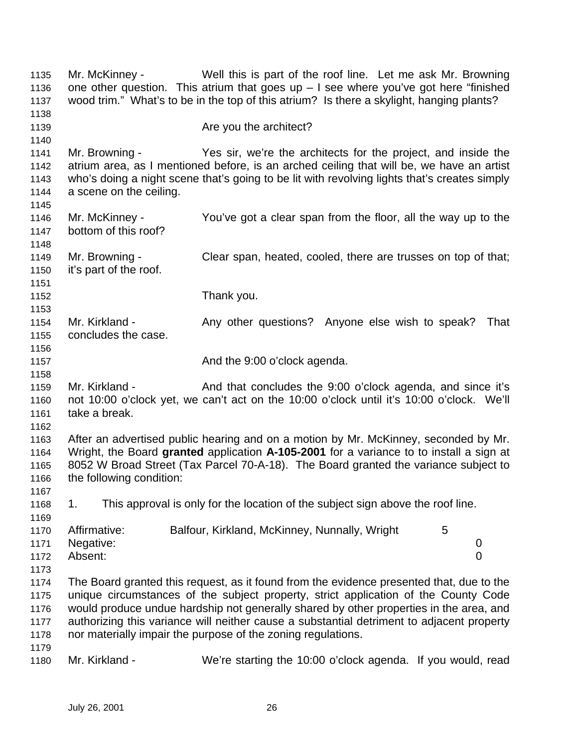Mr. McKinney - Well this is part of the roof line. Let me ask Mr. Browning 1136 one other question. This atrium that goes up  $-1$  see where you've got here "finished wood trim." What's to be in the top of this atrium? Is there a skylight, hanging plants? **Are you the architect?**  Mr. Browning - Yes sir, we're the architects for the project, and inside the atrium area, as I mentioned before, is an arched ceiling that will be, we have an artist who's doing a night scene that's going to be lit with revolving lights that's creates simply a scene on the ceiling. Mr. McKinney - You've got a clear span from the floor, all the way up to the bottom of this roof? Mr. Browning - Clear span, heated, cooled, there are trusses on top of that; it's part of the roof. Thank you. 1154 Mr. Kirkland - Any other questions? Anyone else wish to speak? That concludes the case. **And the 9:00 o'clock agenda.**  1159 Mr. Kirkland - And that concludes the 9:00 o'clock agenda, and since it's not 10:00 o'clock yet, we can't act on the 10:00 o'clock until it's 10:00 o'clock. We'll take a break. After an advertised public hearing and on a motion by Mr. McKinney, seconded by Mr. Wright, the Board **granted** application **A-105-2001** for a variance to to install a sign at 8052 W Broad Street (Tax Parcel 70-A-18). The Board granted the variance subject to the following condition: 1. This approval is only for the location of the subject sign above the roof line. 1170 Affirmative: Balfour, Kirkland, McKinney, Nunnally, Wright 5 Negative: 0 Absent: 0 The Board granted this request, as it found from the evidence presented that, due to the unique circumstances of the subject property, strict application of the County Code would produce undue hardship not generally shared by other properties in the area, and authorizing this variance will neither cause a substantial detriment to adjacent property nor materially impair the purpose of the zoning regulations. Mr. Kirkland - We're starting the 10:00 o'clock agenda. If you would, read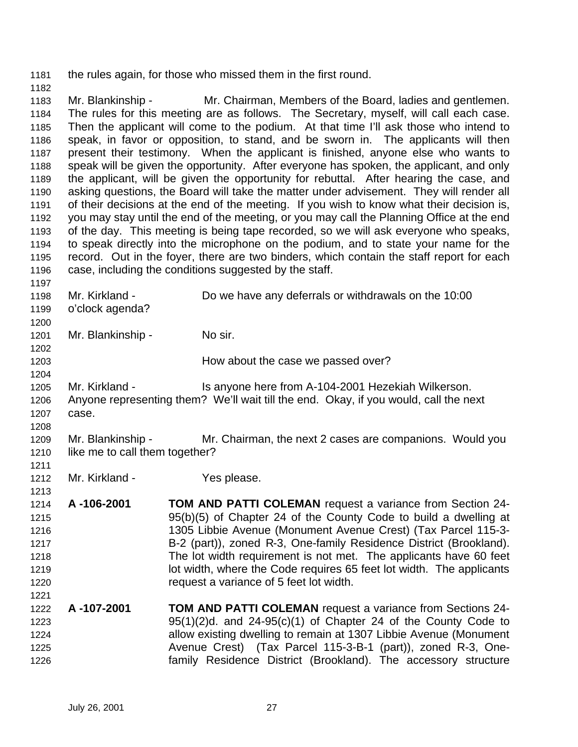the rules again, for those who missed them in the first round.

 Mr. Blankinship - Mr. Chairman, Members of the Board, ladies and gentlemen. The rules for this meeting are as follows. The Secretary, myself, will call each case. Then the applicant will come to the podium. At that time I'll ask those who intend to speak, in favor or opposition, to stand, and be sworn in. The applicants will then present their testimony. When the applicant is finished, anyone else who wants to speak will be given the opportunity. After everyone has spoken, the applicant, and only the applicant, will be given the opportunity for rebuttal. After hearing the case, and asking questions, the Board will take the matter under advisement. They will render all of their decisions at the end of the meeting. If you wish to know what their decision is, you may stay until the end of the meeting, or you may call the Planning Office at the end of the day. This meeting is being tape recorded, so we will ask everyone who speaks, to speak directly into the microphone on the podium, and to state your name for the record. Out in the foyer, there are two binders, which contain the staff report for each 1196 case, including the conditions suggested by the staff.

 Mr. Kirkland - Do we have any deferrals or withdrawals on the 10:00 o'clock agenda? Mr. Blankinship - No sir. **How about the case we passed over?** How about the case we passed over? Mr. Kirkland - Is anyone here from A-104-2001 Hezekiah Wilkerson. Anyone representing them? We'll wait till the end. Okay, if you would, call the next case. Mr. Blankinship - Mr. Chairman, the next 2 cases are companions. Would you 1210 like me to call them together? 1212 Mr. Kirkland - Yes please. **A -106-2001 TOM AND PATTI COLEMAN** request a variance from Section 24- 95(b)(5) of Chapter 24 of the County Code to build a dwelling at 1305 Libbie Avenue (Monument Avenue Crest) (Tax Parcel 115-3- B-2 (part)), zoned R-3, One-family Residence District (Brookland). The lot width requirement is not met. The applicants have 60 feet lot width, where the Code requires 65 feet lot width. The applicants request a variance of 5 feet lot width. **A -107-2001 TOM AND PATTI COLEMAN** request a variance from Sections 24- 1223 95(1)(2)d. and  $24-95(c)$ (1) of Chapter 24 of the County Code to allow existing dwelling to remain at 1307 Libbie Avenue (Monument Avenue Crest) (Tax Parcel 115-3-B-1 (part)), zoned R-3, One-family Residence District (Brookland). The accessory structure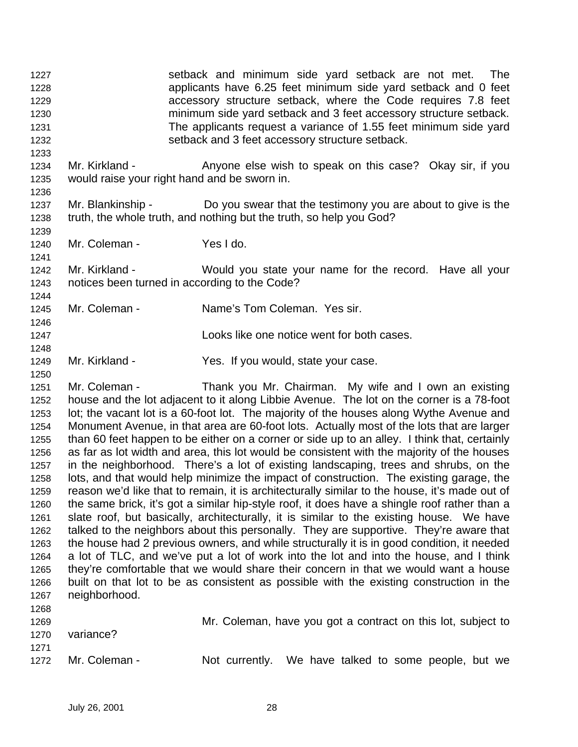1227 setback and minimum side yard setback are not met. The applicants have 6.25 feet minimum side yard setback and 0 feet accessory structure setback, where the Code requires 7.8 feet minimum side yard setback and 3 feet accessory structure setback. The applicants request a variance of 1.55 feet minimum side yard setback and 3 feet accessory structure setback. 1234 Mr. Kirkland - Anyone else wish to speak on this case? Okay sir, if you would raise your right hand and be sworn in. 1237 Mr. Blankinship - Do you swear that the testimony you are about to give is the truth, the whole truth, and nothing but the truth, so help you God? Mr. Coleman - Yes I do. Mr. Kirkland - Would you state your name for the record. Have all your notices been turned in according to the Code? Mr. Coleman - Name's Tom Coleman. Yes sir. Looks like one notice went for both cases. Mr. Kirkland - Yes. If you would, state your case. Mr. Coleman - Thank you Mr. Chairman. My wife and I own an existing house and the lot adjacent to it along Libbie Avenue. The lot on the corner is a 78-foot lot; the vacant lot is a 60-foot lot. The majority of the houses along Wythe Avenue and Monument Avenue, in that area are 60-foot lots. Actually most of the lots that are larger than 60 feet happen to be either on a corner or side up to an alley. I think that, certainly as far as lot width and area, this lot would be consistent with the majority of the houses in the neighborhood. There's a lot of existing landscaping, trees and shrubs, on the lots, and that would help minimize the impact of construction. The existing garage, the reason we'd like that to remain, it is architecturally similar to the house, it's made out of the same brick, it's got a similar hip-style roof, it does have a shingle roof rather than a slate roof, but basically, architecturally, it is similar to the existing house. We have talked to the neighbors about this personally. They are supportive. They're aware that the house had 2 previous owners, and while structurally it is in good condition, it needed a lot of TLC, and we've put a lot of work into the lot and into the house, and I think they're comfortable that we would share their concern in that we would want a house built on that lot to be as consistent as possible with the existing construction in the neighborhood. Mr. Coleman, have you got a contract on this lot, subject to variance? 1272 Mr. Coleman - Not currently. We have talked to some people, but we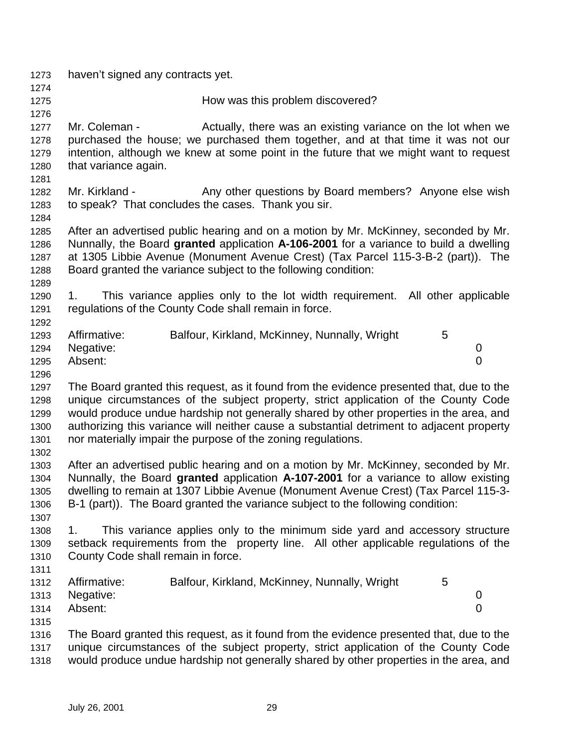| 1273         | haven't signed any contracts yet.                                                                                                                                         |
|--------------|---------------------------------------------------------------------------------------------------------------------------------------------------------------------------|
| 1274         |                                                                                                                                                                           |
| 1275         | How was this problem discovered?                                                                                                                                          |
| 1276         |                                                                                                                                                                           |
| 1277         | Actually, there was an existing variance on the lot when we<br>Mr. Coleman -                                                                                              |
| 1278         | purchased the house; we purchased them together, and at that time it was not our                                                                                          |
| 1279         | intention, although we knew at some point in the future that we might want to request                                                                                     |
| 1280         | that variance again.                                                                                                                                                      |
| 1281         |                                                                                                                                                                           |
| 1282         | Mr. Kirkland -<br>Any other questions by Board members? Anyone else wish                                                                                                  |
| 1283         | to speak? That concludes the cases. Thank you sir.                                                                                                                        |
| 1284         |                                                                                                                                                                           |
| 1285         | After an advertised public hearing and on a motion by Mr. McKinney, seconded by Mr.                                                                                       |
| 1286         | Nunnally, the Board granted application A-106-2001 for a variance to build a dwelling<br>at 1305 Libbie Avenue (Monument Avenue Crest) (Tax Parcel 115-3-B-2 (part)). The |
| 1287<br>1288 | Board granted the variance subject to the following condition:                                                                                                            |
| 1289         |                                                                                                                                                                           |
| 1290         | This variance applies only to the lot width requirement. All other applicable<br>1.                                                                                       |
| 1291         | regulations of the County Code shall remain in force.                                                                                                                     |
| 1292         |                                                                                                                                                                           |
| 1293         | Affirmative:<br>Balfour, Kirkland, McKinney, Nunnally, Wright<br>5                                                                                                        |
| 1294         | Negative:<br>0                                                                                                                                                            |
| 1295         | $\overline{0}$<br>Absent:                                                                                                                                                 |
| 1296         |                                                                                                                                                                           |
| 1297         | The Board granted this request, as it found from the evidence presented that, due to the                                                                                  |
| 1298         | unique circumstances of the subject property, strict application of the County Code                                                                                       |
| 1299         | would produce undue hardship not generally shared by other properties in the area, and                                                                                    |
| 1300         | authorizing this variance will neither cause a substantial detriment to adjacent property                                                                                 |
| 1301         | nor materially impair the purpose of the zoning regulations.                                                                                                              |
| 1302         |                                                                                                                                                                           |
| 1303         | After an advertised public hearing and on a motion by Mr. McKinney, seconded by Mr.                                                                                       |
| 1304         | Nunnally, the Board granted application A-107-2001 for a variance to allow existing                                                                                       |
| 1305         | dwelling to remain at 1307 Libbie Avenue (Monument Avenue Crest) (Tax Parcel 115-3-                                                                                       |
| 1306         | B-1 (part)). The Board granted the variance subject to the following condition:                                                                                           |
| 1307         |                                                                                                                                                                           |
| 1308         | This variance applies only to the minimum side yard and accessory structure<br>1.                                                                                         |
| 1309         | setback requirements from the property line. All other applicable regulations of the                                                                                      |
| 1310         | County Code shall remain in force.                                                                                                                                        |
| 1311         |                                                                                                                                                                           |
| 1312         | Affirmative:<br>Balfour, Kirkland, McKinney, Nunnally, Wright<br>5                                                                                                        |
| 1313         | Negative:<br>0                                                                                                                                                            |
| 1314         | Absent:<br>0                                                                                                                                                              |
| 1315         |                                                                                                                                                                           |
| 1316         | The Board granted this request, as it found from the evidence presented that, due to the                                                                                  |
| 1317         | unique circumstances of the subject property, strict application of the County Code                                                                                       |
| 1318         | would produce undue hardship not generally shared by other properties in the area, and                                                                                    |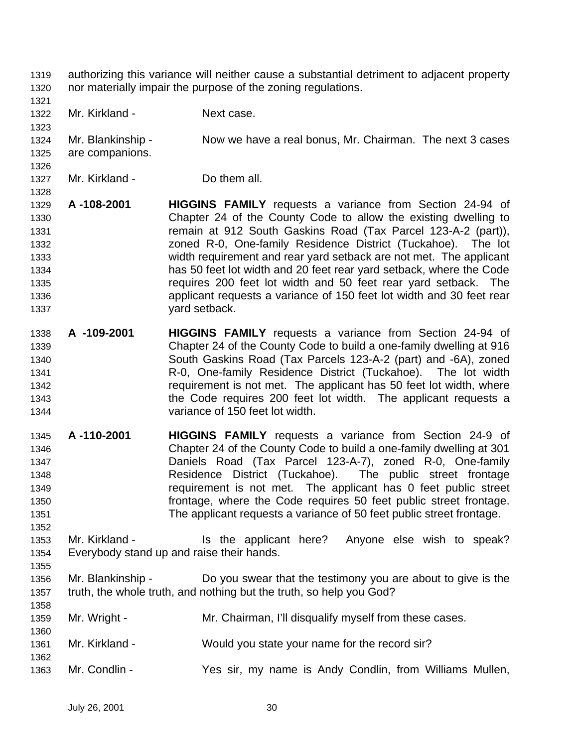- authorizing this variance will neither cause a substantial detriment to adjacent property nor materially impair the purpose of the zoning regulations.
- 

- 1322 Mr. Kirkland Next case.
- Mr. Blankinship Now we have a real bonus, Mr. Chairman. The next 3 cases are companions.
- Mr. Kirkland Do them all.
- **A -108-2001 HIGGINS FAMILY** requests a variance from Section 24-94 of Chapter 24 of the County Code to allow the existing dwelling to remain at 912 South Gaskins Road (Tax Parcel 123-A-2 (part)), zoned R-0, One-family Residence District (Tuckahoe). The lot width requirement and rear yard setback are not met. The applicant has 50 feet lot width and 20 feet rear yard setback, where the Code requires 200 feet lot width and 50 feet rear yard setback. The applicant requests a variance of 150 feet lot width and 30 feet rear yard setback.
- **A -109-2001 HIGGINS FAMILY** requests a variance from Section 24-94 of Chapter 24 of the County Code to build a one-family dwelling at 916 South Gaskins Road (Tax Parcels 123-A-2 (part) and -6A), zoned R-0, One-family Residence District (Tuckahoe). The lot width requirement is not met. The applicant has 50 feet lot width, where the Code requires 200 feet lot width. The applicant requests a variance of 150 feet lot width.
- **A -110-2001 HIGGINS FAMILY** requests a variance from Section 24-9 of Chapter 24 of the County Code to build a one-family dwelling at 301 Daniels Road (Tax Parcel 123-A-7), zoned R-0, One-family Residence District (Tuckahoe). The public street frontage requirement is not met. The applicant has 0 feet public street frontage, where the Code requires 50 feet public street frontage. The applicant requests a variance of 50 feet public street frontage.
- 1353 Mr. Kirkland Is the applicant here? Anyone else wish to speak? Everybody stand up and raise their hands.
- Mr. Blankinship Do you swear that the testimony you are about to give is the truth, the whole truth, and nothing but the truth, so help you God?
- Mr. Wright Mr. Chairman, I'll disqualify myself from these cases. Mr. Kirkland - Would you state your name for the record sir? Mr. Condlin - Yes sir, my name is Andy Condlin, from Williams Mullen,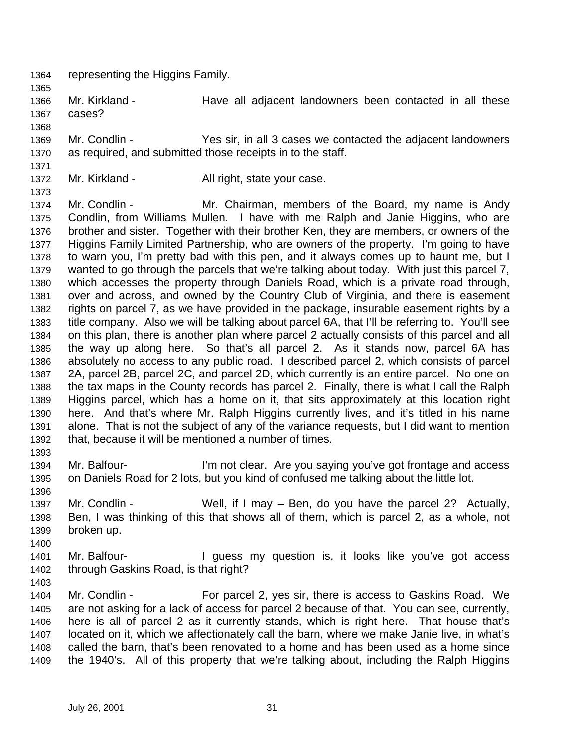- representing the Higgins Family.
- Mr. Kirkland Have all adjacent landowners been contacted in all these cases?
- Mr. Condlin Yes sir, in all 3 cases we contacted the adjacent landowners as required, and submitted those receipts in to the staff.
- 

- 
- 1372 Mr. Kirkland All right, state your case.

 Mr. Condlin - Mr. Chairman, members of the Board, my name is Andy Condlin, from Williams Mullen. I have with me Ralph and Janie Higgins, who are brother and sister. Together with their brother Ken, they are members, or owners of the Higgins Family Limited Partnership, who are owners of the property. I'm going to have to warn you, I'm pretty bad with this pen, and it always comes up to haunt me, but I wanted to go through the parcels that we're talking about today. With just this parcel 7, which accesses the property through Daniels Road, which is a private road through, over and across, and owned by the Country Club of Virginia, and there is easement rights on parcel 7, as we have provided in the package, insurable easement rights by a title company. Also we will be talking about parcel 6A, that I'll be referring to. You'll see on this plan, there is another plan where parcel 2 actually consists of this parcel and all the way up along here. So that's all parcel 2. As it stands now, parcel 6A has absolutely no access to any public road. I described parcel 2, which consists of parcel 2A, parcel 2B, parcel 2C, and parcel 2D, which currently is an entire parcel. No one on the tax maps in the County records has parcel 2. Finally, there is what I call the Ralph Higgins parcel, which has a home on it, that sits approximately at this location right here. And that's where Mr. Ralph Higgins currently lives, and it's titled in his name alone. That is not the subject of any of the variance requests, but I did want to mention that, because it will be mentioned a number of times.

- 1394 Mr. Balfour- I'm not clear. Are you saying you've got frontage and access on Daniels Road for 2 lots, but you kind of confused me talking about the little lot.
- Mr. Condlin - Well, if I may – Ben, do you have the parcel 2? Actually, Ben, I was thinking of this that shows all of them, which is parcel 2, as a whole, not broken up.
- 1401 Mr. Balfour- **I** guess my question is, it looks like you've got access through Gaskins Road, is that right?
- 

 Mr. Condlin - For parcel 2, yes sir, there is access to Gaskins Road. We are not asking for a lack of access for parcel 2 because of that. You can see, currently, here is all of parcel 2 as it currently stands, which is right here. That house that's located on it, which we affectionately call the barn, where we make Janie live, in what's called the barn, that's been renovated to a home and has been used as a home since the 1940's. All of this property that we're talking about, including the Ralph Higgins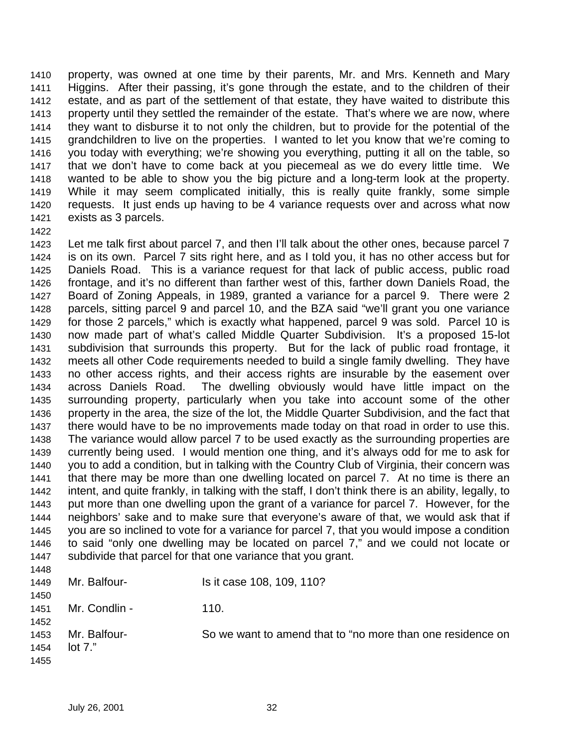property, was owned at one time by their parents, Mr. and Mrs. Kenneth and Mary Higgins. After their passing, it's gone through the estate, and to the children of their estate, and as part of the settlement of that estate, they have waited to distribute this property until they settled the remainder of the estate. That's where we are now, where they want to disburse it to not only the children, but to provide for the potential of the grandchildren to live on the properties. I wanted to let you know that we're coming to you today with everything; we're showing you everything, putting it all on the table, so that we don't have to come back at you piecemeal as we do every little time. We wanted to be able to show you the big picture and a long-term look at the property. While it may seem complicated initially, this is really quite frankly, some simple requests. It just ends up having to be 4 variance requests over and across what now exists as 3 parcels.

 Let me talk first about parcel 7, and then I'll talk about the other ones, because parcel 7 is on its own. Parcel 7 sits right here, and as I told you, it has no other access but for Daniels Road. This is a variance request for that lack of public access, public road frontage, and it's no different than farther west of this, farther down Daniels Road, the Board of Zoning Appeals, in 1989, granted a variance for a parcel 9. There were 2 parcels, sitting parcel 9 and parcel 10, and the BZA said "we'll grant you one variance for those 2 parcels," which is exactly what happened, parcel 9 was sold. Parcel 10 is now made part of what's called Middle Quarter Subdivision. It's a proposed 15-lot subdivision that surrounds this property. But for the lack of public road frontage, it meets all other Code requirements needed to build a single family dwelling. They have no other access rights, and their access rights are insurable by the easement over across Daniels Road. The dwelling obviously would have little impact on the surrounding property, particularly when you take into account some of the other property in the area, the size of the lot, the Middle Quarter Subdivision, and the fact that there would have to be no improvements made today on that road in order to use this. The variance would allow parcel 7 to be used exactly as the surrounding properties are currently being used. I would mention one thing, and it's always odd for me to ask for you to add a condition, but in talking with the Country Club of Virginia, their concern was that there may be more than one dwelling located on parcel 7. At no time is there an intent, and quite frankly, in talking with the staff, I don't think there is an ability, legally, to put more than one dwelling upon the grant of a variance for parcel 7. However, for the neighbors' sake and to make sure that everyone's aware of that, we would ask that if you are so inclined to vote for a variance for parcel 7, that you would impose a condition to said "only one dwelling may be located on parcel 7," and we could not locate or subdivide that parcel for that one variance that you grant.

1449 Mr. Balfour-<br>
1449 Mr. Balfour-<br>
199, 110? 1451 Mr. Condlin - 110.

 Mr. Balfour- So we want to amend that to "no more than one residence on lot 7."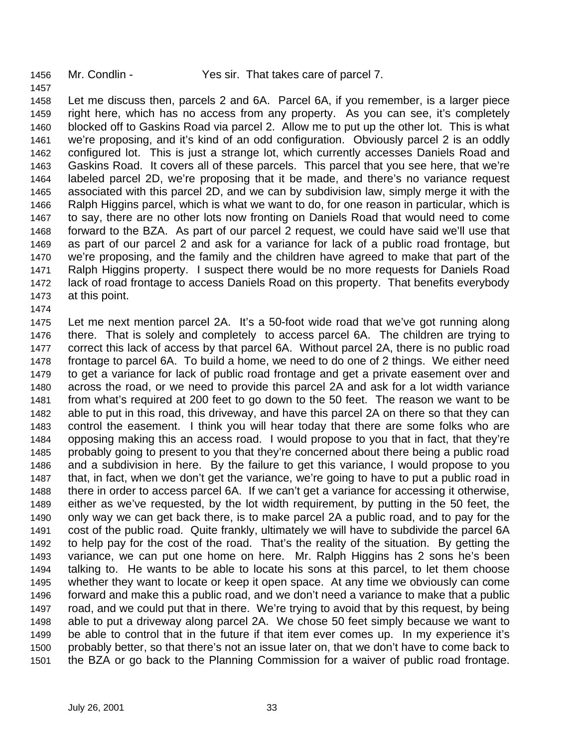Mr. Condlin - Yes sir. That takes care of parcel 7.

 Let me discuss then, parcels 2 and 6A. Parcel 6A, if you remember, is a larger piece right here, which has no access from any property. As you can see, it's completely blocked off to Gaskins Road via parcel 2. Allow me to put up the other lot. This is what we're proposing, and it's kind of an odd configuration. Obviously parcel 2 is an oddly configured lot. This is just a strange lot, which currently accesses Daniels Road and Gaskins Road. It covers all of these parcels. This parcel that you see here, that we're labeled parcel 2D, we're proposing that it be made, and there's no variance request associated with this parcel 2D, and we can by subdivision law, simply merge it with the Ralph Higgins parcel, which is what we want to do, for one reason in particular, which is to say, there are no other lots now fronting on Daniels Road that would need to come forward to the BZA. As part of our parcel 2 request, we could have said we'll use that as part of our parcel 2 and ask for a variance for lack of a public road frontage, but we're proposing, and the family and the children have agreed to make that part of the Ralph Higgins property. I suspect there would be no more requests for Daniels Road lack of road frontage to access Daniels Road on this property. That benefits everybody at this point.

 Let me next mention parcel 2A. It's a 50-foot wide road that we've got running along there. That is solely and completely to access parcel 6A. The children are trying to correct this lack of access by that parcel 6A. Without parcel 2A, there is no public road frontage to parcel 6A. To build a home, we need to do one of 2 things. We either need to get a variance for lack of public road frontage and get a private easement over and across the road, or we need to provide this parcel 2A and ask for a lot width variance from what's required at 200 feet to go down to the 50 feet. The reason we want to be able to put in this road, this driveway, and have this parcel 2A on there so that they can control the easement. I think you will hear today that there are some folks who are opposing making this an access road. I would propose to you that in fact, that they're probably going to present to you that they're concerned about there being a public road and a subdivision in here. By the failure to get this variance, I would propose to you that, in fact, when we don't get the variance, we're going to have to put a public road in there in order to access parcel 6A. If we can't get a variance for accessing it otherwise, either as we've requested, by the lot width requirement, by putting in the 50 feet, the only way we can get back there, is to make parcel 2A a public road, and to pay for the cost of the public road. Quite frankly, ultimately we will have to subdivide the parcel 6A to help pay for the cost of the road. That's the reality of the situation. By getting the variance, we can put one home on here. Mr. Ralph Higgins has 2 sons he's been talking to. He wants to be able to locate his sons at this parcel, to let them choose whether they want to locate or keep it open space. At any time we obviously can come forward and make this a public road, and we don't need a variance to make that a public road, and we could put that in there. We're trying to avoid that by this request, by being able to put a driveway along parcel 2A. We chose 50 feet simply because we want to be able to control that in the future if that item ever comes up. In my experience it's probably better, so that there's not an issue later on, that we don't have to come back to the BZA or go back to the Planning Commission for a waiver of public road frontage.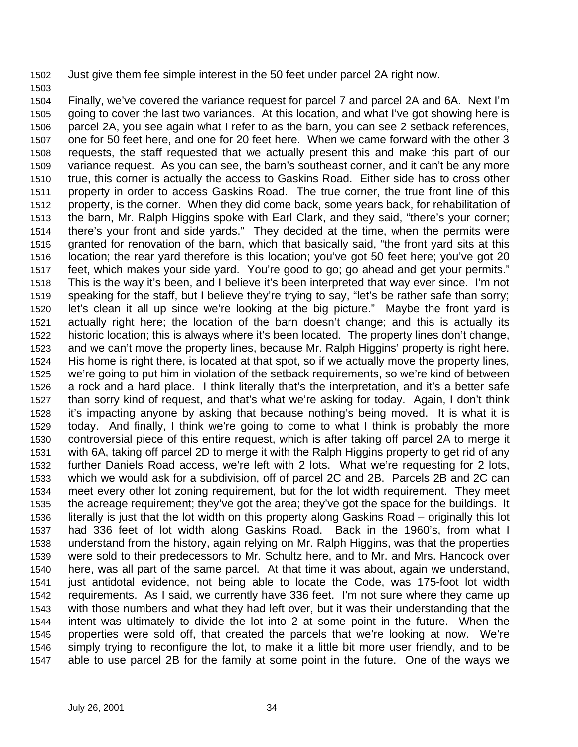Just give them fee simple interest in the 50 feet under parcel 2A right now.

 Finally, we've covered the variance request for parcel 7 and parcel 2A and 6A. Next I'm going to cover the last two variances. At this location, and what I've got showing here is parcel 2A, you see again what I refer to as the barn, you can see 2 setback references, one for 50 feet here, and one for 20 feet here. When we came forward with the other 3 requests, the staff requested that we actually present this and make this part of our variance request. As you can see, the barn's southeast corner, and it can't be any more true, this corner is actually the access to Gaskins Road. Either side has to cross other property in order to access Gaskins Road. The true corner, the true front line of this property, is the corner. When they did come back, some years back, for rehabilitation of the barn, Mr. Ralph Higgins spoke with Earl Clark, and they said, "there's your corner; there's your front and side yards." They decided at the time, when the permits were granted for renovation of the barn, which that basically said, "the front yard sits at this location; the rear yard therefore is this location; you've got 50 feet here; you've got 20 feet, which makes your side yard. You're good to go; go ahead and get your permits." This is the way it's been, and I believe it's been interpreted that way ever since. I'm not speaking for the staff, but I believe they're trying to say, "let's be rather safe than sorry; let's clean it all up since we're looking at the big picture." Maybe the front yard is actually right here; the location of the barn doesn't change; and this is actually its historic location; this is always where it's been located. The property lines don't change, and we can't move the property lines, because Mr. Ralph Higgins' property is right here. His home is right there, is located at that spot, so if we actually move the property lines, we're going to put him in violation of the setback requirements, so we're kind of between a rock and a hard place. I think literally that's the interpretation, and it's a better safe than sorry kind of request, and that's what we're asking for today. Again, I don't think it's impacting anyone by asking that because nothing's being moved. It is what it is today. And finally, I think we're going to come to what I think is probably the more controversial piece of this entire request, which is after taking off parcel 2A to merge it with 6A, taking off parcel 2D to merge it with the Ralph Higgins property to get rid of any further Daniels Road access, we're left with 2 lots. What we're requesting for 2 lots, which we would ask for a subdivision, off of parcel 2C and 2B. Parcels 2B and 2C can meet every other lot zoning requirement, but for the lot width requirement. They meet the acreage requirement; they've got the area; they've got the space for the buildings. It literally is just that the lot width on this property along Gaskins Road – originally this lot had 336 feet of lot width along Gaskins Road. Back in the 1960's, from what I understand from the history, again relying on Mr. Ralph Higgins, was that the properties were sold to their predecessors to Mr. Schultz here, and to Mr. and Mrs. Hancock over here, was all part of the same parcel. At that time it was about, again we understand, just antidotal evidence, not being able to locate the Code, was 175-foot lot width requirements. As I said, we currently have 336 feet. I'm not sure where they came up with those numbers and what they had left over, but it was their understanding that the intent was ultimately to divide the lot into 2 at some point in the future. When the properties were sold off, that created the parcels that we're looking at now. We're simply trying to reconfigure the lot, to make it a little bit more user friendly, and to be able to use parcel 2B for the family at some point in the future. One of the ways we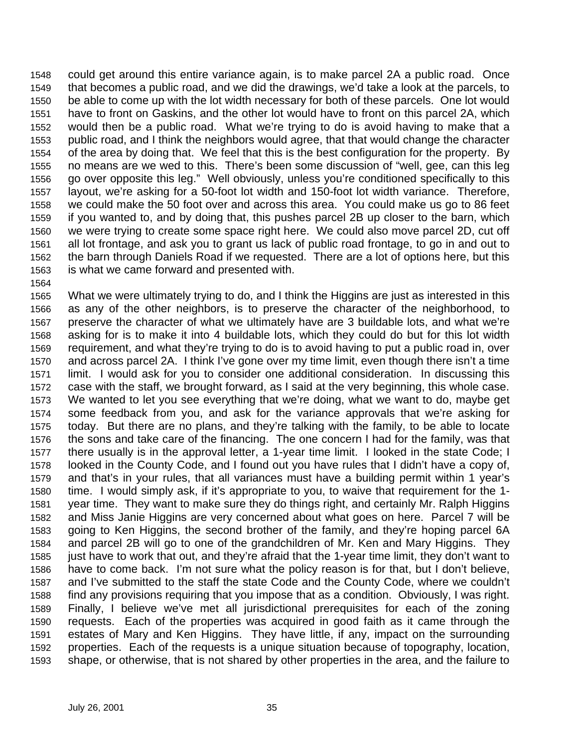could get around this entire variance again, is to make parcel 2A a public road. Once that becomes a public road, and we did the drawings, we'd take a look at the parcels, to be able to come up with the lot width necessary for both of these parcels. One lot would have to front on Gaskins, and the other lot would have to front on this parcel 2A, which would then be a public road. What we're trying to do is avoid having to make that a public road, and I think the neighbors would agree, that that would change the character of the area by doing that. We feel that this is the best configuration for the property. By no means are we wed to this. There's been some discussion of "well, gee, can this leg go over opposite this leg." Well obviously, unless you're conditioned specifically to this layout, we're asking for a 50-foot lot width and 150-foot lot width variance. Therefore, we could make the 50 foot over and across this area. You could make us go to 86 feet if you wanted to, and by doing that, this pushes parcel 2B up closer to the barn, which we were trying to create some space right here. We could also move parcel 2D, cut off all lot frontage, and ask you to grant us lack of public road frontage, to go in and out to the barn through Daniels Road if we requested. There are a lot of options here, but this is what we came forward and presented with.

 What we were ultimately trying to do, and I think the Higgins are just as interested in this as any of the other neighbors, is to preserve the character of the neighborhood, to preserve the character of what we ultimately have are 3 buildable lots, and what we're asking for is to make it into 4 buildable lots, which they could do but for this lot width requirement, and what they're trying to do is to avoid having to put a public road in, over and across parcel 2A. I think I've gone over my time limit, even though there isn't a time limit. I would ask for you to consider one additional consideration. In discussing this case with the staff, we brought forward, as I said at the very beginning, this whole case. We wanted to let you see everything that we're doing, what we want to do, maybe get some feedback from you, and ask for the variance approvals that we're asking for today. But there are no plans, and they're talking with the family, to be able to locate the sons and take care of the financing. The one concern I had for the family, was that there usually is in the approval letter, a 1-year time limit. I looked in the state Code; I looked in the County Code, and I found out you have rules that I didn't have a copy of, and that's in your rules, that all variances must have a building permit within 1 year's time. I would simply ask, if it's appropriate to you, to waive that requirement for the 1- year time. They want to make sure they do things right, and certainly Mr. Ralph Higgins and Miss Janie Higgins are very concerned about what goes on here. Parcel 7 will be going to Ken Higgins, the second brother of the family, and they're hoping parcel 6A and parcel 2B will go to one of the grandchildren of Mr. Ken and Mary Higgins. They just have to work that out, and they're afraid that the 1-year time limit, they don't want to have to come back. I'm not sure what the policy reason is for that, but I don't believe, and I've submitted to the staff the state Code and the County Code, where we couldn't find any provisions requiring that you impose that as a condition. Obviously, I was right. Finally, I believe we've met all jurisdictional prerequisites for each of the zoning requests. Each of the properties was acquired in good faith as it came through the estates of Mary and Ken Higgins. They have little, if any, impact on the surrounding properties. Each of the requests is a unique situation because of topography, location, shape, or otherwise, that is not shared by other properties in the area, and the failure to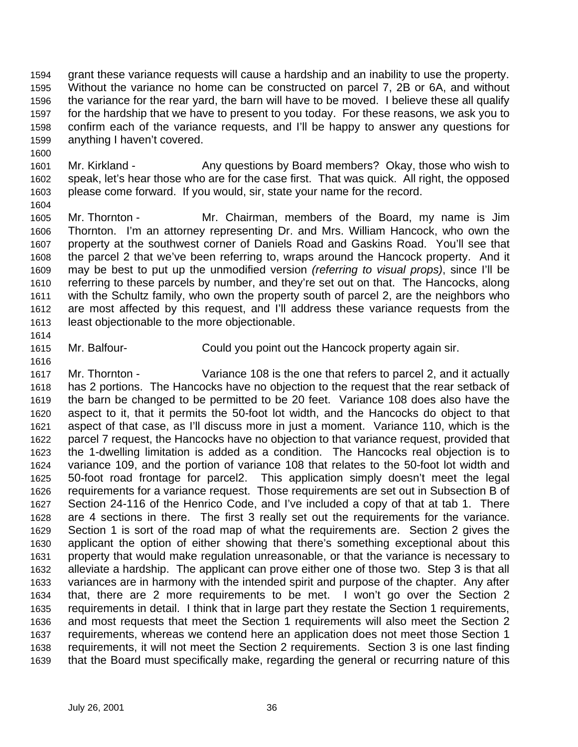grant these variance requests will cause a hardship and an inability to use the property. Without the variance no home can be constructed on parcel 7, 2B or 6A, and without the variance for the rear yard, the barn will have to be moved. I believe these all qualify for the hardship that we have to present to you today. For these reasons, we ask you to confirm each of the variance requests, and I'll be happy to answer any questions for anything I haven't covered.

1601 Mr. Kirkland - Any questions by Board members? Okay, those who wish to speak, let's hear those who are for the case first. That was quick. All right, the opposed please come forward. If you would, sir, state your name for the record.

 Mr. Thornton - Mr. Chairman, members of the Board, my name is Jim Thornton. I'm an attorney representing Dr. and Mrs. William Hancock, who own the property at the southwest corner of Daniels Road and Gaskins Road. You'll see that the parcel 2 that we've been referring to, wraps around the Hancock property. And it may be best to put up the unmodified version *(referring to visual props)*, since I'll be referring to these parcels by number, and they're set out on that. The Hancocks, along with the Schultz family, who own the property south of parcel 2, are the neighbors who are most affected by this request, and I'll address these variance requests from the least objectionable to the more objectionable.

Mr. Balfour- Could you point out the Hancock property again sir.

 Mr. Thornton - Variance 108 is the one that refers to parcel 2, and it actually has 2 portions. The Hancocks have no objection to the request that the rear setback of the barn be changed to be permitted to be 20 feet. Variance 108 does also have the aspect to it, that it permits the 50-foot lot width, and the Hancocks do object to that aspect of that case, as I'll discuss more in just a moment. Variance 110, which is the parcel 7 request, the Hancocks have no objection to that variance request, provided that the 1-dwelling limitation is added as a condition. The Hancocks real objection is to variance 109, and the portion of variance 108 that relates to the 50-foot lot width and 50-foot road frontage for parcel2. This application simply doesn't meet the legal requirements for a variance request. Those requirements are set out in Subsection B of Section 24-116 of the Henrico Code, and I've included a copy of that at tab 1. There are 4 sections in there. The first 3 really set out the requirements for the variance. Section 1 is sort of the road map of what the requirements are. Section 2 gives the applicant the option of either showing that there's something exceptional about this property that would make regulation unreasonable, or that the variance is necessary to alleviate a hardship. The applicant can prove either one of those two. Step 3 is that all variances are in harmony with the intended spirit and purpose of the chapter. Any after that, there are 2 more requirements to be met. I won't go over the Section 2 requirements in detail. I think that in large part they restate the Section 1 requirements, and most requests that meet the Section 1 requirements will also meet the Section 2 requirements, whereas we contend here an application does not meet those Section 1 requirements, it will not meet the Section 2 requirements. Section 3 is one last finding that the Board must specifically make, regarding the general or recurring nature of this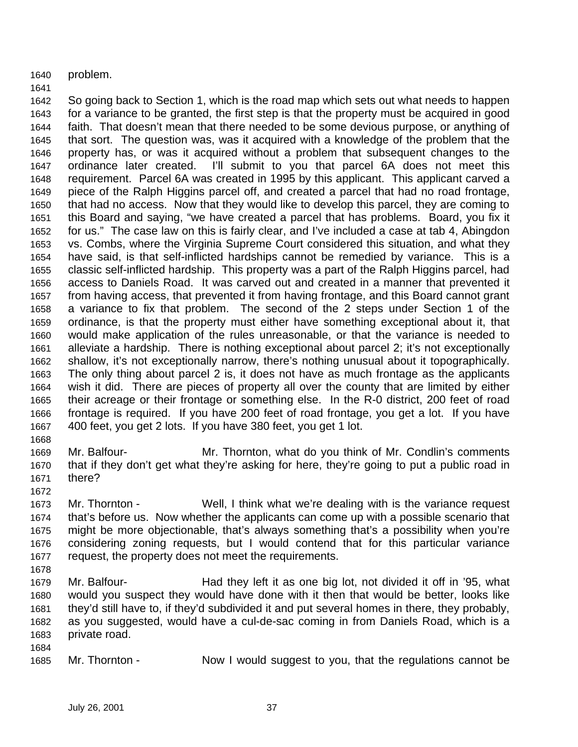problem.

# 

 So going back to Section 1, which is the road map which sets out what needs to happen for a variance to be granted, the first step is that the property must be acquired in good faith. That doesn't mean that there needed to be some devious purpose, or anything of that sort. The question was, was it acquired with a knowledge of the problem that the property has, or was it acquired without a problem that subsequent changes to the ordinance later created. I'll submit to you that parcel 6A does not meet this requirement. Parcel 6A was created in 1995 by this applicant. This applicant carved a piece of the Ralph Higgins parcel off, and created a parcel that had no road frontage, that had no access. Now that they would like to develop this parcel, they are coming to this Board and saying, "we have created a parcel that has problems. Board, you fix it for us." The case law on this is fairly clear, and I've included a case at tab 4, Abingdon vs. Combs, where the Virginia Supreme Court considered this situation, and what they have said, is that self-inflicted hardships cannot be remedied by variance. This is a classic self-inflicted hardship. This property was a part of the Ralph Higgins parcel, had access to Daniels Road. It was carved out and created in a manner that prevented it from having access, that prevented it from having frontage, and this Board cannot grant a variance to fix that problem. The second of the 2 steps under Section 1 of the ordinance, is that the property must either have something exceptional about it, that would make application of the rules unreasonable, or that the variance is needed to alleviate a hardship. There is nothing exceptional about parcel 2; it's not exceptionally shallow, it's not exceptionally narrow, there's nothing unusual about it topographically. The only thing about parcel 2 is, it does not have as much frontage as the applicants wish it did. There are pieces of property all over the county that are limited by either their acreage or their frontage or something else. In the R-0 district, 200 feet of road frontage is required. If you have 200 feet of road frontage, you get a lot. If you have 400 feet, you get 2 lots. If you have 380 feet, you get 1 lot.

- 
- Mr. Balfour- Mr. Thornton, what do you think of Mr. Condlin's comments that if they don't get what they're asking for here, they're going to put a public road in there?
- 

 Mr. Thornton - Well, I think what we're dealing with is the variance request that's before us. Now whether the applicants can come up with a possible scenario that might be more objectionable, that's always something that's a possibility when you're considering zoning requests, but I would contend that for this particular variance request, the property does not meet the requirements.

- 
- Mr. Balfour- Had they left it as one big lot, not divided it off in '95, what would you suspect they would have done with it then that would be better, looks like they'd still have to, if they'd subdivided it and put several homes in there, they probably, as you suggested, would have a cul-de-sac coming in from Daniels Road, which is a private road.
- Mr. Thornton Now I would suggest to you, that the regulations cannot be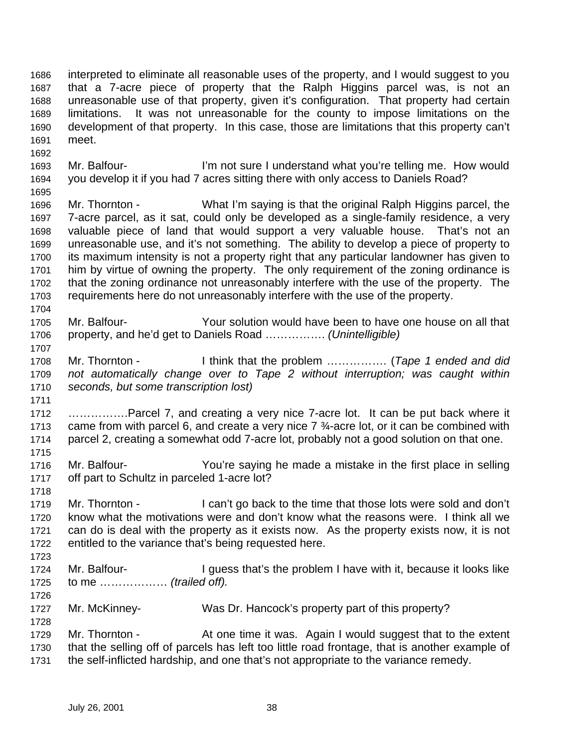interpreted to eliminate all reasonable uses of the property, and I would suggest to you that a 7-acre piece of property that the Ralph Higgins parcel was, is not an unreasonable use of that property, given it's configuration. That property had certain limitations. It was not unreasonable for the county to impose limitations on the development of that property. In this case, those are limitations that this property can't meet.

1693 Mr. Balfour- I'm not sure I understand what you're telling me. How would you develop it if you had 7 acres sitting there with only access to Daniels Road?

 Mr. Thornton - What I'm saying is that the original Ralph Higgins parcel, the 7-acre parcel, as it sat, could only be developed as a single-family residence, a very valuable piece of land that would support a very valuable house. That's not an unreasonable use, and it's not something. The ability to develop a piece of property to its maximum intensity is not a property right that any particular landowner has given to him by virtue of owning the property. The only requirement of the zoning ordinance is that the zoning ordinance not unreasonably interfere with the use of the property. The requirements here do not unreasonably interfere with the use of the property.

 Mr. Balfour- Your solution would have been to have one house on all that property, and he'd get to Daniels Road ……………. *(Unintelligible)*

 Mr. Thornton - I think that the problem ……………. (*Tape 1 ended and did not automatically change over to Tape 2 without interruption; was caught within seconds, but some transcription lost)*

 …………….Parcel 7, and creating a very nice 7-acre lot. It can be put back where it 1713 came from with parcel 6, and create a very nice  $7\frac{3}{4}$ -acre lot, or it can be combined with parcel 2, creating a somewhat odd 7-acre lot, probably not a good solution on that one. 

- Mr. Balfour- You're saying he made a mistake in the first place in selling off part to Schultz in parceled 1-acre lot?
- Mr. Thornton I can't go back to the time that those lots were sold and don't know what the motivations were and don't know what the reasons were. I think all we can do is deal with the property as it exists now. As the property exists now, it is not entitled to the variance that's being requested here.
- 1724 Mr. Balfour- I guess that's the problem I have with it, because it looks like to me ……………… *(trailed off).*
- Mr. McKinney- Was Dr. Hancock's property part of this property?

1729 Mr. Thornton - At one time it was. Again I would suggest that to the extent that the selling off of parcels has left too little road frontage, that is another example of the self-inflicted hardship, and one that's not appropriate to the variance remedy.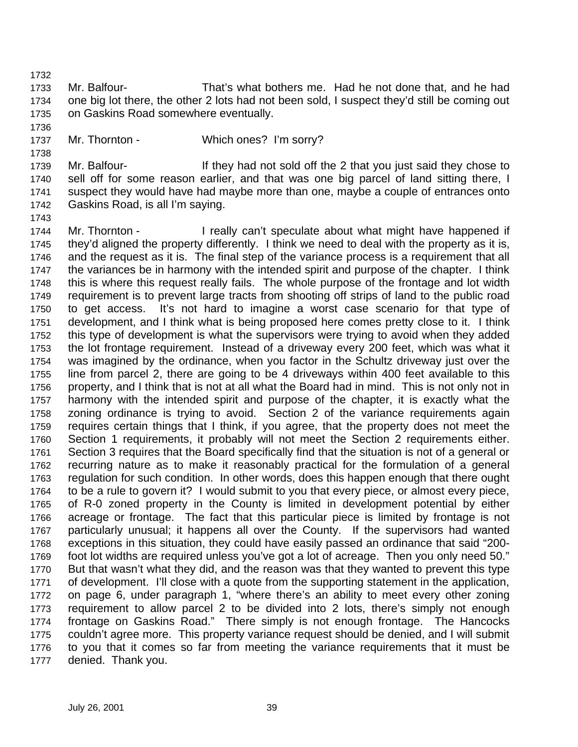Mr. Balfour- That's what bothers me. Had he not done that, and he had one big lot there, the other 2 lots had not been sold, I suspect they'd still be coming out on Gaskins Road somewhere eventually.

1737 Mr. Thornton - Which ones? I'm sorry?

1739 Mr. Balfour- If they had not sold off the 2 that you just said they chose to sell off for some reason earlier, and that was one big parcel of land sitting there, I suspect they would have had maybe more than one, maybe a couple of entrances onto Gaskins Road, is all I'm saying.

 Mr. Thornton - I really can't speculate about what might have happened if they'd aligned the property differently. I think we need to deal with the property as it is, and the request as it is. The final step of the variance process is a requirement that all the variances be in harmony with the intended spirit and purpose of the chapter. I think this is where this request really fails. The whole purpose of the frontage and lot width requirement is to prevent large tracts from shooting off strips of land to the public road to get access. It's not hard to imagine a worst case scenario for that type of development, and I think what is being proposed here comes pretty close to it. I think this type of development is what the supervisors were trying to avoid when they added the lot frontage requirement. Instead of a driveway every 200 feet, which was what it was imagined by the ordinance, when you factor in the Schultz driveway just over the line from parcel 2, there are going to be 4 driveways within 400 feet available to this property, and I think that is not at all what the Board had in mind. This is not only not in harmony with the intended spirit and purpose of the chapter, it is exactly what the zoning ordinance is trying to avoid. Section 2 of the variance requirements again requires certain things that I think, if you agree, that the property does not meet the Section 1 requirements, it probably will not meet the Section 2 requirements either. Section 3 requires that the Board specifically find that the situation is not of a general or recurring nature as to make it reasonably practical for the formulation of a general regulation for such condition. In other words, does this happen enough that there ought to be a rule to govern it? I would submit to you that every piece, or almost every piece, of R-0 zoned property in the County is limited in development potential by either acreage or frontage. The fact that this particular piece is limited by frontage is not particularly unusual; it happens all over the County. If the supervisors had wanted exceptions in this situation, they could have easily passed an ordinance that said "200- foot lot widths are required unless you've got a lot of acreage. Then you only need 50." But that wasn't what they did, and the reason was that they wanted to prevent this type of development. I'll close with a quote from the supporting statement in the application, on page 6, under paragraph 1, "where there's an ability to meet every other zoning requirement to allow parcel 2 to be divided into 2 lots, there's simply not enough frontage on Gaskins Road." There simply is not enough frontage. The Hancocks couldn't agree more. This property variance request should be denied, and I will submit to you that it comes so far from meeting the variance requirements that it must be denied. Thank you.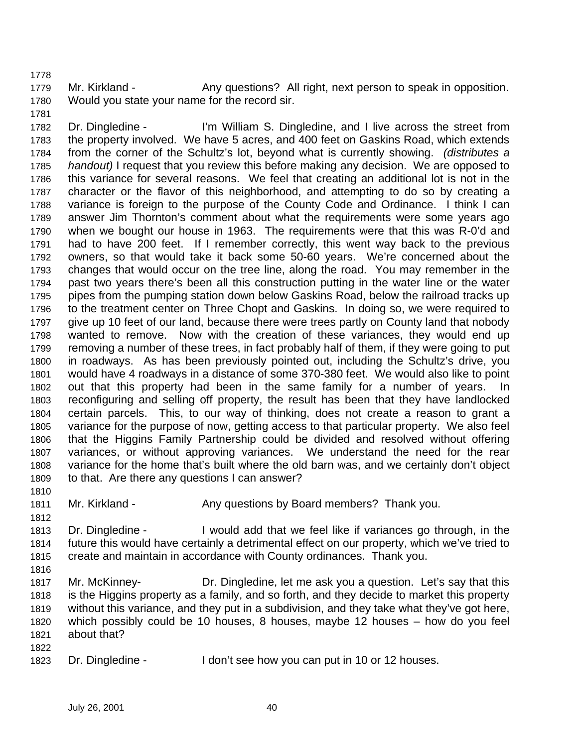1779 Mr. Kirkland - Any questions? All right, next person to speak in opposition. Would you state your name for the record sir.

 Dr. Dingledine - I'm William S. Dingledine, and I live across the street from the property involved. We have 5 acres, and 400 feet on Gaskins Road, which extends from the corner of the Schultz's lot, beyond what is currently showing. *(distributes a handout)* I request that you review this before making any decision. We are opposed to this variance for several reasons. We feel that creating an additional lot is not in the character or the flavor of this neighborhood, and attempting to do so by creating a variance is foreign to the purpose of the County Code and Ordinance. I think I can answer Jim Thornton's comment about what the requirements were some years ago when we bought our house in 1963. The requirements were that this was R-0'd and had to have 200 feet. If I remember correctly, this went way back to the previous owners, so that would take it back some 50-60 years. We're concerned about the changes that would occur on the tree line, along the road. You may remember in the past two years there's been all this construction putting in the water line or the water pipes from the pumping station down below Gaskins Road, below the railroad tracks up to the treatment center on Three Chopt and Gaskins. In doing so, we were required to give up 10 feet of our land, because there were trees partly on County land that nobody wanted to remove. Now with the creation of these variances, they would end up removing a number of these trees, in fact probably half of them, if they were going to put in roadways. As has been previously pointed out, including the Schultz's drive, you would have 4 roadways in a distance of some 370-380 feet. We would also like to point out that this property had been in the same family for a number of years. In reconfiguring and selling off property, the result has been that they have landlocked certain parcels. This, to our way of thinking, does not create a reason to grant a variance for the purpose of now, getting access to that particular property. We also feel that the Higgins Family Partnership could be divided and resolved without offering variances, or without approving variances. We understand the need for the rear variance for the home that's built where the old barn was, and we certainly don't object to that. Are there any questions I can answer?

1811 Mr. Kirkland - Any questions by Board members? Thank you.

- Dr. Dingledine I would add that we feel like if variances go through, in the future this would have certainly a detrimental effect on our property, which we've tried to create and maintain in accordance with County ordinances. Thank you.
- 
- Mr. McKinney- Dr. Dingledine, let me ask you a question. Let's say that this is the Higgins property as a family, and so forth, and they decide to market this property without this variance, and they put in a subdivision, and they take what they've got here, which possibly could be 10 houses, 8 houses, maybe 12 houses – how do you feel about that?
- Dr. Dingledine I don't see how you can put in 10 or 12 houses.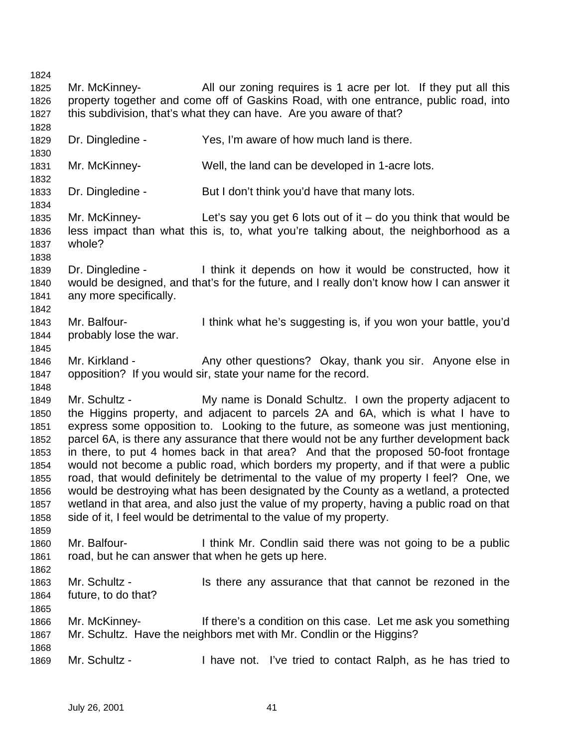Mr. McKinney- All our zoning requires is 1 acre per lot. If they put all this property together and come off of Gaskins Road, with one entrance, public road, into this subdivision, that's what they can have. Are you aware of that? Dr. Dingledine - Yes, I'm aware of how much land is there. Mr. McKinney- Well, the land can be developed in 1-acre lots. Dr. Dingledine - But I don't think you'd have that many lots. Mr. McKinney- Let's say you get 6 lots out of it – do you think that would be less impact than what this is, to, what you're talking about, the neighborhood as a whole? Dr. Dingledine - I think it depends on how it would be constructed, how it would be designed, and that's for the future, and I really don't know how I can answer it any more specifically. Mr. Balfour- I think what he's suggesting is, if you won your battle, you'd probably lose the war. 1846 Mr. Kirkland - Any other questions? Okay, thank you sir. Anyone else in opposition? If you would sir, state your name for the record. Mr. Schultz - My name is Donald Schultz. I own the property adjacent to the Higgins property, and adjacent to parcels 2A and 6A, which is what I have to express some opposition to. Looking to the future, as someone was just mentioning, parcel 6A, is there any assurance that there would not be any further development back in there, to put 4 homes back in that area? And that the proposed 50-foot frontage would not become a public road, which borders my property, and if that were a public road, that would definitely be detrimental to the value of my property I feel? One, we would be destroying what has been designated by the County as a wetland, a protected wetland in that area, and also just the value of my property, having a public road on that 1858 side of it, I feel would be detrimental to the value of my property. Mr. Balfour- I think Mr. Condlin said there was not going to be a public road, but he can answer that when he gets up here. Mr. Schultz - Is there any assurance that that cannot be rezoned in the future, to do that? Mr. McKinney- If there's a condition on this case. Let me ask you something Mr. Schultz. Have the neighbors met with Mr. Condlin or the Higgins? 

Mr. Schultz - I have not. I've tried to contact Ralph, as he has tried to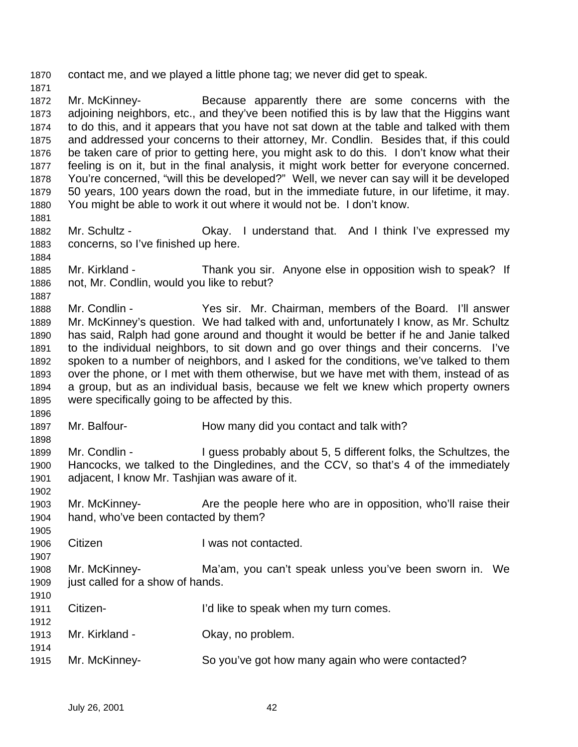contact me, and we played a little phone tag; we never did get to speak.

 Mr. McKinney- Because apparently there are some concerns with the adjoining neighbors, etc., and they've been notified this is by law that the Higgins want to do this, and it appears that you have not sat down at the table and talked with them and addressed your concerns to their attorney, Mr. Condlin. Besides that, if this could be taken care of prior to getting here, you might ask to do this. I don't know what their feeling is on it, but in the final analysis, it might work better for everyone concerned. You're concerned, "will this be developed?" Well, we never can say will it be developed 50 years, 100 years down the road, but in the immediate future, in our lifetime, it may. You might be able to work it out where it would not be. I don't know.

- 1882 Mr. Schultz Ckay. I understand that. And I think I've expressed my concerns, so I've finished up here.
- Mr. Kirkland Thank you sir. Anyone else in opposition wish to speak? If not, Mr. Condlin, would you like to rebut?
- Mr. Condlin Yes sir. Mr. Chairman, members of the Board. I'll answer Mr. McKinney's question. We had talked with and, unfortunately I know, as Mr. Schultz has said, Ralph had gone around and thought it would be better if he and Janie talked to the individual neighbors, to sit down and go over things and their concerns. I've spoken to a number of neighbors, and I asked for the conditions, we've talked to them over the phone, or I met with them otherwise, but we have met with them, instead of as a group, but as an individual basis, because we felt we knew which property owners were specifically going to be affected by this.
- 1897 Mr. Balfour- **How many did you contact and talk with?**
- Mr. Condlin I guess probably about 5, 5 different folks, the Schultzes, the Hancocks, we talked to the Dingledines, and the CCV, so that's 4 of the immediately adjacent, I know Mr. Tashjian was aware of it.
- 1903 Mr. McKinney- **Are the people here who are in opposition**, who'll raise their hand, who've been contacted by them?
- Citizen I was not contacted.
- Mr. McKinney- Ma'am, you can't speak unless you've been sworn in. We 1909 iust called for a show of hands.
- Citizen- I'd like to speak when my turn comes.
- Mr. Kirkland Okay, no problem.
- Mr. McKinney- So you've got how many again who were contacted?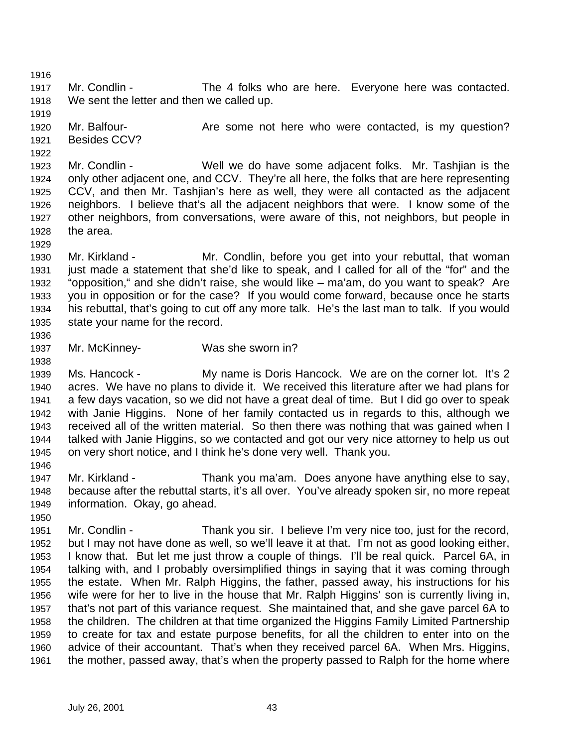Mr. Condlin - The 4 folks who are here. Everyone here was contacted. We sent the letter and then we called up.

1920 Mr. Balfour- **Are some not here who were contacted, is my question?** Besides CCV?

 Mr. Condlin - Well we do have some adjacent folks. Mr. Tashjian is the only other adjacent one, and CCV. They're all here, the folks that are here representing CCV, and then Mr. Tashjian's here as well, they were all contacted as the adjacent neighbors. I believe that's all the adjacent neighbors that were. I know some of the other neighbors, from conversations, were aware of this, not neighbors, but people in the area.

 Mr. Kirkland - Mr. Condlin, before you get into your rebuttal, that woman just made a statement that she'd like to speak, and I called for all of the "for" and the "opposition," and she didn't raise, she would like – ma'am, do you want to speak? Are you in opposition or for the case? If you would come forward, because once he starts his rebuttal, that's going to cut off any more talk. He's the last man to talk. If you would state your name for the record.

Mr. McKinney- Was she sworn in?

 Ms. Hancock - My name is Doris Hancock. We are on the corner lot. It's 2 acres. We have no plans to divide it. We received this literature after we had plans for a few days vacation, so we did not have a great deal of time. But I did go over to speak with Janie Higgins. None of her family contacted us in regards to this, although we received all of the written material. So then there was nothing that was gained when I talked with Janie Higgins, so we contacted and got our very nice attorney to help us out on very short notice, and I think he's done very well. Thank you.

 Mr. Kirkland - Thank you ma'am. Does anyone have anything else to say, because after the rebuttal starts, it's all over. You've already spoken sir, no more repeat information. Okay, go ahead.

 Mr. Condlin - Thank you sir. I believe I'm very nice too, just for the record, but I may not have done as well, so we'll leave it at that. I'm not as good looking either, I know that. But let me just throw a couple of things. I'll be real quick. Parcel 6A, in talking with, and I probably oversimplified things in saying that it was coming through the estate. When Mr. Ralph Higgins, the father, passed away, his instructions for his wife were for her to live in the house that Mr. Ralph Higgins' son is currently living in, that's not part of this variance request. She maintained that, and she gave parcel 6A to the children. The children at that time organized the Higgins Family Limited Partnership to create for tax and estate purpose benefits, for all the children to enter into on the advice of their accountant. That's when they received parcel 6A. When Mrs. Higgins, the mother, passed away, that's when the property passed to Ralph for the home where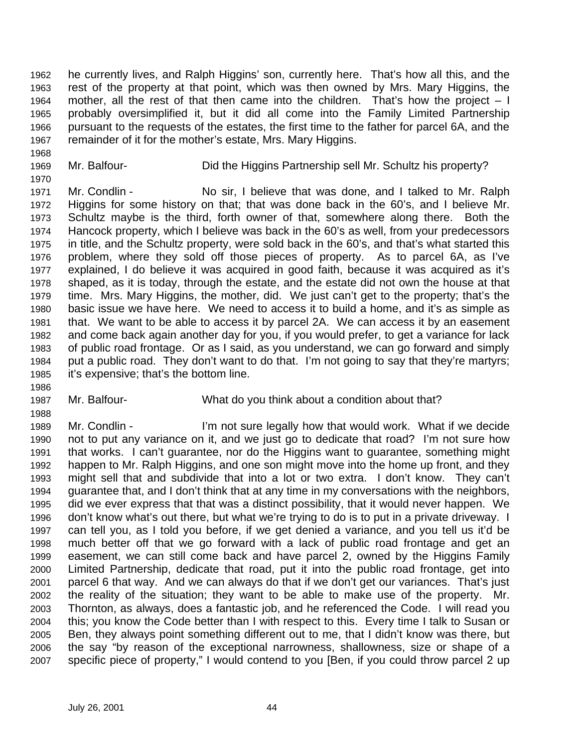he currently lives, and Ralph Higgins' son, currently here. That's how all this, and the rest of the property at that point, which was then owned by Mrs. Mary Higgins, the mother, all the rest of that then came into the children. That's how the project – I probably oversimplified it, but it did all come into the Family Limited Partnership pursuant to the requests of the estates, the first time to the father for parcel 6A, and the remainder of it for the mother's estate, Mrs. Mary Higgins.

Mr. Balfour- Did the Higgins Partnership sell Mr. Schultz his property?

 Mr. Condlin - No sir, I believe that was done, and I talked to Mr. Ralph Higgins for some history on that; that was done back in the 60's, and I believe Mr. Schultz maybe is the third, forth owner of that, somewhere along there. Both the Hancock property, which I believe was back in the 60's as well, from your predecessors in title, and the Schultz property, were sold back in the 60's, and that's what started this problem, where they sold off those pieces of property. As to parcel 6A, as I've explained, I do believe it was acquired in good faith, because it was acquired as it's shaped, as it is today, through the estate, and the estate did not own the house at that time. Mrs. Mary Higgins, the mother, did. We just can't get to the property; that's the basic issue we have here. We need to access it to build a home, and it's as simple as that. We want to be able to access it by parcel 2A. We can access it by an easement and come back again another day for you, if you would prefer, to get a variance for lack of public road frontage. Or as I said, as you understand, we can go forward and simply put a public road. They don't want to do that. I'm not going to say that they're martyrs; it's expensive; that's the bottom line.

Mr. Balfour- What do you think about a condition about that?

 Mr. Condlin - I'm not sure legally how that would work. What if we decide not to put any variance on it, and we just go to dedicate that road? I'm not sure how that works. I can't guarantee, nor do the Higgins want to guarantee, something might happen to Mr. Ralph Higgins, and one son might move into the home up front, and they might sell that and subdivide that into a lot or two extra. I don't know. They can't guarantee that, and I don't think that at any time in my conversations with the neighbors, did we ever express that that was a distinct possibility, that it would never happen. We don't know what's out there, but what we're trying to do is to put in a private driveway. I can tell you, as I told you before, if we get denied a variance, and you tell us it'd be much better off that we go forward with a lack of public road frontage and get an easement, we can still come back and have parcel 2, owned by the Higgins Family Limited Partnership, dedicate that road, put it into the public road frontage, get into parcel 6 that way. And we can always do that if we don't get our variances. That's just the reality of the situation; they want to be able to make use of the property. Mr. Thornton, as always, does a fantastic job, and he referenced the Code. I will read you this; you know the Code better than I with respect to this. Every time I talk to Susan or Ben, they always point something different out to me, that I didn't know was there, but the say "by reason of the exceptional narrowness, shallowness, size or shape of a specific piece of property," I would contend to you [Ben, if you could throw parcel 2 up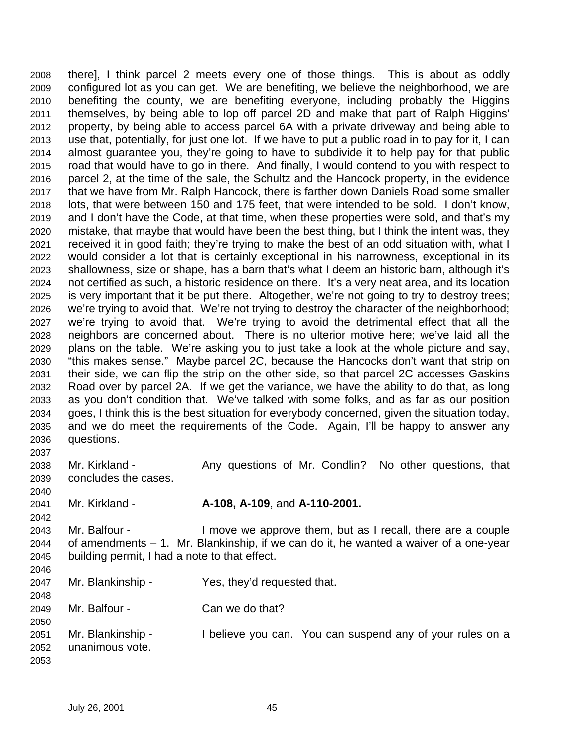there], I think parcel 2 meets every one of those things. This is about as oddly configured lot as you can get. We are benefiting, we believe the neighborhood, we are benefiting the county, we are benefiting everyone, including probably the Higgins themselves, by being able to lop off parcel 2D and make that part of Ralph Higgins' property, by being able to access parcel 6A with a private driveway and being able to use that, potentially, for just one lot. If we have to put a public road in to pay for it, I can almost guarantee you, they're going to have to subdivide it to help pay for that public road that would have to go in there. And finally, I would contend to you with respect to parcel 2, at the time of the sale, the Schultz and the Hancock property, in the evidence that we have from Mr. Ralph Hancock, there is farther down Daniels Road some smaller lots, that were between 150 and 175 feet, that were intended to be sold. I don't know, and I don't have the Code, at that time, when these properties were sold, and that's my mistake, that maybe that would have been the best thing, but I think the intent was, they received it in good faith; they're trying to make the best of an odd situation with, what I would consider a lot that is certainly exceptional in his narrowness, exceptional in its shallowness, size or shape, has a barn that's what I deem an historic barn, although it's not certified as such, a historic residence on there. It's a very neat area, and its location is very important that it be put there. Altogether, we're not going to try to destroy trees; we're trying to avoid that. We're not trying to destroy the character of the neighborhood; we're trying to avoid that. We're trying to avoid the detrimental effect that all the neighbors are concerned about. There is no ulterior motive here; we've laid all the plans on the table. We're asking you to just take a look at the whole picture and say, "this makes sense." Maybe parcel 2C, because the Hancocks don't want that strip on their side, we can flip the strip on the other side, so that parcel 2C accesses Gaskins Road over by parcel 2A. If we get the variance, we have the ability to do that, as long as you don't condition that. We've talked with some folks, and as far as our position goes, I think this is the best situation for everybody concerned, given the situation today, and we do meet the requirements of the Code. Again, I'll be happy to answer any questions. 

2038 Mr. Kirkland - Any questions of Mr. Condlin? No other questions, that concludes the cases. 

Mr. Kirkland - **A-108, A-109**, and **A-110-2001.**

 Mr. Balfour - I move we approve them, but as I recall, there are a couple of amendments – 1. Mr. Blankinship, if we can do it, he wanted a waiver of a one-year building permit, I had a note to that effect. 

 Mr. Blankinship - Yes, they'd requested that. 

Mr. Balfour - Can we do that?

 Mr. Blankinship - I believe you can. You can suspend any of your rules on a unanimous vote.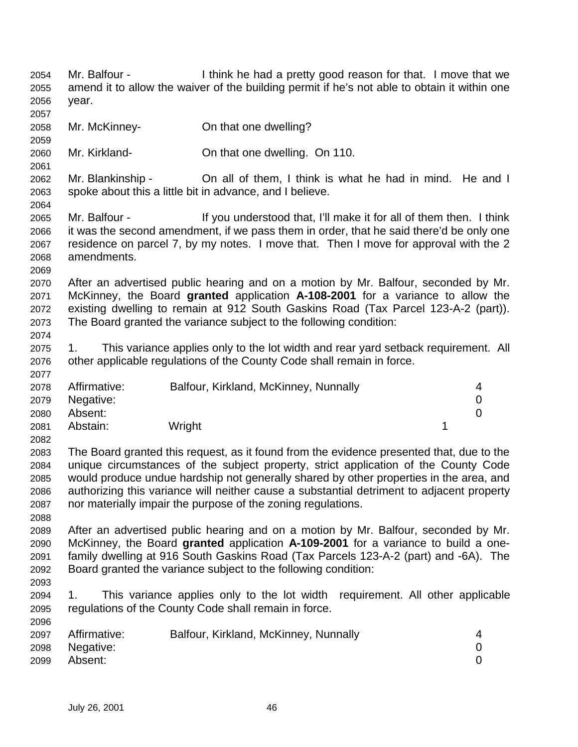Mr. Balfour - I think he had a pretty good reason for that. I move that we amend it to allow the waiver of the building permit if he's not able to obtain it within one year. Mr. McKinney- On that one dwelling? Mr. Kirkland- On that one dwelling. On 110. Mr. Blankinship - On all of them, I think is what he had in mind. He and I spoke about this a little bit in advance, and I believe. Mr. Balfour - If you understood that, I'll make it for all of them then. I think it was the second amendment, if we pass them in order, that he said there'd be only one residence on parcel 7, by my notes. I move that. Then I move for approval with the 2 amendments. After an advertised public hearing and on a motion by Mr. Balfour, seconded by Mr. McKinney, the Board **granted** application **A-108-2001** for a variance to allow the existing dwelling to remain at 912 South Gaskins Road (Tax Parcel 123-A-2 (part)). The Board granted the variance subject to the following condition: 1. This variance applies only to the lot width and rear yard setback requirement. All other applicable regulations of the County Code shall remain in force. Affirmative: Balfour, Kirkland, McKinney, Nunnally 4 Negative: 0 Absent: 0 2081 Abstain: Wright 1 The Board granted this request, as it found from the evidence presented that, due to the unique circumstances of the subject property, strict application of the County Code would produce undue hardship not generally shared by other properties in the area, and authorizing this variance will neither cause a substantial detriment to adjacent property nor materially impair the purpose of the zoning regulations. After an advertised public hearing and on a motion by Mr. Balfour, seconded by Mr. McKinney, the Board **granted** application **A-109-2001** for a variance to build a one- family dwelling at 916 South Gaskins Road (Tax Parcels 123-A-2 (part) and -6A). The Board granted the variance subject to the following condition: 1. This variance applies only to the lot width requirement. All other applicable regulations of the County Code shall remain in force. Affirmative: Balfour, Kirkland, McKinney, Nunnally 4 Negative: 0 Absent: 0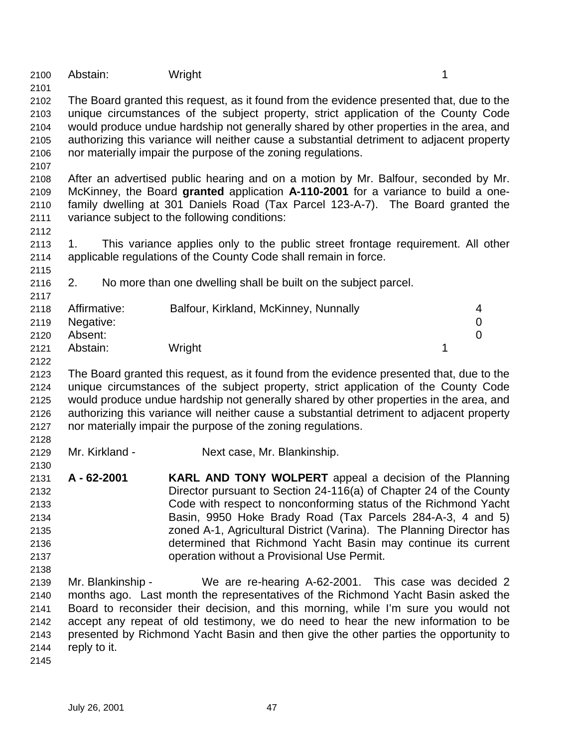2100 Abstain: Wright 1

 The Board granted this request, as it found from the evidence presented that, due to the unique circumstances of the subject property, strict application of the County Code would produce undue hardship not generally shared by other properties in the area, and authorizing this variance will neither cause a substantial detriment to adjacent property nor materially impair the purpose of the zoning regulations.

 After an advertised public hearing and on a motion by Mr. Balfour, seconded by Mr. McKinney, the Board **granted** application **A-110-2001** for a variance to build a one- family dwelling at 301 Daniels Road (Tax Parcel 123-A-7). The Board granted the variance subject to the following conditions:

- 1. This variance applies only to the public street frontage requirement. All other applicable regulations of the County Code shall remain in force.
- 2. No more than one dwelling shall be built on the subject parcel.

| 2117 |              |                                       |  |
|------|--------------|---------------------------------------|--|
| 2118 | Affirmative: | Balfour, Kirkland, McKinney, Nunnally |  |
| 2119 | Negative:    |                                       |  |
| 2120 | Absent:      |                                       |  |
| 2121 | Abstain:     | Wright                                |  |

- The Board granted this request, as it found from the evidence presented that, due to the unique circumstances of the subject property, strict application of the County Code would produce undue hardship not generally shared by other properties in the area, and authorizing this variance will neither cause a substantial detriment to adjacent property nor materially impair the purpose of the zoning regulations.
- 

- Mr. Kirkland Next case, Mr. Blankinship.
- **A 62-2001 KARL AND TONY WOLPERT** appeal a decision of the Planning Director pursuant to Section 24-116(a) of Chapter 24 of the County Code with respect to nonconforming status of the Richmond Yacht Basin, 9950 Hoke Brady Road (Tax Parcels 284-A-3, 4 and 5) zoned A-1, Agricultural District (Varina). The Planning Director has determined that Richmond Yacht Basin may continue its current operation without a Provisional Use Permit.
- Mr. Blankinship We are re-hearing A-62-2001. This case was decided 2 months ago. Last month the representatives of the Richmond Yacht Basin asked the Board to reconsider their decision, and this morning, while I'm sure you would not accept any repeat of old testimony, we do need to hear the new information to be presented by Richmond Yacht Basin and then give the other parties the opportunity to reply to it.
-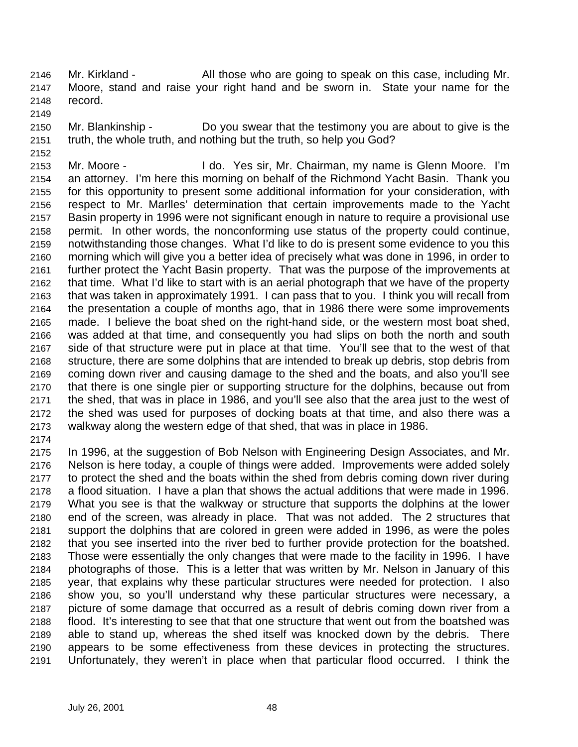Mr. Kirkland - All those who are going to speak on this case, including Mr. Moore, stand and raise your right hand and be sworn in. State your name for the record.

 Mr. Blankinship - Do you swear that the testimony you are about to give is the truth, the whole truth, and nothing but the truth, so help you God?

 Mr. Moore - I do. Yes sir, Mr. Chairman, my name is Glenn Moore. I'm an attorney. I'm here this morning on behalf of the Richmond Yacht Basin. Thank you for this opportunity to present some additional information for your consideration, with respect to Mr. Marlles' determination that certain improvements made to the Yacht Basin property in 1996 were not significant enough in nature to require a provisional use permit. In other words, the nonconforming use status of the property could continue, notwithstanding those changes. What I'd like to do is present some evidence to you this morning which will give you a better idea of precisely what was done in 1996, in order to further protect the Yacht Basin property. That was the purpose of the improvements at that time. What I'd like to start with is an aerial photograph that we have of the property that was taken in approximately 1991. I can pass that to you. I think you will recall from the presentation a couple of months ago, that in 1986 there were some improvements made. I believe the boat shed on the right-hand side, or the western most boat shed, was added at that time, and consequently you had slips on both the north and south side of that structure were put in place at that time. You'll see that to the west of that structure, there are some dolphins that are intended to break up debris, stop debris from coming down river and causing damage to the shed and the boats, and also you'll see that there is one single pier or supporting structure for the dolphins, because out from the shed, that was in place in 1986, and you'll see also that the area just to the west of the shed was used for purposes of docking boats at that time, and also there was a walkway along the western edge of that shed, that was in place in 1986.

 In 1996, at the suggestion of Bob Nelson with Engineering Design Associates, and Mr. Nelson is here today, a couple of things were added. Improvements were added solely to protect the shed and the boats within the shed from debris coming down river during a flood situation. I have a plan that shows the actual additions that were made in 1996. What you see is that the walkway or structure that supports the dolphins at the lower end of the screen, was already in place. That was not added. The 2 structures that support the dolphins that are colored in green were added in 1996, as were the poles that you see inserted into the river bed to further provide protection for the boatshed. Those were essentially the only changes that were made to the facility in 1996. I have photographs of those. This is a letter that was written by Mr. Nelson in January of this year, that explains why these particular structures were needed for protection. I also show you, so you'll understand why these particular structures were necessary, a picture of some damage that occurred as a result of debris coming down river from a flood. It's interesting to see that that one structure that went out from the boatshed was able to stand up, whereas the shed itself was knocked down by the debris. There appears to be some effectiveness from these devices in protecting the structures. Unfortunately, they weren't in place when that particular flood occurred. I think the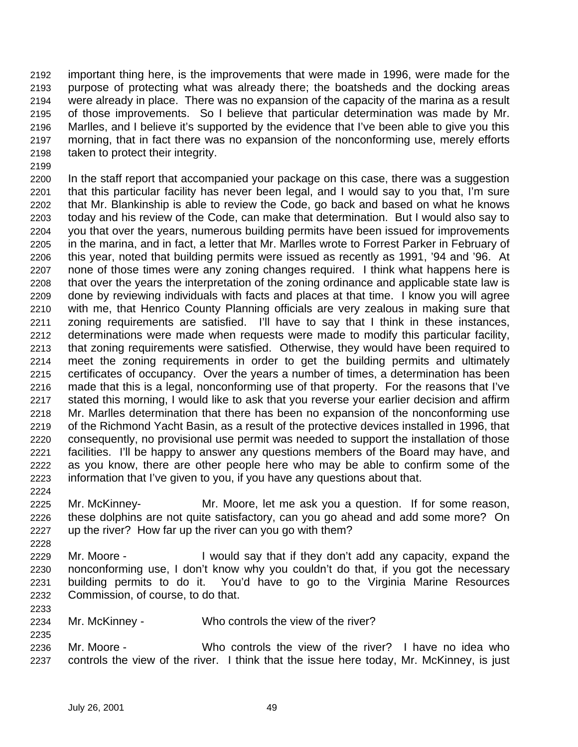important thing here, is the improvements that were made in 1996, were made for the purpose of protecting what was already there; the boatsheds and the docking areas were already in place. There was no expansion of the capacity of the marina as a result of those improvements. So I believe that particular determination was made by Mr. Marlles, and I believe it's supported by the evidence that I've been able to give you this morning, that in fact there was no expansion of the nonconforming use, merely efforts taken to protect their integrity.

 In the staff report that accompanied your package on this case, there was a suggestion that this particular facility has never been legal, and I would say to you that, I'm sure that Mr. Blankinship is able to review the Code, go back and based on what he knows today and his review of the Code, can make that determination. But I would also say to you that over the years, numerous building permits have been issued for improvements in the marina, and in fact, a letter that Mr. Marlles wrote to Forrest Parker in February of this year, noted that building permits were issued as recently as 1991, '94 and '96. At none of those times were any zoning changes required. I think what happens here is that over the years the interpretation of the zoning ordinance and applicable state law is done by reviewing individuals with facts and places at that time. I know you will agree with me, that Henrico County Planning officials are very zealous in making sure that zoning requirements are satisfied. I'll have to say that I think in these instances, determinations were made when requests were made to modify this particular facility, that zoning requirements were satisfied. Otherwise, they would have been required to meet the zoning requirements in order to get the building permits and ultimately certificates of occupancy. Over the years a number of times, a determination has been made that this is a legal, nonconforming use of that property. For the reasons that I've stated this morning, I would like to ask that you reverse your earlier decision and affirm Mr. Marlles determination that there has been no expansion of the nonconforming use of the Richmond Yacht Basin, as a result of the protective devices installed in 1996, that consequently, no provisional use permit was needed to support the installation of those facilities. I'll be happy to answer any questions members of the Board may have, and as you know, there are other people here who may be able to confirm some of the information that I've given to you, if you have any questions about that.

- Mr. McKinney- Mr. Moore, let me ask you a question. If for some reason, these dolphins are not quite satisfactory, can you go ahead and add some more? On up the river? How far up the river can you go with them?
- Mr. Moore I would say that if they don't add any capacity, expand the nonconforming use, I don't know why you couldn't do that, if you got the necessary building permits to do it. You'd have to go to the Virginia Marine Resources Commission, of course, to do that.
- Mr. McKinney Who controls the view of the river?
- Mr. Moore Who controls the view of the river? I have no idea who controls the view of the river. I think that the issue here today, Mr. McKinney, is just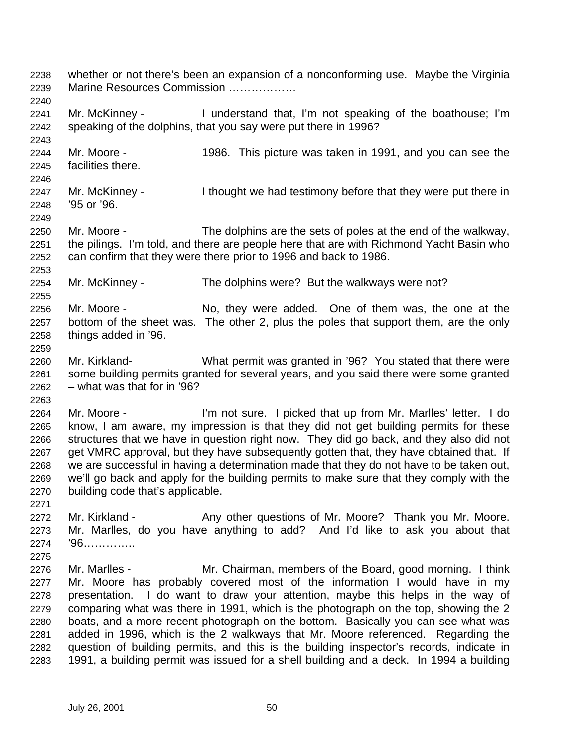whether or not there's been an expansion of a nonconforming use. Maybe the Virginia Marine Resources Commission ……………… Mr. McKinney - I understand that, I'm not speaking of the boathouse; I'm speaking of the dolphins, that you say were put there in 1996? Mr. Moore - 1986. This picture was taken in 1991, and you can see the facilities there. 2247 Mr. McKinney - I thought we had testimony before that they were put there in '95 or '96. Mr. Moore - The dolphins are the sets of poles at the end of the walkway, the pilings. I'm told, and there are people here that are with Richmond Yacht Basin who can confirm that they were there prior to 1996 and back to 1986. Mr. McKinney - The dolphins were? But the walkways were not? Mr. Moore - No, they were added. One of them was, the one at the bottom of the sheet was. The other 2, plus the poles that support them, are the only things added in '96. Mr. Kirkland- What permit was granted in '96? You stated that there were some building permits granted for several years, and you said there were some granted  $2262 -$  what was that for in '96? Mr. Moore - I'm not sure. I picked that up from Mr. Marlles' letter. I do know, I am aware, my impression is that they did not get building permits for these structures that we have in question right now. They did go back, and they also did not get VMRC approval, but they have subsequently gotten that, they have obtained that. If we are successful in having a determination made that they do not have to be taken out, we'll go back and apply for the building permits to make sure that they comply with the building code that's applicable. 2272 Mr. Kirkland - Any other questions of Mr. Moore? Thank you Mr. Moore. Mr. Marlles, do you have anything to add? And I'd like to ask you about that '96………….. Mr. Marlles - Mr. Chairman, members of the Board, good morning. I think Mr. Moore has probably covered most of the information I would have in my presentation. I do want to draw your attention, maybe this helps in the way of comparing what was there in 1991, which is the photograph on the top, showing the 2 boats, and a more recent photograph on the bottom. Basically you can see what was added in 1996, which is the 2 walkways that Mr. Moore referenced. Regarding the question of building permits, and this is the building inspector's records, indicate in 1991, a building permit was issued for a shell building and a deck. In 1994 a building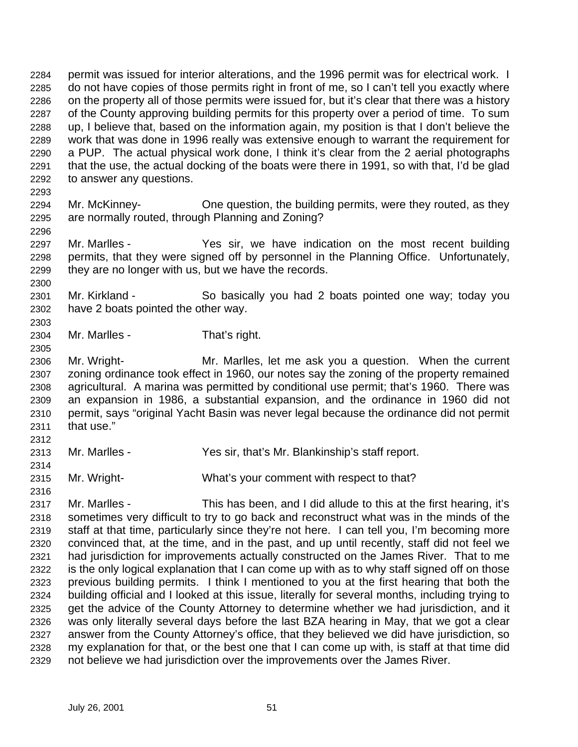permit was issued for interior alterations, and the 1996 permit was for electrical work. I do not have copies of those permits right in front of me, so I can't tell you exactly where on the property all of those permits were issued for, but it's clear that there was a history of the County approving building permits for this property over a period of time. To sum up, I believe that, based on the information again, my position is that I don't believe the work that was done in 1996 really was extensive enough to warrant the requirement for a PUP. The actual physical work done, I think it's clear from the 2 aerial photographs that the use, the actual docking of the boats were there in 1991, so with that, I'd be glad to answer any questions. 

- Mr. McKinney- One question, the building permits, were they routed, as they are normally routed, through Planning and Zoning?
- Mr. Marlles Yes sir, we have indication on the most recent building permits, that they were signed off by personnel in the Planning Office. Unfortunately, they are no longer with us, but we have the records.
- Mr. Kirkland So basically you had 2 boats pointed one way; today you have 2 boats pointed the other way.
- Mr. Marlles That's right.
- Mr. Wright- Mr. Marlles, let me ask you a question. When the current zoning ordinance took effect in 1960, our notes say the zoning of the property remained agricultural. A marina was permitted by conditional use permit; that's 1960. There was an expansion in 1986, a substantial expansion, and the ordinance in 1960 did not permit, says "original Yacht Basin was never legal because the ordinance did not permit that use."
- 

- Mr. Marlles Yes sir, that's Mr. Blankinship's staff report.
- Mr. Wright- What's your comment with respect to that?

 Mr. Marlles - This has been, and I did allude to this at the first hearing, it's sometimes very difficult to try to go back and reconstruct what was in the minds of the staff at that time, particularly since they're not here. I can tell you, I'm becoming more convinced that, at the time, and in the past, and up until recently, staff did not feel we had jurisdiction for improvements actually constructed on the James River. That to me is the only logical explanation that I can come up with as to why staff signed off on those previous building permits. I think I mentioned to you at the first hearing that both the building official and I looked at this issue, literally for several months, including trying to get the advice of the County Attorney to determine whether we had jurisdiction, and it was only literally several days before the last BZA hearing in May, that we got a clear answer from the County Attorney's office, that they believed we did have jurisdiction, so my explanation for that, or the best one that I can come up with, is staff at that time did not believe we had jurisdiction over the improvements over the James River.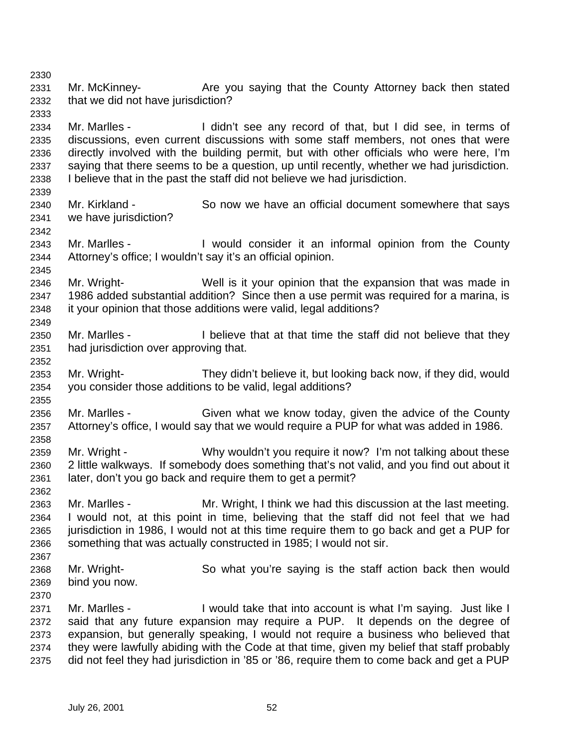2331 Mr. McKinney- **Are you saying that the County Attorney back then stated**  that we did not have jurisdiction? 

 Mr. Marlles - I didn't see any record of that, but I did see, in terms of discussions, even current discussions with some staff members, not ones that were directly involved with the building permit, but with other officials who were here, I'm saying that there seems to be a question, up until recently, whether we had jurisdiction. I believe that in the past the staff did not believe we had jurisdiction.

- Mr. Kirkland So now we have an official document somewhere that says we have jurisdiction?
- Mr. Marlles I would consider it an informal opinion from the County Attorney's office; I wouldn't say it's an official opinion.

 Mr. Wright- Well is it your opinion that the expansion that was made in 1986 added substantial addition? Since then a use permit was required for a marina, is it your opinion that those additions were valid, legal additions? 

- Mr. Marlles I believe that at that time the staff did not believe that they had jurisdiction over approving that.
- Mr. Wright- They didn't believe it, but looking back now, if they did, would you consider those additions to be valid, legal additions?
- Mr. Marlles Given what we know today, given the advice of the County Attorney's office, I would say that we would require a PUP for what was added in 1986.
- Mr. Wright Why wouldn't you require it now? I'm not talking about these 2 little walkways. If somebody does something that's not valid, and you find out about it later, don't you go back and require them to get a permit?
- Mr. Marlles - Mr. Wright, I think we had this discussion at the last meeting. I would not, at this point in time, believing that the staff did not feel that we had 2365 iurisdiction in 1986. I would not at this time require them to go back and get a PUP for something that was actually constructed in 1985; I would not sir.
- Mr. Wright- So what you're saying is the staff action back then would bind you now.
- Mr. Marlles I would take that into account is what I'm saying. Just like I said that any future expansion may require a PUP. It depends on the degree of expansion, but generally speaking, I would not require a business who believed that they were lawfully abiding with the Code at that time, given my belief that staff probably did not feel they had jurisdiction in '85 or '86, require them to come back and get a PUP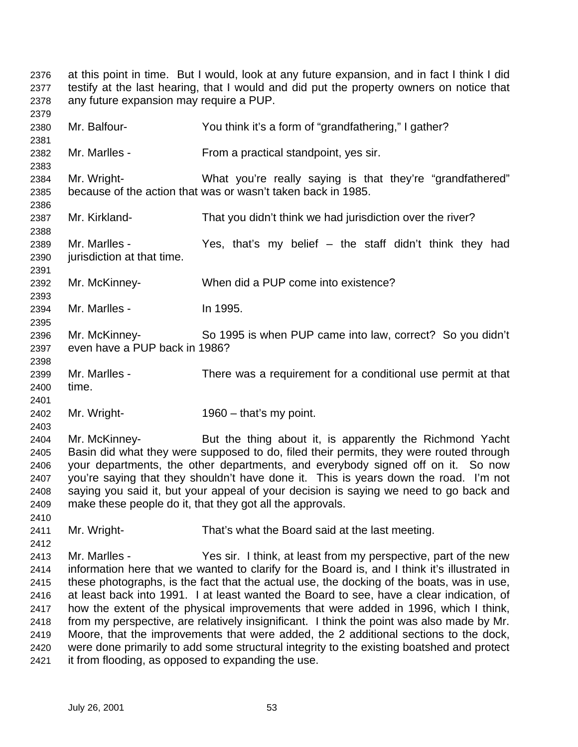at this point in time. But I would, look at any future expansion, and in fact I think I did testify at the last hearing, that I would and did put the property owners on notice that any future expansion may require a PUP. Mr. Balfour- You think it's a form of "grandfathering," I gather? Mr. Marlles - From a practical standpoint, yes sir. Mr. Wright- What you're really saying is that they're "grandfathered" because of the action that was or wasn't taken back in 1985. Mr. Kirkland- That you didn't think we had jurisdiction over the river? Mr. Marlles - Yes, that's my belief – the staff didn't think they had jurisdiction at that time. Mr. McKinney- When did a PUP come into existence? Mr. Marlles - In 1995. Mr. McKinney- So 1995 is when PUP came into law, correct? So you didn't even have a PUP back in 1986? Mr. Marlles - There was a requirement for a conditional use permit at that time. Mr. Wright- 1960 – that's my point. Mr. McKinney- But the thing about it, is apparently the Richmond Yacht Basin did what they were supposed to do, filed their permits, they were routed through your departments, the other departments, and everybody signed off on it. So now you're saying that they shouldn't have done it. This is years down the road. I'm not saying you said it, but your appeal of your decision is saying we need to go back and make these people do it, that they got all the approvals. Mr. Wright- That's what the Board said at the last meeting. Mr. Marlles - Yes sir. I think, at least from my perspective, part of the new information here that we wanted to clarify for the Board is, and I think it's illustrated in these photographs, is the fact that the actual use, the docking of the boats, was in use, at least back into 1991. I at least wanted the Board to see, have a clear indication, of how the extent of the physical improvements that were added in 1996, which I think, from my perspective, are relatively insignificant. I think the point was also made by Mr. Moore, that the improvements that were added, the 2 additional sections to the dock, were done primarily to add some structural integrity to the existing boatshed and protect it from flooding, as opposed to expanding the use.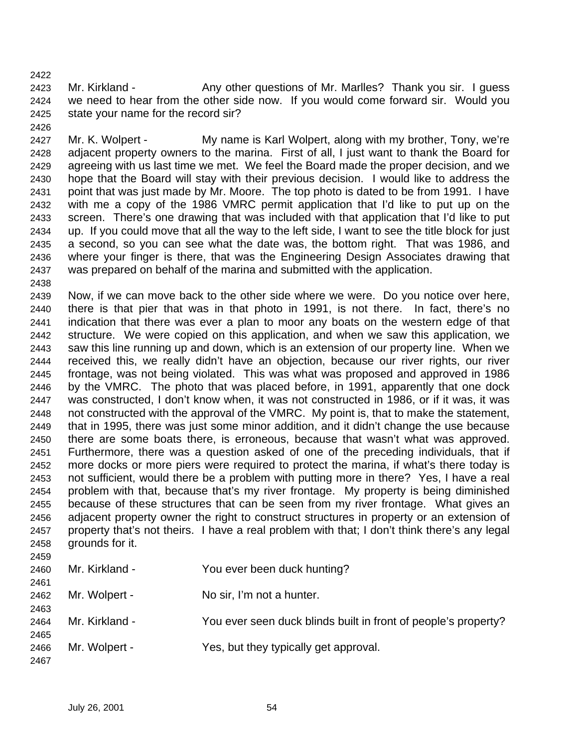2423 Mr. Kirkland - Any other questions of Mr. Marlles? Thank you sir. I guess we need to hear from the other side now. If you would come forward sir. Would you state your name for the record sir?

2427 Mr. K. Wolpert - My name is Karl Wolpert, along with my brother, Tony, we're adjacent property owners to the marina. First of all, I just want to thank the Board for agreeing with us last time we met. We feel the Board made the proper decision, and we hope that the Board will stay with their previous decision. I would like to address the point that was just made by Mr. Moore. The top photo is dated to be from 1991. I have with me a copy of the 1986 VMRC permit application that I'd like to put up on the screen. There's one drawing that was included with that application that I'd like to put up. If you could move that all the way to the left side, I want to see the title block for just a second, so you can see what the date was, the bottom right. That was 1986, and where your finger is there, that was the Engineering Design Associates drawing that was prepared on behalf of the marina and submitted with the application.

 Now, if we can move back to the other side where we were. Do you notice over here, there is that pier that was in that photo in 1991, is not there. In fact, there's no indication that there was ever a plan to moor any boats on the western edge of that structure. We were copied on this application, and when we saw this application, we saw this line running up and down, which is an extension of our property line. When we received this, we really didn't have an objection, because our river rights, our river frontage, was not being violated. This was what was proposed and approved in 1986 by the VMRC. The photo that was placed before, in 1991, apparently that one dock was constructed, I don't know when, it was not constructed in 1986, or if it was, it was not constructed with the approval of the VMRC. My point is, that to make the statement, that in 1995, there was just some minor addition, and it didn't change the use because there are some boats there, is erroneous, because that wasn't what was approved. Furthermore, there was a question asked of one of the preceding individuals, that if more docks or more piers were required to protect the marina, if what's there today is not sufficient, would there be a problem with putting more in there? Yes, I have a real problem with that, because that's my river frontage. My property is being diminished because of these structures that can be seen from my river frontage. What gives an adjacent property owner the right to construct structures in property or an extension of property that's not theirs. I have a real problem with that; I don't think there's any legal grounds for it. 

| <b>2459</b> |                |                                                                |
|-------------|----------------|----------------------------------------------------------------|
| 2460        | Mr. Kirkland - | You ever been duck hunting?                                    |
| 2461        |                |                                                                |
| 2462        | Mr. Wolpert -  | No sir, I'm not a hunter.                                      |
| 2463        |                |                                                                |
| 2464        | Mr. Kirkland - | You ever seen duck blinds built in front of people's property? |
| 2465        |                |                                                                |
| 2466        | Mr. Wolpert -  | Yes, but they typically get approval.                          |
| 2467        |                |                                                                |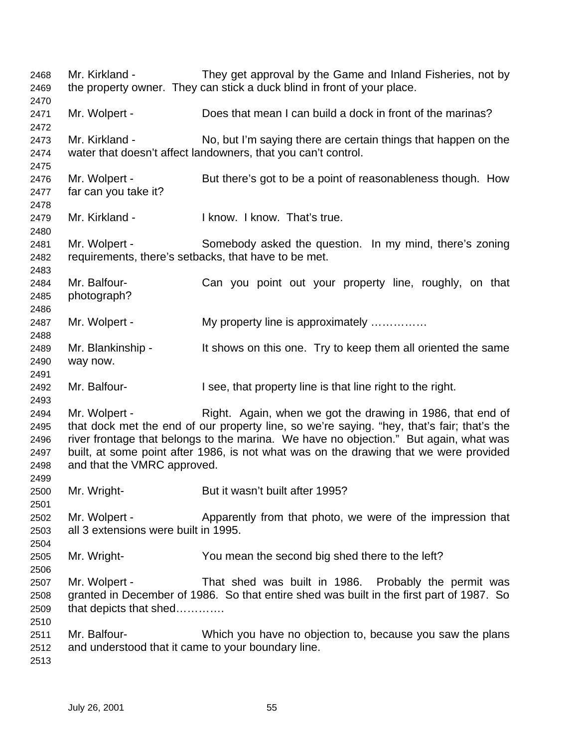| 2468<br>2469                                 | Mr. Kirkland -                                                     | They get approval by the Game and Inland Fisheries, not by<br>the property owner. They can stick a duck blind in front of your place.                                                                                                                                                                                                      |
|----------------------------------------------|--------------------------------------------------------------------|--------------------------------------------------------------------------------------------------------------------------------------------------------------------------------------------------------------------------------------------------------------------------------------------------------------------------------------------|
| 2470<br>2471<br>2472                         | Mr. Wolpert -                                                      | Does that mean I can build a dock in front of the marinas?                                                                                                                                                                                                                                                                                 |
| 2473<br>2474                                 | Mr. Kirkland -                                                     | No, but I'm saying there are certain things that happen on the<br>water that doesn't affect landowners, that you can't control.                                                                                                                                                                                                            |
| 2475<br>2476<br>2477<br>2478                 | Mr. Wolpert -<br>far can you take it?                              | But there's got to be a point of reasonableness though. How                                                                                                                                                                                                                                                                                |
| 2479<br>2480                                 | Mr. Kirkland -                                                     | I know. I know. That's true.                                                                                                                                                                                                                                                                                                               |
| 2481<br>2482<br>2483                         | Mr. Wolpert -                                                      | Somebody asked the question. In my mind, there's zoning<br>requirements, there's setbacks, that have to be met.                                                                                                                                                                                                                            |
| 2484<br>2485<br>2486                         | Mr. Balfour-<br>photograph?                                        | Can you point out your property line, roughly, on that                                                                                                                                                                                                                                                                                     |
| 2487<br>2488                                 | Mr. Wolpert -                                                      | My property line is approximately                                                                                                                                                                                                                                                                                                          |
| 2489<br>2490<br>2491                         | Mr. Blankinship -<br>way now.                                      | It shows on this one. Try to keep them all oriented the same                                                                                                                                                                                                                                                                               |
| 2492<br>2493                                 | Mr. Balfour-                                                       | I see, that property line is that line right to the right.                                                                                                                                                                                                                                                                                 |
| 2494<br>2495<br>2496<br>2497<br>2498<br>2499 | Mr. Wolpert -<br>and that the VMRC approved.                       | Right. Again, when we got the drawing in 1986, that end of<br>that dock met the end of our property line, so we're saying. "hey, that's fair; that's the<br>river frontage that belongs to the marina. We have no objection." But again, what was<br>built, at some point after 1986, is not what was on the drawing that we were provided |
| 2500                                         | Mr. Wright-                                                        | But it wasn't built after 1995?                                                                                                                                                                                                                                                                                                            |
| 2501<br>2502<br>2503<br>2504                 | Mr. Wolpert -<br>all 3 extensions were built in 1995.              | Apparently from that photo, we were of the impression that                                                                                                                                                                                                                                                                                 |
| 2505<br>2506                                 | Mr. Wright-                                                        | You mean the second big shed there to the left?                                                                                                                                                                                                                                                                                            |
| 2507<br>2508<br>2509<br>2510                 | Mr. Wolpert -<br>that depicts that shed                            | That shed was built in 1986. Probably the permit was<br>granted in December of 1986. So that entire shed was built in the first part of 1987. So                                                                                                                                                                                           |
| 2511<br>2512<br>2513                         | Mr. Balfour-<br>and understood that it came to your boundary line. | Which you have no objection to, because you saw the plans                                                                                                                                                                                                                                                                                  |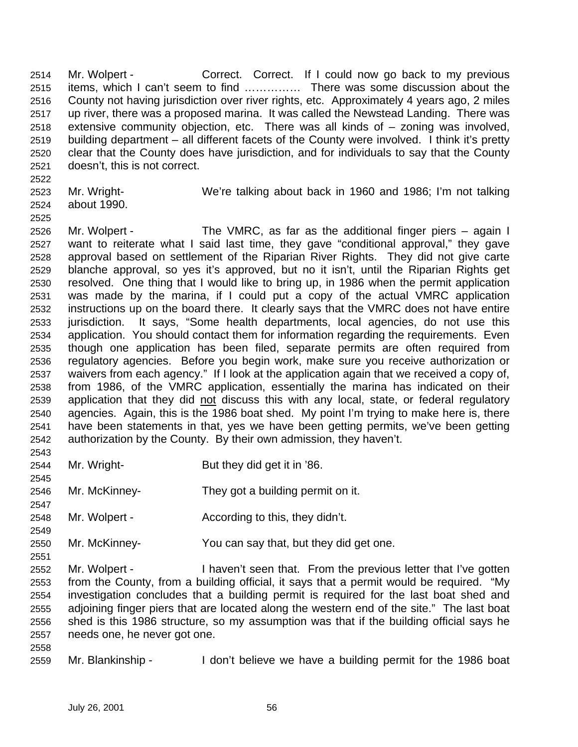2514 Mr. Wolpert - Correct. Correct. If I could now go back to my previous items, which I can't seem to find …………… There was some discussion about the County not having jurisdiction over river rights, etc. Approximately 4 years ago, 2 miles up river, there was a proposed marina. It was called the Newstead Landing. There was extensive community objection, etc. There was all kinds of – zoning was involved, building department – all different facets of the County were involved. I think it's pretty clear that the County does have jurisdiction, and for individuals to say that the County doesn't, this is not correct.

- Mr. Wright- We're talking about back in 1960 and 1986; I'm not talking about 1990.
- 

- Mr. Wolpert The VMRC, as far as the additional finger piers again I want to reiterate what I said last time, they gave "conditional approval," they gave approval based on settlement of the Riparian River Rights. They did not give carte blanche approval, so yes it's approved, but no it isn't, until the Riparian Rights get resolved. One thing that I would like to bring up, in 1986 when the permit application was made by the marina, if I could put a copy of the actual VMRC application instructions up on the board there. It clearly says that the VMRC does not have entire jurisdiction. It says, "Some health departments, local agencies, do not use this application. You should contact them for information regarding the requirements. Even though one application has been filed, separate permits are often required from regulatory agencies. Before you begin work, make sure you receive authorization or waivers from each agency." If I look at the application again that we received a copy of, from 1986, of the VMRC application, essentially the marina has indicated on their application that they did not discuss this with any local, state, or federal regulatory agencies. Again, this is the 1986 boat shed. My point I'm trying to make here is, there have been statements in that, yes we have been getting permits, we've been getting authorization by the County. By their own admission, they haven't.
- Mr. Wright- But they did get it in '86.
- Mr. McKinney- They got a building permit on it.
- 2548 Mr. Wolpert According to this, they didn't.
- Mr. McKinney- You can say that, but they did get one.
- Mr. Wolpert I haven't seen that. From the previous letter that I've gotten from the County, from a building official, it says that a permit would be required. "My investigation concludes that a building permit is required for the last boat shed and adjoining finger piers that are located along the western end of the site." The last boat shed is this 1986 structure, so my assumption was that if the building official says he needs one, he never got one.
- 

Mr. Blankinship - I don't believe we have a building permit for the 1986 boat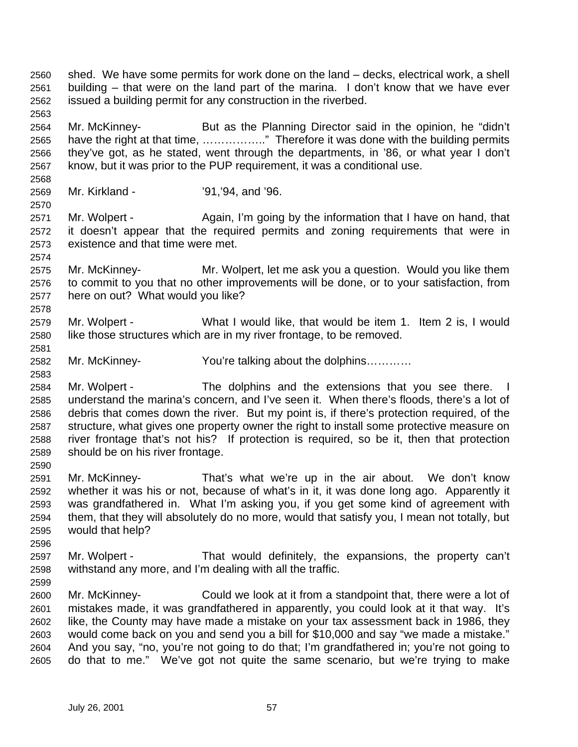- shed. We have some permits for work done on the land decks, electrical work, a shell building – that were on the land part of the marina. I don't know that we have ever issued a building permit for any construction in the riverbed.
- Mr. McKinney- But as the Planning Director said in the opinion, he "didn't have the right at that time, …………….." Therefore it was done with the building permits they've got, as he stated, went through the departments, in '86, or what year I don't know, but it was prior to the PUP requirement, it was a conditional use.
- Mr. Kirkland '91,'94, and '96.

- 2571 Mr. Wolpert Again, I'm going by the information that I have on hand, that it doesn't appear that the required permits and zoning requirements that were in existence and that time were met.
- Mr. McKinney- Mr. Wolpert, let me ask you a question. Would you like them to commit to you that no other improvements will be done, or to your satisfaction, from here on out? What would you like?
- Mr. Wolpert What I would like, that would be item 1. Item 2 is, I would like those structures which are in my river frontage, to be removed.
- Mr. McKinney- You're talking about the dolphins…………
- Mr. Wolpert The dolphins and the extensions that you see there. I understand the marina's concern, and I've seen it. When there's floods, there's a lot of debris that comes down the river. But my point is, if there's protection required, of the structure, what gives one property owner the right to install some protective measure on river frontage that's not his? If protection is required, so be it, then that protection should be on his river frontage.
- Mr. McKinney- That's what we're up in the air about. We don't know whether it was his or not, because of what's in it, it was done long ago. Apparently it was grandfathered in. What I'm asking you, if you get some kind of agreement with them, that they will absolutely do no more, would that satisfy you, I mean not totally, but would that help?
- Mr. Wolpert That would definitely, the expansions, the property can't withstand any more, and I'm dealing with all the traffic.
- Mr. McKinney- Could we look at it from a standpoint that, there were a lot of mistakes made, it was grandfathered in apparently, you could look at it that way. It's like, the County may have made a mistake on your tax assessment back in 1986, they would come back on you and send you a bill for \$10,000 and say "we made a mistake." And you say, "no, you're not going to do that; I'm grandfathered in; you're not going to do that to me." We've got not quite the same scenario, but we're trying to make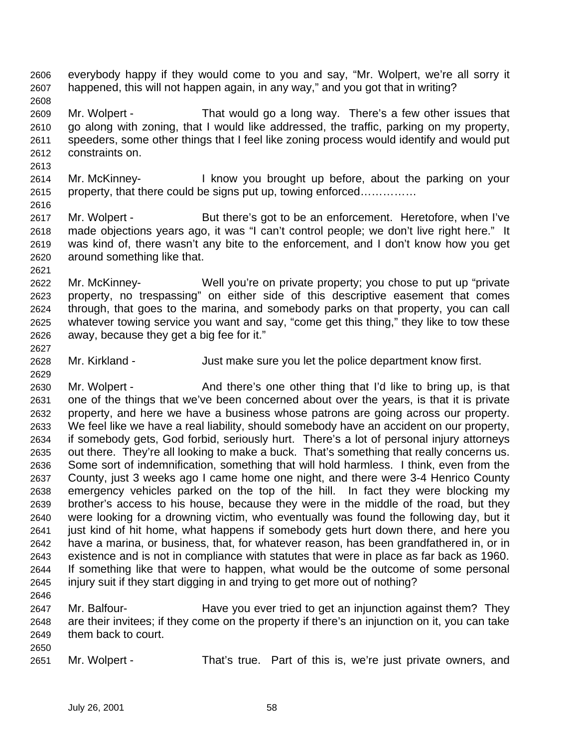- everybody happy if they would come to you and say, "Mr. Wolpert, we're all sorry it happened, this will not happen again, in any way," and you got that in writing?
- Mr. Wolpert That would go a long way. There's a few other issues that go along with zoning, that I would like addressed, the traffic, parking on my property, speeders, some other things that I feel like zoning process would identify and would put constraints on.
- Mr. McKinney- I know you brought up before, about the parking on your property, that there could be signs put up, towing enforced……………
- 2617 Mr. Wolpert But there's got to be an enforcement. Heretofore, when I've made objections years ago, it was "I can't control people; we don't live right here." It was kind of, there wasn't any bite to the enforcement, and I don't know how you get around something like that.
- Mr. McKinney- Well you're on private property; you chose to put up "private property, no trespassing" on either side of this descriptive easement that comes through, that goes to the marina, and somebody parks on that property, you can call whatever towing service you want and say, "come get this thing," they like to tow these away, because they get a big fee for it."
- Mr. Kirkland Just make sure you let the police department know first.
- 2630 Mr. Wolpert And there's one other thing that I'd like to bring up, is that one of the things that we've been concerned about over the years, is that it is private property, and here we have a business whose patrons are going across our property. We feel like we have a real liability, should somebody have an accident on our property, if somebody gets, God forbid, seriously hurt. There's a lot of personal injury attorneys out there. They're all looking to make a buck. That's something that really concerns us. Some sort of indemnification, something that will hold harmless. I think, even from the County, just 3 weeks ago I came home one night, and there were 3-4 Henrico County emergency vehicles parked on the top of the hill. In fact they were blocking my brother's access to his house, because they were in the middle of the road, but they were looking for a drowning victim, who eventually was found the following day, but it 2641 iust kind of hit home, what happens if somebody gets hurt down there, and here you have a marina, or business, that, for whatever reason, has been grandfathered in, or in existence and is not in compliance with statutes that were in place as far back as 1960. If something like that were to happen, what would be the outcome of some personal injury suit if they start digging in and trying to get more out of nothing?
- Mr. Balfour- Have you ever tried to get an injunction against them? They are their invitees; if they come on the property if there's an injunction on it, you can take them back to court.
- 

Mr. Wolpert - That's true. Part of this is, we're just private owners, and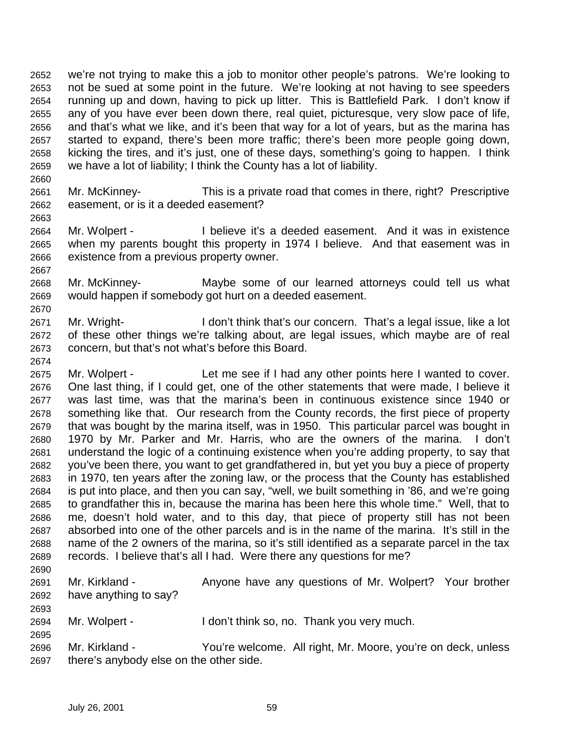we're not trying to make this a job to monitor other people's patrons. We're looking to not be sued at some point in the future. We're looking at not having to see speeders running up and down, having to pick up litter. This is Battlefield Park. I don't know if any of you have ever been down there, real quiet, picturesque, very slow pace of life, and that's what we like, and it's been that way for a lot of years, but as the marina has started to expand, there's been more traffic; there's been more people going down, kicking the tires, and it's just, one of these days, something's going to happen. I think we have a lot of liability; I think the County has a lot of liability.

- Mr. McKinney- This is a private road that comes in there, right? Prescriptive easement, or is it a deeded easement?
- Mr. Wolpert I believe it's a deeded easement. And it was in existence when my parents bought this property in 1974 I believe. And that easement was in existence from a previous property owner.
- Mr. McKinney- Maybe some of our learned attorneys could tell us what would happen if somebody got hurt on a deeded easement.
- Mr. Wright- I don't think that's our concern. That's a legal issue, like a lot of these other things we're talking about, are legal issues, which maybe are of real concern, but that's not what's before this Board.
- Mr. Wolpert Let me see if I had any other points here I wanted to cover. One last thing, if I could get, one of the other statements that were made, I believe it was last time, was that the marina's been in continuous existence since 1940 or something like that. Our research from the County records, the first piece of property that was bought by the marina itself, was in 1950. This particular parcel was bought in 1970 by Mr. Parker and Mr. Harris, who are the owners of the marina. I don't understand the logic of a continuing existence when you're adding property, to say that you've been there, you want to get grandfathered in, but yet you buy a piece of property in 1970, ten years after the zoning law, or the process that the County has established is put into place, and then you can say, "well, we built something in '86, and we're going to grandfather this in, because the marina has been here this whole time." Well, that to me, doesn't hold water, and to this day, that piece of property still has not been absorbed into one of the other parcels and is in the name of the marina. It's still in the name of the 2 owners of the marina, so it's still identified as a separate parcel in the tax records. I believe that's all I had. Were there any questions for me?
- 

- 2691 Mr. Kirkland Anyone have any questions of Mr. Wolpert? Your brother have anything to say?
- Mr. Wolpert I don't think so, no. Thank you very much.
- Mr. Kirkland You're welcome. All right, Mr. Moore, you're on deck, unless there's anybody else on the other side.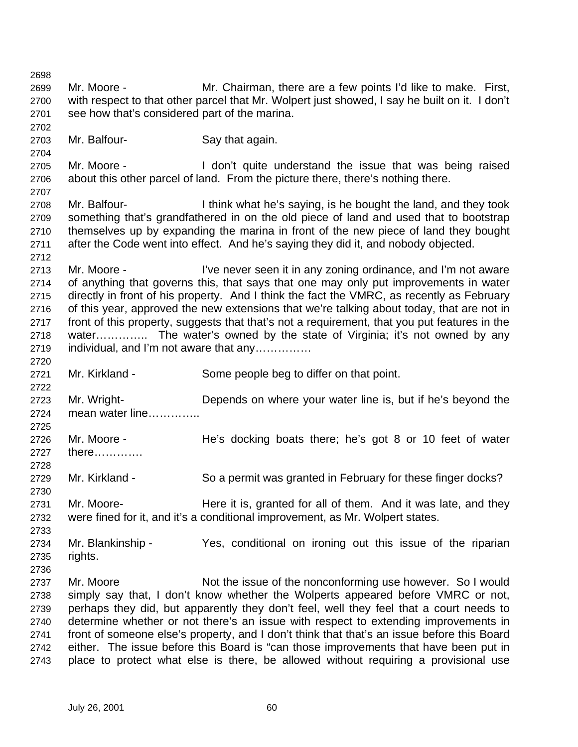Mr. Moore - Mr. Chairman, there are a few points I'd like to make. First, with respect to that other parcel that Mr. Wolpert just showed, I say he built on it. I don't see how that's considered part of the marina. Mr. Balfour- Say that again. Mr. Moore - I don't quite understand the issue that was being raised about this other parcel of land. From the picture there, there's nothing there. Mr. Balfour- I think what he's saying, is he bought the land, and they took something that's grandfathered in on the old piece of land and used that to bootstrap themselves up by expanding the marina in front of the new piece of land they bought after the Code went into effect. And he's saying they did it, and nobody objected. Mr. Moore - I've never seen it in any zoning ordinance, and I'm not aware of anything that governs this, that says that one may only put improvements in water directly in front of his property. And I think the fact the VMRC, as recently as February of this year, approved the new extensions that we're talking about today, that are not in front of this property, suggests that that's not a requirement, that you put features in the water………….. The water's owned by the state of Virginia; it's not owned by any individual, and I'm not aware that any…………… Mr. Kirkland - Some people beg to differ on that point. Mr. Wright- Depends on where your water line is, but if he's beyond the mean water line………….. Mr. Moore - He's docking boats there; he's got 8 or 10 feet of water there…………. Mr. Kirkland - So a permit was granted in February for these finger docks? Mr. Moore- Here it is, granted for all of them. And it was late, and they were fined for it, and it's a conditional improvement, as Mr. Wolpert states. Mr. Blankinship - Yes, conditional on ironing out this issue of the riparian rights. 2737 Mr. Moore Not the issue of the nonconforming use however. So I would simply say that, I don't know whether the Wolperts appeared before VMRC or not, perhaps they did, but apparently they don't feel, well they feel that a court needs to determine whether or not there's an issue with respect to extending improvements in front of someone else's property, and I don't think that that's an issue before this Board either. The issue before this Board is "can those improvements that have been put in place to protect what else is there, be allowed without requiring a provisional use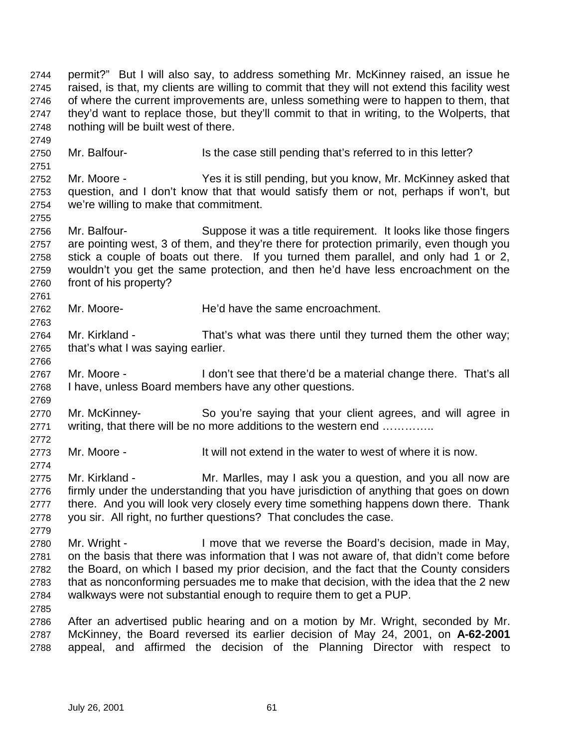permit?" But I will also say, to address something Mr. McKinney raised, an issue he raised, is that, my clients are willing to commit that they will not extend this facility west of where the current improvements are, unless something were to happen to them, that they'd want to replace those, but they'll commit to that in writing, to the Wolperts, that nothing will be built west of there. 2750 Mr. Balfour- Is the case still pending that's referred to in this letter? Mr. Moore - Yes it is still pending, but you know, Mr. McKinney asked that question, and I don't know that that would satisfy them or not, perhaps if won't, but we're willing to make that commitment. Mr. Balfour- Suppose it was a title requirement. It looks like those fingers are pointing west, 3 of them, and they're there for protection primarily, even though you stick a couple of boats out there. If you turned them parallel, and only had 1 or 2, wouldn't you get the same protection, and then he'd have less encroachment on the front of his property? Mr. Moore- He'd have the same encroachment. Mr. Kirkland - That's what was there until they turned them the other way; that's what I was saying earlier. Mr. Moore - I don't see that there'd be a material change there. That's all I have, unless Board members have any other questions. Mr. McKinney- So you're saying that your client agrees, and will agree in 2771 writing, that there will be no more additions to the western end .............. Mr. Moore - It will not extend in the water to west of where it is now. Mr. Kirkland - Mr. Marlles, may I ask you a question, and you all now are firmly under the understanding that you have jurisdiction of anything that goes on down 2777 there. And you will look very closely every time something happens down there. Thank you sir. All right, no further questions? That concludes the case. Mr. Wright - I move that we reverse the Board's decision, made in May, on the basis that there was information that I was not aware of, that didn't come before the Board, on which I based my prior decision, and the fact that the County considers that as nonconforming persuades me to make that decision, with the idea that the 2 new walkways were not substantial enough to require them to get a PUP. After an advertised public hearing and on a motion by Mr. Wright, seconded by Mr. McKinney, the Board reversed its earlier decision of May 24, 2001, on **A-62-2001**  appeal, and affirmed the decision of the Planning Director with respect to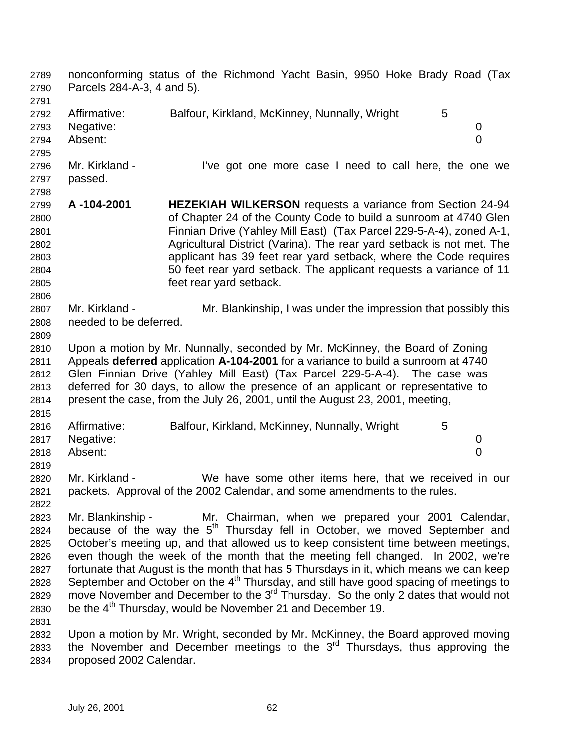nonconforming status of the Richmond Yacht Basin, 9950 Hoke Brady Road (Tax Parcels 284-A-3, 4 and 5). 2792 Affirmative: Balfour, Kirkland, McKinney, Nunnally, Wright 5 Negative: 0 Absent: 0 2796 Mr. Kirkland - I've got one more case I need to call here, the one we passed. **A -104-2001 HEZEKIAH WILKERSON** requests a variance from Section 24-94 of Chapter 24 of the County Code to build a sunroom at 4740 Glen Finnian Drive (Yahley Mill East) (Tax Parcel 229-5-A-4), zoned A-1, Agricultural District (Varina). The rear yard setback is not met. The applicant has 39 feet rear yard setback, where the Code requires 50 feet rear yard setback. The applicant requests a variance of 11 feet rear yard setback. Mr. Kirkland - Mr. Blankinship, I was under the impression that possibly this needed to be deferred. Upon a motion by Mr. Nunnally, seconded by Mr. McKinney, the Board of Zoning Appeals **deferred** application **A-104-2001** for a variance to build a sunroom at 4740 Glen Finnian Drive (Yahley Mill East) (Tax Parcel 229-5-A-4). The case was deferred for 30 days, to allow the presence of an applicant or representative to present the case, from the July 26, 2001, until the August 23, 2001, meeting, 2816 Affirmative: Balfour, Kirkland, McKinney, Nunnally, Wright 5 Negative: 0 Absent: 0 Mr. Kirkland - We have some other items here, that we received in our packets. Approval of the 2002 Calendar, and some amendments to the rules. Mr. Blankinship - Mr. Chairman, when we prepared your 2001 Calendar, 2824 because of the way the  $5<sup>th</sup>$  Thursday fell in October, we moved September and October's meeting up, and that allowed us to keep consistent time between meetings, even though the week of the month that the meeting fell changed. In 2002, we're fortunate that August is the month that has 5 Thursdays in it, which means we can keep 2828 September and October on the  $4<sup>th</sup>$  Thursday, and still have good spacing of meetings to 2829 move November and December to the  $3^{rd}$  Thursday. So the only 2 dates that would not 2830 be the  $4<sup>th</sup>$  Thursday, would be November 21 and December 19. Upon a motion by Mr. Wright, seconded by Mr. McKinney, the Board approved moving 2833 the November and December meetings to the  $3<sup>rd</sup>$  Thursdays, thus approving the proposed 2002 Calendar.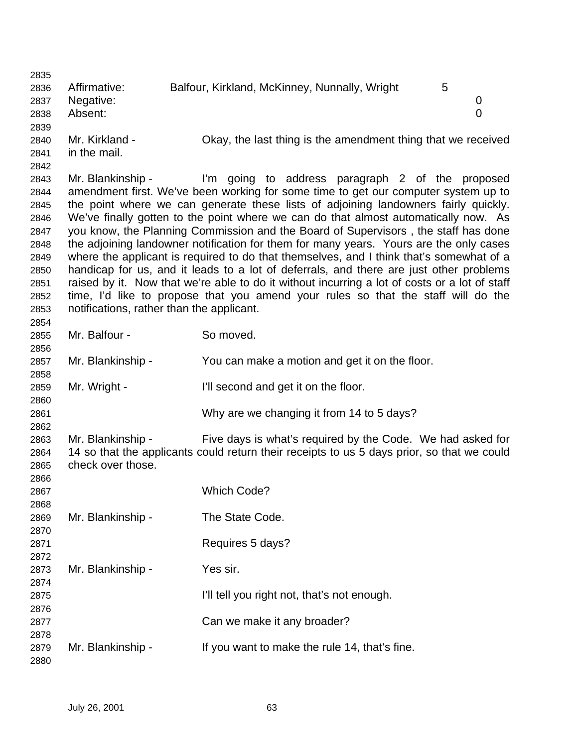| 2835 |                                           |                                                                                               |   |   |
|------|-------------------------------------------|-----------------------------------------------------------------------------------------------|---|---|
| 2836 | Affirmative:                              | Balfour, Kirkland, McKinney, Nunnally, Wright                                                 | 5 |   |
| 2837 | Negative:                                 |                                                                                               |   | 0 |
| 2838 | Absent:                                   |                                                                                               |   | 0 |
| 2839 |                                           |                                                                                               |   |   |
| 2840 | Mr. Kirkland -                            | Okay, the last thing is the amendment thing that we received                                  |   |   |
| 2841 | in the mail.                              |                                                                                               |   |   |
| 2842 |                                           |                                                                                               |   |   |
| 2843 | Mr. Blankinship -                         | I'm going to address paragraph 2 of the proposed                                              |   |   |
| 2844 |                                           | amendment first. We've been working for some time to get our computer system up to            |   |   |
| 2845 |                                           | the point where we can generate these lists of adjoining landowners fairly quickly.           |   |   |
| 2846 |                                           | We've finally gotten to the point where we can do that almost automatically now. As           |   |   |
| 2847 |                                           | you know, the Planning Commission and the Board of Supervisors, the staff has done            |   |   |
| 2848 |                                           | the adjoining landowner notification for them for many years. Yours are the only cases        |   |   |
| 2849 |                                           | where the applicant is required to do that themselves, and I think that's somewhat of a       |   |   |
| 2850 |                                           | handicap for us, and it leads to a lot of deferrals, and there are just other problems        |   |   |
| 2851 |                                           | raised by it. Now that we're able to do it without incurring a lot of costs or a lot of staff |   |   |
| 2852 |                                           | time, I'd like to propose that you amend your rules so that the staff will do the             |   |   |
| 2853 | notifications, rather than the applicant. |                                                                                               |   |   |
| 2854 |                                           |                                                                                               |   |   |
| 2855 | Mr. Balfour -                             | So moved.                                                                                     |   |   |
| 2856 |                                           |                                                                                               |   |   |
| 2857 | Mr. Blankinship -                         | You can make a motion and get it on the floor.                                                |   |   |
| 2858 |                                           |                                                                                               |   |   |
| 2859 | Mr. Wright -                              | I'll second and get it on the floor.                                                          |   |   |
| 2860 |                                           |                                                                                               |   |   |
| 2861 |                                           | Why are we changing it from 14 to 5 days?                                                     |   |   |
| 2862 |                                           |                                                                                               |   |   |
| 2863 | Mr. Blankinship -                         | Five days is what's required by the Code. We had asked for                                    |   |   |
| 2864 |                                           | 14 so that the applicants could return their receipts to us 5 days prior, so that we could    |   |   |
| 2865 | check over those.                         |                                                                                               |   |   |
| 2866 |                                           |                                                                                               |   |   |
| 2867 |                                           | <b>Which Code?</b>                                                                            |   |   |
| 2868 |                                           |                                                                                               |   |   |
| 2869 | Mr. Blankinship -                         | The State Code.                                                                               |   |   |
| 2870 |                                           |                                                                                               |   |   |
| 2871 |                                           | Requires 5 days?                                                                              |   |   |
| 2872 |                                           |                                                                                               |   |   |
| 2873 | Mr. Blankinship -                         | Yes sir.                                                                                      |   |   |
| 2874 |                                           |                                                                                               |   |   |
| 2875 |                                           | I'll tell you right not, that's not enough.                                                   |   |   |
| 2876 |                                           |                                                                                               |   |   |
| 2877 |                                           | Can we make it any broader?                                                                   |   |   |
| 2878 |                                           |                                                                                               |   |   |
| 2879 | Mr. Blankinship -                         | If you want to make the rule 14, that's fine.                                                 |   |   |
| 2880 |                                           |                                                                                               |   |   |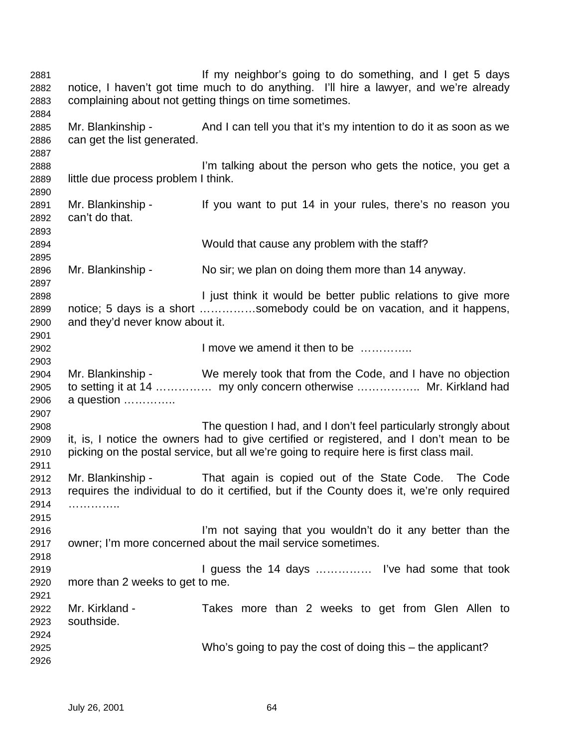If my neighbor's going to do something, and I get 5 days notice, I haven't got time much to do anything. I'll hire a lawyer, and we're already complaining about not getting things on time sometimes. Mr. Blankinship - And I can tell you that it's my intention to do it as soon as we can get the list generated. I'm talking about the person who gets the notice, you get a little due process problem I think. Mr. Blankinship - If you want to put 14 in your rules, there's no reason you can't do that. Would that cause any problem with the staff? Mr. Blankinship - No sir; we plan on doing them more than 14 anyway. I just think it would be better public relations to give more notice; 5 days is a short ……………somebody could be on vacation, and it happens, and they'd never know about it. I move we amend it then to be ………….. Mr. Blankinship - We merely took that from the Code, and I have no objection to setting it at 14 …………… my only concern otherwise …………….. Mr. Kirkland had a question ………….. The question I had, and I don't feel particularly strongly about it, is, I notice the owners had to give certified or registered, and I don't mean to be picking on the postal service, but all we're going to require here is first class mail. Mr. Blankinship - That again is copied out of the State Code. The Code requires the individual to do it certified, but if the County does it, we're only required ………….. I'm not saying that you wouldn't do it any better than the owner; I'm more concerned about the mail service sometimes. I guess the 14 days …………… I've had some that took more than 2 weeks to get to me. Mr. Kirkland - Takes more than 2 weeks to get from Glen Allen to southside. Who's going to pay the cost of doing this – the applicant?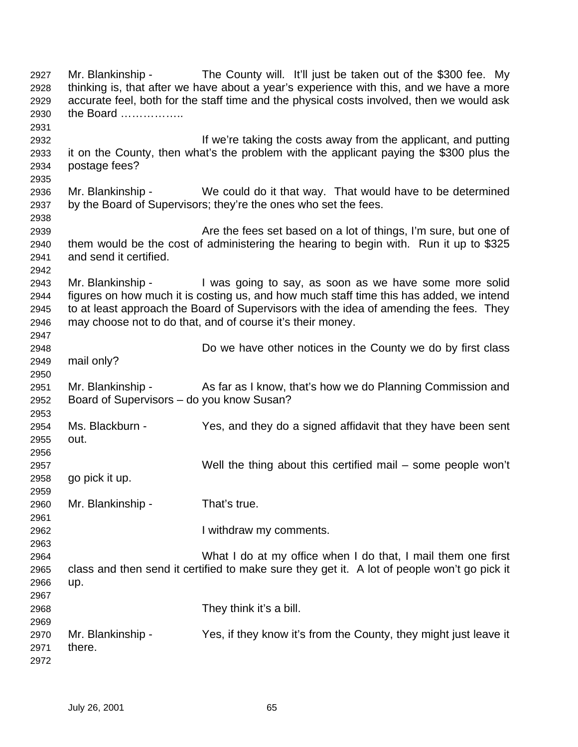Mr. Blankinship - The County will. It'll just be taken out of the \$300 fee. My thinking is, that after we have about a year's experience with this, and we have a more accurate feel, both for the staff time and the physical costs involved, then we would ask the Board …………….. If we're taking the costs away from the applicant, and putting it on the County, then what's the problem with the applicant paying the \$300 plus the postage fees? Mr. Blankinship - We could do it that way. That would have to be determined by the Board of Supervisors; they're the ones who set the fees. Are the fees set based on a lot of things, I'm sure, but one of them would be the cost of administering the hearing to begin with. Run it up to \$325 and send it certified. Mr. Blankinship - I was going to say, as soon as we have some more solid figures on how much it is costing us, and how much staff time this has added, we intend to at least approach the Board of Supervisors with the idea of amending the fees. They may choose not to do that, and of course it's their money. Do we have other notices in the County we do by first class mail only? 2951 Mr. Blankinship - As far as I know, that's how we do Planning Commission and Board of Supervisors – do you know Susan? Ms. Blackburn - Yes, and they do a signed affidavit that they have been sent out. Well the thing about this certified mail – some people won't go pick it up. Mr. Blankinship - That's true. I withdraw my comments. What I do at my office when I do that, I mail them one first class and then send it certified to make sure they get it. A lot of people won't go pick it up. They think it's a bill. Mr. Blankinship - Yes, if they know it's from the County, they might just leave it there.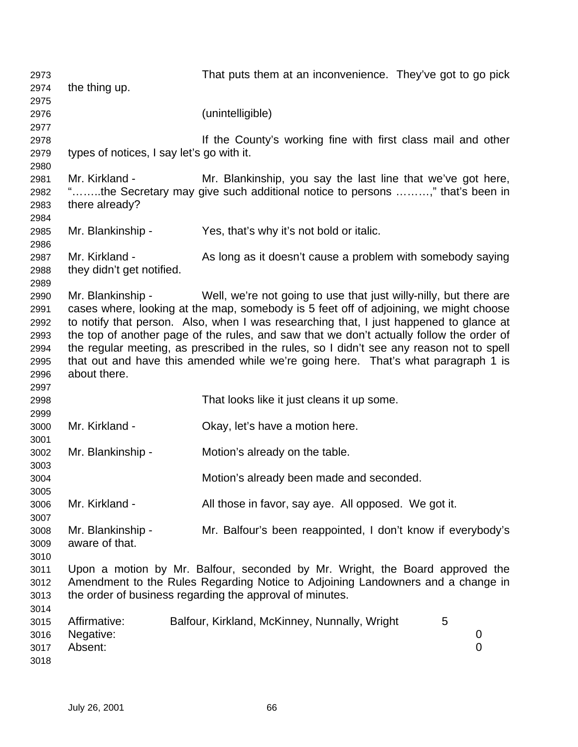That puts them at an inconvenience. They've got to go pick the thing up. (unintelligible) If the County's working fine with first class mail and other types of notices, I say let's go with it. Mr. Kirkland - Mr. Blankinship, you say the last line that we've got here, "……..the Secretary may give such additional notice to persons ………," that's been in there already? Mr. Blankinship - Yes, that's why it's not bold or italic. Mr. Kirkland - As long as it doesn't cause a problem with somebody saying they didn't get notified. Mr. Blankinship - Well, we're not going to use that just willy-nilly, but there are cases where, looking at the map, somebody is 5 feet off of adjoining, we might choose to notify that person. Also, when I was researching that, I just happened to glance at the top of another page of the rules, and saw that we don't actually follow the order of the regular meeting, as prescribed in the rules, so I didn't see any reason not to spell that out and have this amended while we're going here. That's what paragraph 1 is about there. That looks like it just cleans it up some. Mr. Kirkland - Okay, let's have a motion here. Mr. Blankinship - Motion's already on the table. Motion's already been made and seconded. Mr. Kirkland - All those in favor, say aye. All opposed. We got it. Mr. Blankinship - Mr. Balfour's been reappointed, I don't know if everybody's aware of that. Upon a motion by Mr. Balfour, seconded by Mr. Wright, the Board approved the Amendment to the Rules Regarding Notice to Adjoining Landowners and a change in the order of business regarding the approval of minutes. 3015 Affirmative: Balfour, Kirkland, McKinney, Nunnally, Wright 5 Negative: 0 Absent: 0